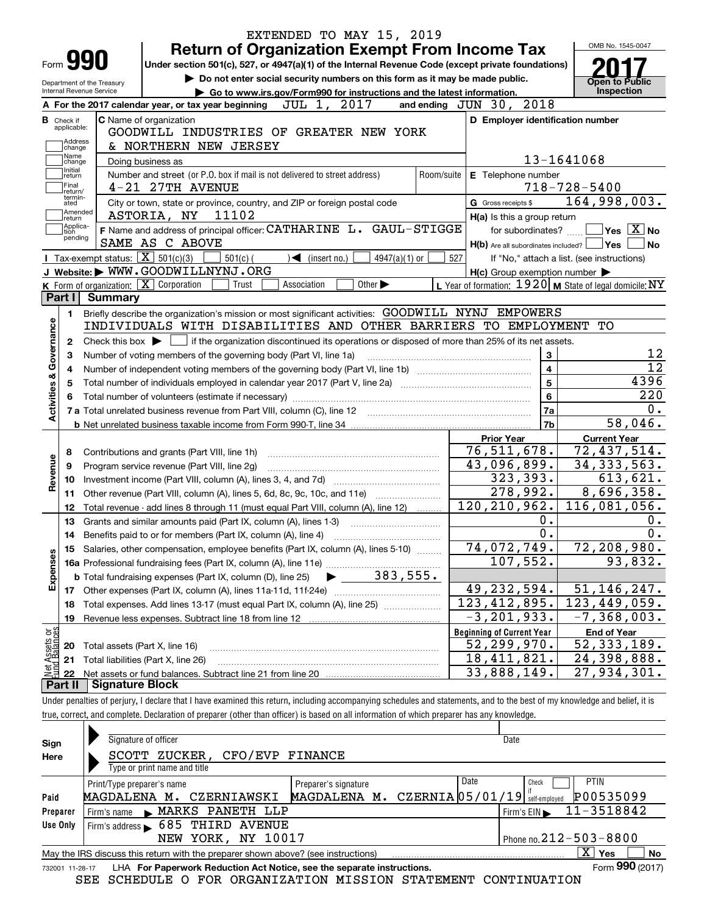|                                                        |                                                                                                                                             | EXTENDED TO MAY 15, 2019                                                                                                                                                   |                                                           | OMB No. 1545-0047                                                                                                     |  |  |  |  |  |
|--------------------------------------------------------|---------------------------------------------------------------------------------------------------------------------------------------------|----------------------------------------------------------------------------------------------------------------------------------------------------------------------------|-----------------------------------------------------------|-----------------------------------------------------------------------------------------------------------------------|--|--|--|--|--|
| <b>Form 990</b>                                        |                                                                                                                                             | <b>Return of Organization Exempt From Income Tax</b><br>Under section 501(c), 527, or 4947(a)(1) of the Internal Revenue Code (except private foundations)                 |                                                           |                                                                                                                       |  |  |  |  |  |
|                                                        |                                                                                                                                             | Do not enter social security numbers on this form as it may be made public.                                                                                                |                                                           |                                                                                                                       |  |  |  |  |  |
| Department of the Treasury<br>Internal Revenue Service |                                                                                                                                             | Go to www.irs.gov/Form990 for instructions and the latest information.                                                                                                     |                                                           | <b>Open to Public</b><br>Inspection                                                                                   |  |  |  |  |  |
|                                                        |                                                                                                                                             | JUL 1, 2017<br>A For the 2017 calendar year, or tax year beginning                                                                                                         | and ending JUN 30, 2018                                   |                                                                                                                       |  |  |  |  |  |
| <b>B</b> Check if                                      |                                                                                                                                             | C Name of organization                                                                                                                                                     | D Employer identification number                          |                                                                                                                       |  |  |  |  |  |
| applicable:                                            |                                                                                                                                             | GOODWILL INDUSTRIES OF GREATER NEW YORK                                                                                                                                    |                                                           |                                                                                                                       |  |  |  |  |  |
| Address<br>change                                      |                                                                                                                                             | & NORTHERN NEW JERSEY                                                                                                                                                      |                                                           |                                                                                                                       |  |  |  |  |  |
| Name<br>change                                         |                                                                                                                                             | Doing business as                                                                                                                                                          |                                                           | 13-1641068                                                                                                            |  |  |  |  |  |
| Initial<br>return                                      |                                                                                                                                             | Number and street (or P.O. box if mail is not delivered to street address)<br>Room/suite                                                                                   | E Telephone number                                        |                                                                                                                       |  |  |  |  |  |
| Final<br>return/                                       |                                                                                                                                             | $4-21$ 27TH AVENUE                                                                                                                                                         |                                                           | $718 - 728 - 5400$                                                                                                    |  |  |  |  |  |
| termin-<br>ated                                        |                                                                                                                                             | City or town, state or province, country, and ZIP or foreign postal code                                                                                                   | G Gross receipts \$                                       | 164,998,003.                                                                                                          |  |  |  |  |  |
| Amended<br> return                                     |                                                                                                                                             | 11102<br>ASTORIA, NY                                                                                                                                                       | H(a) Is this a group return                               |                                                                                                                       |  |  |  |  |  |
| Applica-<br>tion                                       |                                                                                                                                             | F Name and address of principal officer: CATHARINE L. GAUL-STIGGE                                                                                                          | for subordinates?                                         | $\sqrt{}$ Yes $\sqrt{}$ X $\sqrt{}$ No                                                                                |  |  |  |  |  |
| pending                                                |                                                                                                                                             | SAME AS C ABOVE                                                                                                                                                            | $H(b)$ Are all subordinates included? $\Box$ Yes $\Box$   | No                                                                                                                    |  |  |  |  |  |
|                                                        | Tax-exempt status: $\boxed{\mathbf{X}}$ 501(c)(3)                                                                                           | 4947(a)(1) or<br>$501(c)$ (<br>$\sqrt{\phantom{a}}$ (insert no.)                                                                                                           | 527                                                       | If "No," attach a list. (see instructions)                                                                            |  |  |  |  |  |
|                                                        |                                                                                                                                             | J Website: WWW.GOODWILLNYNJ.ORG                                                                                                                                            | $H(c)$ Group exemption number $\blacktriangleright$       |                                                                                                                       |  |  |  |  |  |
|                                                        |                                                                                                                                             | K Form of organization: X Corporation<br>Other $\blacktriangleright$<br>Association<br>Trust                                                                               | L Year of formation: $1920$ M State of legal domicile: NY |                                                                                                                       |  |  |  |  |  |
| Part I                                                 | <b>Summary</b>                                                                                                                              |                                                                                                                                                                            |                                                           |                                                                                                                       |  |  |  |  |  |
| 1.                                                     |                                                                                                                                             | Briefly describe the organization's mission or most significant activities: GOODWILL NYNJ EMPOWERS                                                                         |                                                           |                                                                                                                       |  |  |  |  |  |
| Governance                                             |                                                                                                                                             | INDIVIDUALS WITH DISABILITIES AND OTHER BARRIERS TO EMPLOYMENT                                                                                                             |                                                           | TО                                                                                                                    |  |  |  |  |  |
| 2                                                      | Check this box $\blacktriangleright$ $\Box$ if the organization discontinued its operations or disposed of more than 25% of its net assets. |                                                                                                                                                                            |                                                           |                                                                                                                       |  |  |  |  |  |
| 3                                                      |                                                                                                                                             | Number of voting members of the governing body (Part VI, line 1a)                                                                                                          | 3                                                         | 12                                                                                                                    |  |  |  |  |  |
| 4                                                      |                                                                                                                                             |                                                                                                                                                                            | 4                                                         | $\overline{12}$                                                                                                       |  |  |  |  |  |
| <b>Activities &amp;</b><br>5                           |                                                                                                                                             |                                                                                                                                                                            | 5                                                         | 4396                                                                                                                  |  |  |  |  |  |
| 6                                                      |                                                                                                                                             |                                                                                                                                                                            | 6                                                         | 220                                                                                                                   |  |  |  |  |  |
|                                                        |                                                                                                                                             | 7 a Total unrelated business revenue from Part VIII, column (C), line 12                                                                                                   | 7a                                                        | 0.                                                                                                                    |  |  |  |  |  |
|                                                        |                                                                                                                                             |                                                                                                                                                                            | 7b                                                        | 58,046.                                                                                                               |  |  |  |  |  |
|                                                        |                                                                                                                                             |                                                                                                                                                                            | <b>Prior Year</b>                                         | <b>Current Year</b>                                                                                                   |  |  |  |  |  |
| 8                                                      |                                                                                                                                             | Contributions and grants (Part VIII, line 1h)                                                                                                                              | 76,511,678.                                               | 72,437,514.                                                                                                           |  |  |  |  |  |
| Revenue<br>9                                           |                                                                                                                                             | Program service revenue (Part VIII, line 2g)                                                                                                                               | 43,096,899.                                               | 34, 333, 563.                                                                                                         |  |  |  |  |  |
| 10                                                     |                                                                                                                                             |                                                                                                                                                                            | 323, 393.                                                 | 613,621.                                                                                                              |  |  |  |  |  |
| 11                                                     |                                                                                                                                             | Other revenue (Part VIII, column (A), lines 5, 6d, 8c, 9c, 10c, and 11e)                                                                                                   | 278,992.                                                  | 8,696,358.                                                                                                            |  |  |  |  |  |
| 12                                                     |                                                                                                                                             | Total revenue - add lines 8 through 11 (must equal Part VIII, column (A), line 12)                                                                                         | 120, 210, 962.                                            | 116,081,056.                                                                                                          |  |  |  |  |  |
| 13                                                     |                                                                                                                                             | Grants and similar amounts paid (Part IX, column (A), lines 1-3)                                                                                                           | 0.                                                        | 0.                                                                                                                    |  |  |  |  |  |
| 14                                                     |                                                                                                                                             | Benefits paid to or for members (Part IX, column (A), line 4)                                                                                                              | 0.                                                        | 0.                                                                                                                    |  |  |  |  |  |
|                                                        |                                                                                                                                             | Salaries, other compensation, employee benefits (Part IX, column (A), lines 5-10)                                                                                          | 74,072,749.                                               | 72,208,980.                                                                                                           |  |  |  |  |  |
| 15                                                     |                                                                                                                                             |                                                                                                                                                                            |                                                           |                                                                                                                       |  |  |  |  |  |
|                                                        |                                                                                                                                             |                                                                                                                                                                            | 107,552.                                                  |                                                                                                                       |  |  |  |  |  |
|                                                        |                                                                                                                                             |                                                                                                                                                                            |                                                           |                                                                                                                       |  |  |  |  |  |
| Expenses<br>17                                         |                                                                                                                                             |                                                                                                                                                                            | 49,232,594.                                               |                                                                                                                       |  |  |  |  |  |
| 18                                                     |                                                                                                                                             | Total expenses. Add lines 13-17 (must equal Part IX, column (A), line 25)                                                                                                  | 123, 412, 895.                                            |                                                                                                                       |  |  |  |  |  |
| 19                                                     |                                                                                                                                             | Revenue less expenses. Subtract line 18 from line 12                                                                                                                       | $\overline{-3}$ , 201, 933.                               |                                                                                                                       |  |  |  |  |  |
|                                                        |                                                                                                                                             |                                                                                                                                                                            | <b>Beginning of Current Year</b>                          | <b>End of Year</b>                                                                                                    |  |  |  |  |  |
| 20                                                     | Total assets (Part X, line 16)                                                                                                              |                                                                                                                                                                            | 52, 299, 970.                                             |                                                                                                                       |  |  |  |  |  |
| 21                                                     |                                                                                                                                             | Total liabilities (Part X, line 26)                                                                                                                                        | 18, 411, 821.                                             | 93,832.<br>51, 146, 247.<br>123,449,059.<br>$\overline{-7}$ , 368, 003.<br>$\overline{52}$ , 333, 189.<br>24,398,888. |  |  |  |  |  |
| 22                                                     |                                                                                                                                             |                                                                                                                                                                            | 33,888,149.                                               | 27,934,301.                                                                                                           |  |  |  |  |  |
| Part II                                                | <b>Signature Block</b>                                                                                                                      |                                                                                                                                                                            |                                                           |                                                                                                                       |  |  |  |  |  |
| Net Assets or<br>Fund Balances                         |                                                                                                                                             | Under penalties of perjury, I declare that I have examined this return, including accompanying schedules and statements, and to the best of my knowledge and belief, it is |                                                           |                                                                                                                       |  |  |  |  |  |

| Sign<br>Here    | Signature of officer<br>CFO/EVP<br>ZUCKER,<br>SCOTT<br>Type or print name and title | <b>FINANCE</b>       |                        | Date          |                              |
|-----------------|-------------------------------------------------------------------------------------|----------------------|------------------------|---------------|------------------------------|
|                 | Print/Type preparer's name                                                          | Preparer's signature | Date                   | Check         | <b>PTIN</b>                  |
| Paid            | MAGDALENA M.<br>CZERNIAWSKI                                                         | MAGDALENA M.         | $CZERNIA$ $ 05/01/19 $ | self-emploved | P00535099                    |
| Preparer        | MARKS PANETH LLP<br>Firm's name<br>$\blacksquare$                                   |                      |                        | Firm's $EIN$  | 11-3518842                   |
| Use Only        | 685 THIRD AVENUE<br>Firm's address                                                  |                      |                        |               |                              |
|                 | NEW YORK, NY 10017                                                                  |                      |                        |               | Phone no. $212 - 503 - 8800$ |
|                 | May the IRS discuss this return with the preparer shown above? (see instructions)   |                      |                        |               | X.<br>No<br>Yes              |
| 732001 11-28-17 | LHA For Paperwork Reduction Act Notice, see the separate instructions.              |                      |                        |               | Form 990 (2017)              |

SEE SCHEDULE O FOR ORGANIZATION MISSION STATEMENT CONTINUATION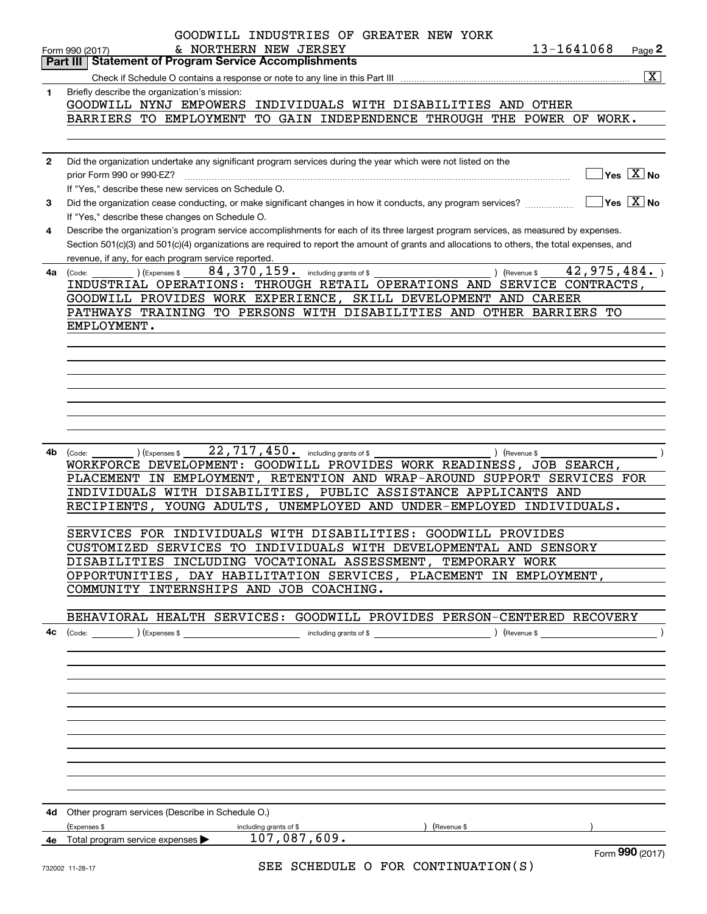|              | GOODWILL INDUSTRIES OF GREATER NEW YORK                                                                                                                                                      |
|--------------|----------------------------------------------------------------------------------------------------------------------------------------------------------------------------------------------|
|              | & NORTHERN NEW JERSEY<br>13-1641068<br>Page 2<br>Form 990 (2017)                                                                                                                             |
|              | <b>Statement of Program Service Accomplishments</b><br>Part III<br>$\boxed{\mathbf{X}}$                                                                                                      |
| 1            | Briefly describe the organization's mission:                                                                                                                                                 |
|              | GOODWILL NYNJ EMPOWERS INDIVIDUALS WITH DISABILITIES AND OTHER                                                                                                                               |
|              | BARRIERS TO EMPLOYMENT TO GAIN INDEPENDENCE THROUGH THE POWER OF WORK.                                                                                                                       |
|              |                                                                                                                                                                                              |
|              |                                                                                                                                                                                              |
| $\mathbf{2}$ | Did the organization undertake any significant program services during the year which were not listed on the                                                                                 |
|              | $\Box$ Yes $[\overline{\mathrm{X}}]$ No<br>prior Form 990 or 990-EZ?                                                                                                                         |
| 3            | If "Yes," describe these new services on Schedule O.<br>$\Box$ Yes $\Box$ No<br>Did the organization cease conducting, or make significant changes in how it conducts, any program services? |
|              | If "Yes," describe these changes on Schedule O.                                                                                                                                              |
| 4            | Describe the organization's program service accomplishments for each of its three largest program services, as measured by expenses.                                                         |
|              | Section 501(c)(3) and 501(c)(4) organizations are required to report the amount of grants and allocations to others, the total expenses, and                                                 |
|              | revenue, if any, for each program service reported.                                                                                                                                          |
| 4a           | 84, 370, 159. including grants of \$<br>42,975,484.<br>(Expenses \$<br>Revenue \$<br>(Code:                                                                                                  |
|              | INDUSTRIAL OPERATIONS: THROUGH RETAIL OPERATIONS AND SERVICE CONTRACTS,                                                                                                                      |
|              | GOODWILL PROVIDES WORK EXPERIENCE, SKILL DEVELOPMENT AND CAREER                                                                                                                              |
|              | PATHWAYS TRAINING TO PERSONS WITH DISABILITIES AND OTHER BARRIERS TO<br>EMPLOYMENT.                                                                                                          |
|              |                                                                                                                                                                                              |
|              |                                                                                                                                                                                              |
|              |                                                                                                                                                                                              |
|              |                                                                                                                                                                                              |
|              |                                                                                                                                                                                              |
|              |                                                                                                                                                                                              |
|              |                                                                                                                                                                                              |
| 4b           | 22,717,450. including grants of \$<br>(Expenses \$                                                                                                                                           |
|              | ) (Revenue \$<br>(Code:<br>WORKFORCE DEVELOPMENT: GOODWILL PROVIDES WORK READINESS, JOB SEARCH,                                                                                              |
|              | PLACEMENT IN EMPLOYMENT, RETENTION AND WRAP-AROUND SUPPORT SERVICES FOR                                                                                                                      |
|              | INDIVIDUALS WITH DISABILITIES, PUBLIC ASSISTANCE APPLICANTS AND                                                                                                                              |
|              | RECIPIENTS, YOUNG ADULTS, UNEMPLOYED AND UNDER-EMPLOYED INDIVIDUALS.                                                                                                                         |
|              |                                                                                                                                                                                              |
|              | SERVICES FOR INDIVIDUALS WITH DISABILITIES: GOODWILL PROVIDES                                                                                                                                |
|              | CUSTOMIZED SERVICES TO INDIVIDUALS WITH DEVELOPMENTAL AND SENSORY                                                                                                                            |
|              | DISABILITIES INCLUDING VOCATIONAL ASSESSMENT, TEMPORARY WORK<br>OPPORTUNITIES, DAY HABILITATION SERVICES, PLACEMENT IN EMPLOYMENT,                                                           |
|              | COMMUNITY INTERNSHIPS AND JOB COACHING.                                                                                                                                                      |
|              |                                                                                                                                                                                              |
|              | BEHAVIORAL HEALTH SERVICES: GOODWILL PROVIDES PERSON-CENTERED RECOVERY                                                                                                                       |
| 4c           |                                                                                                                                                                                              |
|              |                                                                                                                                                                                              |
|              |                                                                                                                                                                                              |
|              |                                                                                                                                                                                              |
|              |                                                                                                                                                                                              |
|              |                                                                                                                                                                                              |
|              |                                                                                                                                                                                              |
|              |                                                                                                                                                                                              |
|              |                                                                                                                                                                                              |
|              |                                                                                                                                                                                              |
|              |                                                                                                                                                                                              |
|              |                                                                                                                                                                                              |
|              | 4d Other program services (Describe in Schedule O.)                                                                                                                                          |
|              | (Expenses \$<br>including grants of \$<br>Revenue \$<br>107,087,609.                                                                                                                         |
|              | 4e Total program service expenses ><br>Form 990 (2017)                                                                                                                                       |
|              | $CFT$ $CCIETIIT F$ $CFTO$ $CONTITIITIATTIATON (C)$                                                                                                                                           |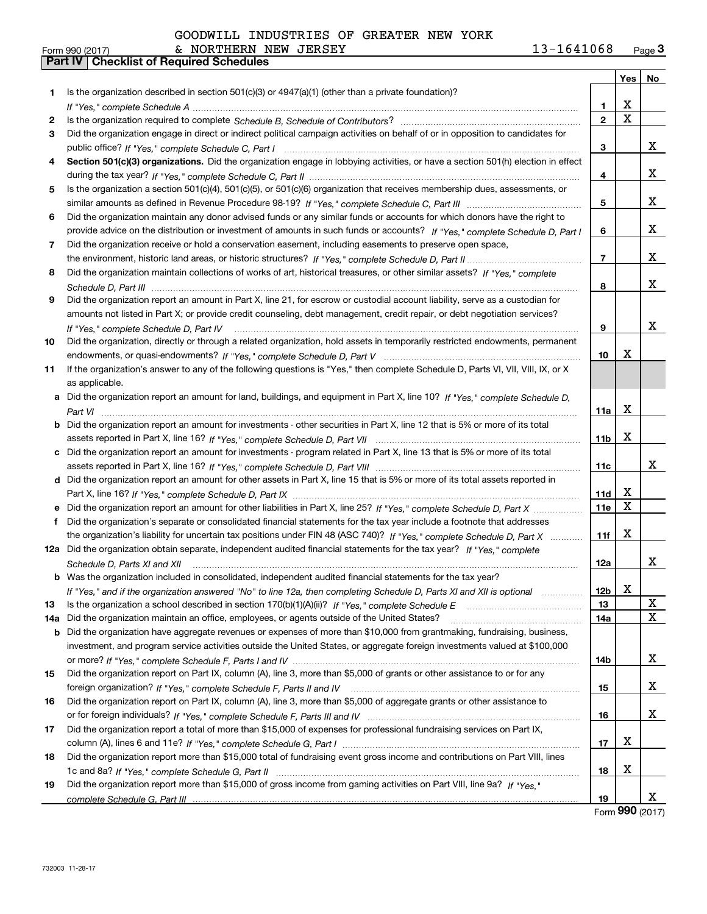|  |  | GOODWILL INDUSTRIES OF GREATER NEW YORK |  |  |  |  |
|--|--|-----------------------------------------|--|--|--|--|
|--|--|-----------------------------------------|--|--|--|--|

|     |                                                                                                                                      |                 | Yes         | No          |
|-----|--------------------------------------------------------------------------------------------------------------------------------------|-----------------|-------------|-------------|
| 1   | Is the organization described in section $501(c)(3)$ or $4947(a)(1)$ (other than a private foundation)?                              |                 |             |             |
|     |                                                                                                                                      | 1               | х           |             |
| 2   |                                                                                                                                      | $\overline{2}$  | $\mathbf X$ |             |
| З   | Did the organization engage in direct or indirect political campaign activities on behalf of or in opposition to candidates for      |                 |             |             |
|     |                                                                                                                                      | 3               |             | x           |
| 4   | Section 501(c)(3) organizations. Did the organization engage in lobbying activities, or have a section 501(h) election in effect     |                 |             |             |
|     |                                                                                                                                      | 4               |             | х           |
| 5   | Is the organization a section 501(c)(4), 501(c)(5), or 501(c)(6) organization that receives membership dues, assessments, or         |                 |             |             |
|     |                                                                                                                                      | 5               |             | х           |
| 6   | Did the organization maintain any donor advised funds or any similar funds or accounts for which donors have the right to            |                 |             |             |
|     | provide advice on the distribution or investment of amounts in such funds or accounts? If "Yes," complete Schedule D, Part I         | 6               |             | x           |
| 7   | Did the organization receive or hold a conservation easement, including easements to preserve open space,                            |                 |             |             |
|     |                                                                                                                                      | $\overline{7}$  |             | x           |
| 8   | Did the organization maintain collections of works of art, historical treasures, or other similar assets? If "Yes," complete         |                 |             |             |
|     |                                                                                                                                      | 8               |             | x           |
| 9   | Did the organization report an amount in Part X, line 21, for escrow or custodial account liability, serve as a custodian for        |                 |             |             |
|     | amounts not listed in Part X; or provide credit counseling, debt management, credit repair, or debt negotiation services?            |                 |             |             |
|     | If "Yes," complete Schedule D, Part IV                                                                                               | 9               |             | x           |
| 10  | Did the organization, directly or through a related organization, hold assets in temporarily restricted endowments, permanent        |                 |             |             |
|     |                                                                                                                                      | 10              | х           |             |
| 11  | If the organization's answer to any of the following questions is "Yes," then complete Schedule D, Parts VI, VII, VIII, IX, or X     |                 |             |             |
|     | as applicable.                                                                                                                       |                 |             |             |
|     | a Did the organization report an amount for land, buildings, and equipment in Part X, line 10? If "Yes," complete Schedule D,        |                 |             |             |
|     |                                                                                                                                      | 11a             | х           |             |
|     | <b>b</b> Did the organization report an amount for investments - other securities in Part X, line 12 that is 5% or more of its total |                 |             |             |
|     |                                                                                                                                      | 11 <sub>b</sub> | X           |             |
|     | c Did the organization report an amount for investments - program related in Part X, line 13 that is 5% or more of its total         |                 |             |             |
|     |                                                                                                                                      | 11c             |             | x           |
|     | d Did the organization report an amount for other assets in Part X, line 15 that is 5% or more of its total assets reported in       |                 |             |             |
|     |                                                                                                                                      | 11d             | x           |             |
|     | e Did the organization report an amount for other liabilities in Part X, line 25? If "Yes," complete Schedule D, Part X              | 11e             | X           |             |
|     | f Did the organization's separate or consolidated financial statements for the tax year include a footnote that addresses            |                 |             |             |
|     | the organization's liability for uncertain tax positions under FIN 48 (ASC 740)? If "Yes," complete Schedule D, Part X               | 11f             | x           |             |
|     | 12a Did the organization obtain separate, independent audited financial statements for the tax year? If "Yes," complete              |                 |             |             |
|     | Schedule D, Parts XI and XII                                                                                                         | 12a             |             | x           |
|     | <b>b</b> Was the organization included in consolidated, independent audited financial statements for the tax year?                   |                 |             |             |
|     | If "Yes," and if the organization answered "No" to line 12a, then completing Schedule D, Parts XI and XII is optional                | 12 <sub>b</sub> | х           |             |
| 13  |                                                                                                                                      | 13              |             | X           |
| 14a | Did the organization maintain an office, employees, or agents outside of the United States?                                          | 14a             |             | $\mathbf X$ |
| b   | Did the organization have aggregate revenues or expenses of more than \$10,000 from grantmaking, fundraising, business,              |                 |             |             |
|     | investment, and program service activities outside the United States, or aggregate foreign investments valued at \$100,000           |                 |             |             |
|     |                                                                                                                                      | 14b             |             | x           |
| 15  | Did the organization report on Part IX, column (A), line 3, more than \$5,000 of grants or other assistance to or for any            |                 |             |             |
|     |                                                                                                                                      | 15              |             | x           |
| 16  | Did the organization report on Part IX, column (A), line 3, more than \$5,000 of aggregate grants or other assistance to             |                 |             |             |
|     |                                                                                                                                      | 16              |             | x           |
| 17  | Did the organization report a total of more than \$15,000 of expenses for professional fundraising services on Part IX,              |                 |             |             |
|     |                                                                                                                                      | 17              | x           |             |
| 18  | Did the organization report more than \$15,000 total of fundraising event gross income and contributions on Part VIII, lines         |                 |             |             |
|     |                                                                                                                                      | 18              | x           |             |
| 19  | Did the organization report more than \$15,000 of gross income from gaming activities on Part VIII, line 9a? If "Yes."               |                 |             |             |
|     |                                                                                                                                      | 19              |             | х           |

Form (2017) **990**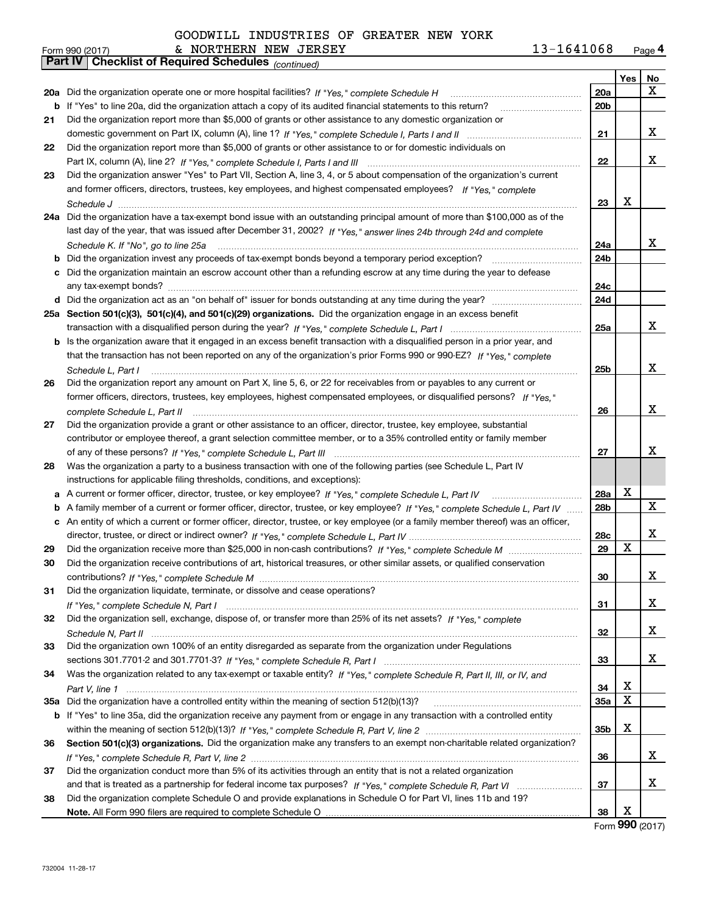|    | & NORTHERN NEW JERSEY<br>Form 990 (2017)                                                                                          | 13-1641068 |                 | Page 4 |
|----|-----------------------------------------------------------------------------------------------------------------------------------|------------|-----------------|--------|
|    | <b>Checklist of Required Schedules (continued)</b><br>Part IV                                                                     |            |                 |        |
|    |                                                                                                                                   |            | Yes             | No     |
|    | 20a Did the organization operate one or more hospital facilities? If "Yes," complete Schedule H                                   | 20a        |                 | х      |
|    | <b>b</b> If "Yes" to line 20a, did the organization attach a copy of its audited financial statements to this return?             | 20b        |                 |        |
| 21 | Did the organization report more than \$5,000 of grants or other assistance to any domestic organization or                       |            |                 |        |
|    |                                                                                                                                   | 21         |                 | х      |
| 22 | Did the organization report more than \$5,000 of grants or other assistance to or for domestic individuals on                     |            |                 |        |
|    |                                                                                                                                   | 22         |                 | х      |
|    |                                                                                                                                   |            |                 |        |
| 23 | Did the organization answer "Yes" to Part VII, Section A, line 3, 4, or 5 about compensation of the organization's current        |            |                 |        |
|    | and former officers, directors, trustees, key employees, and highest compensated employees? If "Yes," complete                    |            |                 |        |
|    |                                                                                                                                   | 23         | х               |        |
|    | 24a Did the organization have a tax-exempt bond issue with an outstanding principal amount of more than \$100,000 as of the       |            |                 |        |
|    | last day of the year, that was issued after December 31, 2002? If "Yes," answer lines 24b through 24d and complete                |            |                 |        |
|    | Schedule K. If "No", go to line 25a                                                                                               | 24a        |                 | х      |
| b  | Did the organization invest any proceeds of tax-exempt bonds beyond a temporary period exception?                                 | 24b        |                 |        |
| с  | Did the organization maintain an escrow account other than a refunding escrow at any time during the year to defease              |            |                 |        |
|    |                                                                                                                                   | 24c        |                 |        |
|    |                                                                                                                                   | 24d        |                 |        |
|    | 25a Section 501(c)(3), 501(c)(4), and 501(c)(29) organizations. Did the organization engage in an excess benefit                  |            |                 |        |
|    |                                                                                                                                   | 25a        |                 | x      |
|    | b Is the organization aware that it engaged in an excess benefit transaction with a disqualified person in a prior year, and      |            |                 |        |
|    | that the transaction has not been reported on any of the organization's prior Forms 990 or 990-EZ? If "Yes," complete             |            |                 |        |
|    |                                                                                                                                   |            |                 | x      |
|    | Schedule L. Part I                                                                                                                | 25b        |                 |        |
| 26 | Did the organization report any amount on Part X, line 5, 6, or 22 for receivables from or payables to any current or             |            |                 |        |
|    | former officers, directors, trustees, key employees, highest compensated employees, or disqualified persons? If "Yes."            |            |                 |        |
|    | complete Schedule L, Part II                                                                                                      | 26         |                 | x      |
| 27 | Did the organization provide a grant or other assistance to an officer, director, trustee, key employee, substantial              |            |                 |        |
|    | contributor or employee thereof, a grant selection committee member, or to a 35% controlled entity or family member               |            |                 |        |
|    |                                                                                                                                   | 27         |                 | х      |
| 28 | Was the organization a party to a business transaction with one of the following parties (see Schedule L, Part IV                 |            |                 |        |
|    | instructions for applicable filing thresholds, conditions, and exceptions):                                                       |            |                 |        |
| а  | A current or former officer, director, trustee, or key employee? If "Yes," complete Schedule L, Part IV                           | 28a        | X               |        |
| b  | A family member of a current or former officer, director, trustee, or key employee? If "Yes," complete Schedule L, Part IV        | 28b        |                 | X      |
|    | c An entity of which a current or former officer, director, trustee, or key employee (or a family member thereof) was an officer, |            |                 |        |
|    |                                                                                                                                   | 28c        |                 | х      |
|    |                                                                                                                                   | 29         | X               |        |
| 29 |                                                                                                                                   |            |                 |        |
| 30 | Did the organization receive contributions of art, historical treasures, or other similar assets, or qualified conservation       |            |                 |        |
|    |                                                                                                                                   | 30         |                 | х      |
| 31 | Did the organization liquidate, terminate, or dissolve and cease operations?                                                      |            |                 |        |
|    |                                                                                                                                   | 31         |                 | х      |
| 32 | Did the organization sell, exchange, dispose of, or transfer more than 25% of its net assets? If "Yes." complete                  |            |                 |        |
|    |                                                                                                                                   | 32         |                 | x      |
| 33 | Did the organization own 100% of an entity disregarded as separate from the organization under Regulations                        |            |                 |        |
|    |                                                                                                                                   | 33         |                 | x      |
| 34 | Was the organization related to any tax-exempt or taxable entity? If "Yes," complete Schedule R, Part II, III, or IV, and         |            |                 |        |
|    |                                                                                                                                   | 34         | х               |        |
|    | 35a Did the organization have a controlled entity within the meaning of section 512(b)(13)?                                       | 35a        | х               |        |
|    | b If "Yes" to line 35a, did the organization receive any payment from or engage in any transaction with a controlled entity       |            |                 |        |
|    |                                                                                                                                   | 35b        | х               |        |
|    |                                                                                                                                   |            |                 |        |
| 36 | Section 501(c)(3) organizations. Did the organization make any transfers to an exempt non-charitable related organization?        |            |                 |        |
|    |                                                                                                                                   | 36         |                 | x      |
| 37 | Did the organization conduct more than 5% of its activities through an entity that is not a related organization                  |            |                 |        |
|    |                                                                                                                                   | 37         |                 | х      |
| 38 | Did the organization complete Schedule O and provide explanations in Schedule O for Part VI, lines 11b and 19?                    |            |                 |        |
|    |                                                                                                                                   | 38         | х<br><b>000</b> |        |

Form (2017) **990**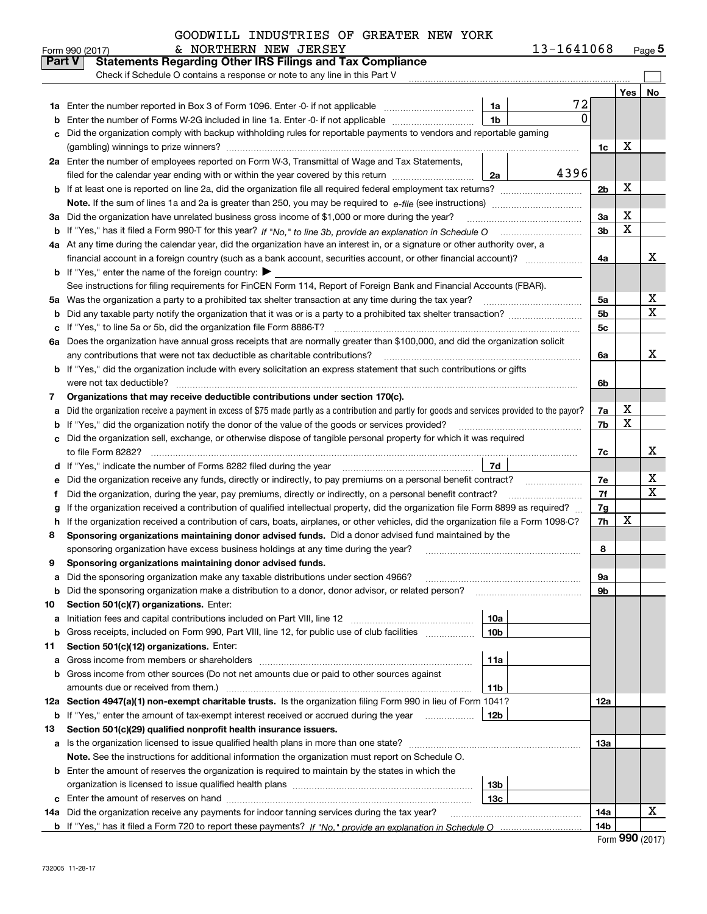| 13-1641068 | Page $5$ |
|------------|----------|
|------------|----------|

|               | & NORTHERN NEW JERSEY<br>Form 990 (2017)                                                                                                                                                                                                           |                 | 13-1641068 |                |     | Page $5$ |
|---------------|----------------------------------------------------------------------------------------------------------------------------------------------------------------------------------------------------------------------------------------------------|-----------------|------------|----------------|-----|----------|
| <b>Part V</b> | <b>Statements Regarding Other IRS Filings and Tax Compliance</b>                                                                                                                                                                                   |                 |            |                |     |          |
|               | Check if Schedule O contains a response or note to any line in this Part V                                                                                                                                                                         |                 |            |                |     |          |
|               |                                                                                                                                                                                                                                                    |                 |            |                | Yes | No       |
| 1a            | Enter the number reported in Box 3 of Form 1096. Enter -0- if not applicable                                                                                                                                                                       | 1a              | 72         |                |     |          |
| b             | Enter the number of Forms W-2G included in line 1a. Enter -0- if not applicable                                                                                                                                                                    | 1 <sub>b</sub>  | $\Omega$   |                |     |          |
| c             | Did the organization comply with backup withholding rules for reportable payments to vendors and reportable gaming                                                                                                                                 |                 |            |                |     |          |
|               |                                                                                                                                                                                                                                                    |                 |            | 1c             | х   |          |
|               | 2a Enter the number of employees reported on Form W-3, Transmittal of Wage and Tax Statements,                                                                                                                                                     |                 |            |                |     |          |
|               | filed for the calendar year ending with or within the year covered by this return                                                                                                                                                                  | 2a              | 4396       |                |     |          |
|               |                                                                                                                                                                                                                                                    |                 |            | 2 <sub>b</sub> | X   |          |
|               |                                                                                                                                                                                                                                                    |                 |            |                |     |          |
| За            | Did the organization have unrelated business gross income of \$1,000 or more during the year?                                                                                                                                                      |                 |            | 3a             | X   |          |
| b             |                                                                                                                                                                                                                                                    |                 |            | 3 <sub>b</sub> | X   |          |
|               | 4a At any time during the calendar year, did the organization have an interest in, or a signature or other authority over, a                                                                                                                       |                 |            |                |     |          |
|               |                                                                                                                                                                                                                                                    |                 |            | 4a             |     | x        |
|               | <b>b</b> If "Yes," enter the name of the foreign country: $\blacktriangleright$                                                                                                                                                                    |                 |            |                |     |          |
|               | See instructions for filing requirements for FinCEN Form 114, Report of Foreign Bank and Financial Accounts (FBAR).                                                                                                                                |                 |            |                |     |          |
| 5a            | Was the organization a party to a prohibited tax shelter transaction at any time during the tax year?                                                                                                                                              |                 |            | 5a             |     | х        |
| b             |                                                                                                                                                                                                                                                    |                 |            | 5 <sub>b</sub> |     | х        |
| c             | If "Yes," to line 5a or 5b, did the organization file Form 8886-T?                                                                                                                                                                                 |                 |            | 5c             |     |          |
|               | 6a Does the organization have annual gross receipts that are normally greater than \$100,000, and did the organization solicit                                                                                                                     |                 |            |                |     |          |
|               | any contributions that were not tax deductible as charitable contributions?                                                                                                                                                                        |                 |            | 6a             |     | x        |
| b             | If "Yes," did the organization include with every solicitation an express statement that such contributions or gifts                                                                                                                               |                 |            |                |     |          |
|               | were not tax deductible?                                                                                                                                                                                                                           |                 |            | 6b             |     |          |
| 7             | Organizations that may receive deductible contributions under section 170(c).                                                                                                                                                                      |                 |            |                | х   |          |
| а             | Did the organization receive a payment in excess of \$75 made partly as a contribution and partly for goods and services provided to the payor?<br>If "Yes," did the organization notify the donor of the value of the goods or services provided? |                 |            | 7a<br>7b       | X   |          |
| b<br>c        | Did the organization sell, exchange, or otherwise dispose of tangible personal property for which it was required                                                                                                                                  |                 |            |                |     |          |
|               |                                                                                                                                                                                                                                                    |                 |            | 7c             |     | x        |
| d             |                                                                                                                                                                                                                                                    | 7d              |            |                |     |          |
| е             | Did the organization receive any funds, directly or indirectly, to pay premiums on a personal benefit contract?                                                                                                                                    |                 |            | 7e             |     | х        |
| f             | Did the organization, during the year, pay premiums, directly or indirectly, on a personal benefit contract?                                                                                                                                       |                 |            | 7f             |     | х        |
| g             | If the organization received a contribution of qualified intellectual property, did the organization file Form 8899 as required?                                                                                                                   |                 |            | 7g             |     |          |
| h             | If the organization received a contribution of cars, boats, airplanes, or other vehicles, did the organization file a Form 1098-C?                                                                                                                 |                 |            | 7h             | X   |          |
| 8             | Sponsoring organizations maintaining donor advised funds. Did a donor advised fund maintained by the                                                                                                                                               |                 |            |                |     |          |
|               | sponsoring organization have excess business holdings at any time during the year?                                                                                                                                                                 |                 |            | 8              |     |          |
|               | Sponsoring organizations maintaining donor advised funds.                                                                                                                                                                                          |                 |            |                |     |          |
| а             | Did the sponsoring organization make any taxable distributions under section 4966?                                                                                                                                                                 |                 |            | 9а             |     |          |
| b             | Did the sponsoring organization make a distribution to a donor, donor advisor, or related person?                                                                                                                                                  |                 |            | 9b             |     |          |
| 10            | Section 501(c)(7) organizations. Enter:                                                                                                                                                                                                            |                 |            |                |     |          |
| a             | Initiation fees and capital contributions included on Part VIII, line 12 <i>manuarrouus</i> manuations of the lates                                                                                                                                | 10a             |            |                |     |          |
| b             | Gross receipts, included on Form 990, Part VIII, line 12, for public use of club facilities                                                                                                                                                        | 10 <sub>b</sub> |            |                |     |          |
| 11            | Section 501(c)(12) organizations. Enter:                                                                                                                                                                                                           |                 |            |                |     |          |
| а             | Gross income from members or shareholders                                                                                                                                                                                                          | 11a             |            |                |     |          |
| b             | Gross income from other sources (Do not net amounts due or paid to other sources against                                                                                                                                                           |                 |            |                |     |          |
|               | amounts due or received from them.)                                                                                                                                                                                                                | 11b             |            |                |     |          |
|               | 12a Section 4947(a)(1) non-exempt charitable trusts. Is the organization filing Form 990 in lieu of Form 1041?                                                                                                                                     |                 |            | 12a            |     |          |
|               | <b>b</b> If "Yes," enter the amount of tax-exempt interest received or accrued during the year <i>manument</i> of                                                                                                                                  | 12b             |            |                |     |          |
| 13            | Section 501(c)(29) qualified nonprofit health insurance issuers.                                                                                                                                                                                   |                 |            |                |     |          |
| a             | Is the organization licensed to issue qualified health plans in more than one state?                                                                                                                                                               |                 |            | 13a            |     |          |
|               | Note. See the instructions for additional information the organization must report on Schedule O.                                                                                                                                                  |                 |            |                |     |          |
| b             | Enter the amount of reserves the organization is required to maintain by the states in which the                                                                                                                                                   |                 |            |                |     |          |
|               |                                                                                                                                                                                                                                                    | 13b             |            |                |     |          |
| с             |                                                                                                                                                                                                                                                    | 13с             |            |                |     |          |
|               | 14a Did the organization receive any payments for indoor tanning services during the tax year?                                                                                                                                                     |                 |            | 14a            |     | x        |
|               |                                                                                                                                                                                                                                                    |                 |            | 14b            |     |          |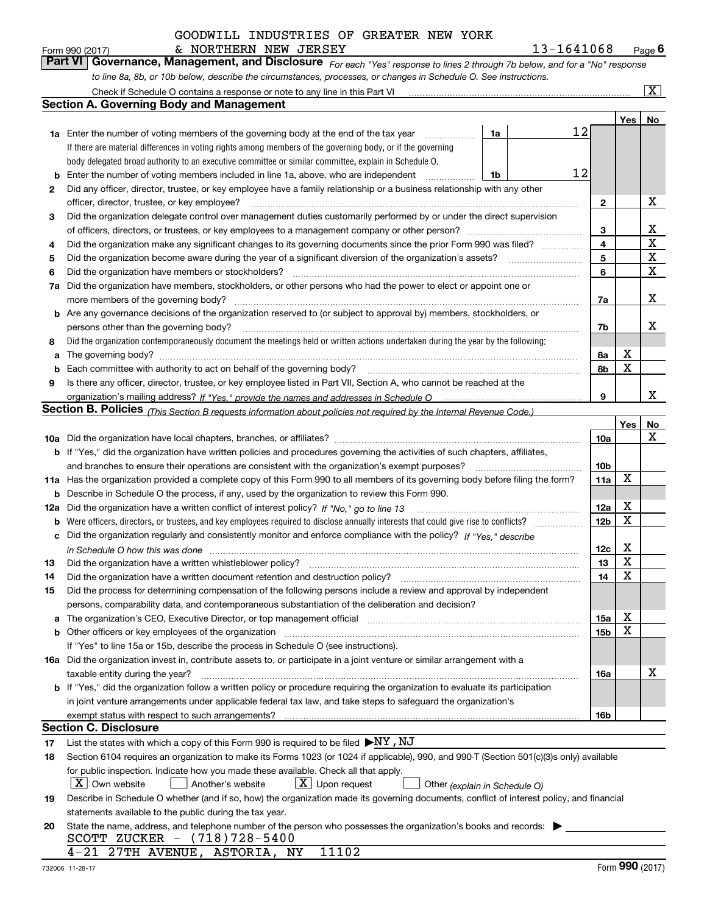### & NORTHERN NEW JERSEY 13-1641068

*For each "Yes" response to lines 2 through 7b below, and for a "No" response to line 8a, 8b, or 10b below, describe the circumstances, processes, or changes in Schedule O. See instructions.* Form 990 (2017) **6 Convert Convert Convert Convert Convert Convert Convert Convert Convert Convert Convert Conve<br><b>Part VI Governance, Management, and Disclosure** For each "Yes" response to lines 2 through 7b below, and f

|     | Check if Schedule O contains a response or note to any line in this Part VI                                                                                                                                                    |                               |    |                 |             | $\boxed{\text{X}}$ |  |  |  |  |
|-----|--------------------------------------------------------------------------------------------------------------------------------------------------------------------------------------------------------------------------------|-------------------------------|----|-----------------|-------------|--------------------|--|--|--|--|
|     | <b>Section A. Governing Body and Management</b>                                                                                                                                                                                |                               |    |                 |             |                    |  |  |  |  |
|     |                                                                                                                                                                                                                                |                               |    |                 | Yes         | No                 |  |  |  |  |
|     | <b>1a</b> Enter the number of voting members of the governing body at the end of the tax year                                                                                                                                  | 1a                            | 12 |                 |             |                    |  |  |  |  |
|     | If there are material differences in voting rights among members of the governing body, or if the governing                                                                                                                    |                               |    |                 |             |                    |  |  |  |  |
|     | body delegated broad authority to an executive committee or similar committee, explain in Schedule O.                                                                                                                          |                               |    |                 |             |                    |  |  |  |  |
| b   | Enter the number of voting members included in line 1a, above, who are independent                                                                                                                                             | 1b                            | 12 |                 |             |                    |  |  |  |  |
| 2   | Did any officer, director, trustee, or key employee have a family relationship or a business relationship with any other                                                                                                       |                               |    |                 |             |                    |  |  |  |  |
|     | officer, director, trustee, or key employee?                                                                                                                                                                                   |                               |    | $\overline{2}$  |             | х                  |  |  |  |  |
| 3   | Did the organization delegate control over management duties customarily performed by or under the direct supervision                                                                                                          |                               |    |                 |             |                    |  |  |  |  |
|     |                                                                                                                                                                                                                                |                               |    | 3               |             | х                  |  |  |  |  |
| 4   | Did the organization make any significant changes to its governing documents since the prior Form 990 was filed?                                                                                                               |                               |    | 4               |             | $\mathbf X$        |  |  |  |  |
| 5   |                                                                                                                                                                                                                                |                               |    | 5               |             | $\mathbf X$        |  |  |  |  |
| 6   | Did the organization have members or stockholders?                                                                                                                                                                             |                               |    | 6               |             | $\mathbf X$        |  |  |  |  |
| 7a  | Did the organization have members, stockholders, or other persons who had the power to elect or appoint one or                                                                                                                 |                               |    |                 |             |                    |  |  |  |  |
|     | more members of the governing body?                                                                                                                                                                                            |                               |    | 7a              |             | х                  |  |  |  |  |
|     | <b>b</b> Are any governance decisions of the organization reserved to (or subject to approval by) members, stockholders, or                                                                                                    |                               |    |                 |             |                    |  |  |  |  |
|     | persons other than the governing body?                                                                                                                                                                                         |                               |    | 7b              |             | х                  |  |  |  |  |
| 8   | Did the organization contemporaneously document the meetings held or written actions undertaken during the year by the following:                                                                                              |                               |    |                 |             |                    |  |  |  |  |
| a   |                                                                                                                                                                                                                                |                               |    | 8а              | X           |                    |  |  |  |  |
| b   | Each committee with authority to act on behalf of the governing body?                                                                                                                                                          |                               |    | 8b              | X           |                    |  |  |  |  |
| 9   | Is there any officer, director, trustee, or key employee listed in Part VII, Section A, who cannot be reached at the                                                                                                           |                               |    |                 |             |                    |  |  |  |  |
|     |                                                                                                                                                                                                                                |                               |    | 9               |             | х                  |  |  |  |  |
|     | Section B. Policies <sub>(This Section B requests information about policies not required by the Internal Revenue Code.)</sub>                                                                                                 |                               |    |                 |             |                    |  |  |  |  |
|     |                                                                                                                                                                                                                                |                               |    |                 | Yes         | No                 |  |  |  |  |
|     |                                                                                                                                                                                                                                |                               |    | 10a             |             | $\mathbf X$        |  |  |  |  |
|     | <b>b</b> If "Yes," did the organization have written policies and procedures governing the activities of such chapters, affiliates,                                                                                            |                               |    |                 |             |                    |  |  |  |  |
|     | and branches to ensure their operations are consistent with the organization's exempt purposes?                                                                                                                                |                               |    | 10 <sub>b</sub> |             |                    |  |  |  |  |
|     | 11a Has the organization provided a complete copy of this Form 990 to all members of its governing body before filing the form?                                                                                                |                               |    | 11a             | $\mathbf X$ |                    |  |  |  |  |
| b   | Describe in Schedule O the process, if any, used by the organization to review this Form 990.                                                                                                                                  |                               |    |                 |             |                    |  |  |  |  |
| 12a | Did the organization have a written conflict of interest policy? If "No," go to line 13                                                                                                                                        |                               |    | 12a             | X           |                    |  |  |  |  |
| b   |                                                                                                                                                                                                                                |                               |    | 12 <sub>b</sub> | $\mathbf X$ |                    |  |  |  |  |
| с   | Did the organization regularly and consistently monitor and enforce compliance with the policy? If "Yes." describe                                                                                                             |                               |    |                 |             |                    |  |  |  |  |
|     | in Schedule O how this was done material and the control of the state of the state of the state of the state of the state of the state of the state of the state of the state of the state of the state of the state of the st |                               |    | 12c             | X           |                    |  |  |  |  |
| 13  | Did the organization have a written whistleblower policy?                                                                                                                                                                      |                               |    | 13              | X           |                    |  |  |  |  |
| 14  | Did the organization have a written document retention and destruction policy?                                                                                                                                                 |                               |    | 14              | $\mathbf X$ |                    |  |  |  |  |
| 15  | Did the process for determining compensation of the following persons include a review and approval by independent                                                                                                             |                               |    |                 |             |                    |  |  |  |  |
|     | persons, comparability data, and contemporaneous substantiation of the deliberation and decision?                                                                                                                              |                               |    |                 |             |                    |  |  |  |  |
| a   | The organization's CEO, Executive Director, or top management official manufactured content of the organization's CEO, Executive Director, or top management official                                                          |                               |    | 15a             | х           |                    |  |  |  |  |
|     | <b>b</b> Other officers or key employees of the organization                                                                                                                                                                   |                               |    | 15 <sub>b</sub> | X           |                    |  |  |  |  |
|     | If "Yes" to line 15a or 15b, describe the process in Schedule O (see instructions).                                                                                                                                            |                               |    |                 |             |                    |  |  |  |  |
|     | 16a Did the organization invest in, contribute assets to, or participate in a joint venture or similar arrangement with a                                                                                                      |                               |    |                 |             |                    |  |  |  |  |
|     | taxable entity during the year?                                                                                                                                                                                                |                               |    | 16a             |             | х                  |  |  |  |  |
|     | b If "Yes," did the organization follow a written policy or procedure requiring the organization to evaluate its participation                                                                                                 |                               |    |                 |             |                    |  |  |  |  |
|     | in joint venture arrangements under applicable federal tax law, and take steps to safeguard the organization's                                                                                                                 |                               |    |                 |             |                    |  |  |  |  |
|     | exempt status with respect to such arrangements?                                                                                                                                                                               |                               |    | 16b             |             |                    |  |  |  |  |
|     | <b>Section C. Disclosure</b>                                                                                                                                                                                                   |                               |    |                 |             |                    |  |  |  |  |
| 17  | List the states with which a copy of this Form 990 is required to be filed $\blacktriangleright$ NY, NJ                                                                                                                        |                               |    |                 |             |                    |  |  |  |  |
| 18  | Section 6104 requires an organization to make its Forms 1023 (or 1024 if applicable), 990, and 990-T (Section 501(c)(3)s only) available                                                                                       |                               |    |                 |             |                    |  |  |  |  |
|     | for public inspection. Indicate how you made these available. Check all that apply.                                                                                                                                            |                               |    |                 |             |                    |  |  |  |  |
|     | $X$ Own website<br>$X$ Upon request<br>Another's website                                                                                                                                                                       | Other (explain in Schedule O) |    |                 |             |                    |  |  |  |  |
| 19  | Describe in Schedule O whether (and if so, how) the organization made its governing documents, conflict of interest policy, and financial                                                                                      |                               |    |                 |             |                    |  |  |  |  |
|     | statements available to the public during the tax year.                                                                                                                                                                        |                               |    |                 |             |                    |  |  |  |  |
| 20  | State the name, address, and telephone number of the person who possesses the organization's books and records:                                                                                                                |                               |    |                 |             |                    |  |  |  |  |
|     | SCOTT ZUCKER - (718)728-5400                                                                                                                                                                                                   |                               |    |                 |             |                    |  |  |  |  |
|     | 11102<br>4-21 27TH AVENUE, ASTORIA, NY                                                                                                                                                                                         |                               |    |                 |             |                    |  |  |  |  |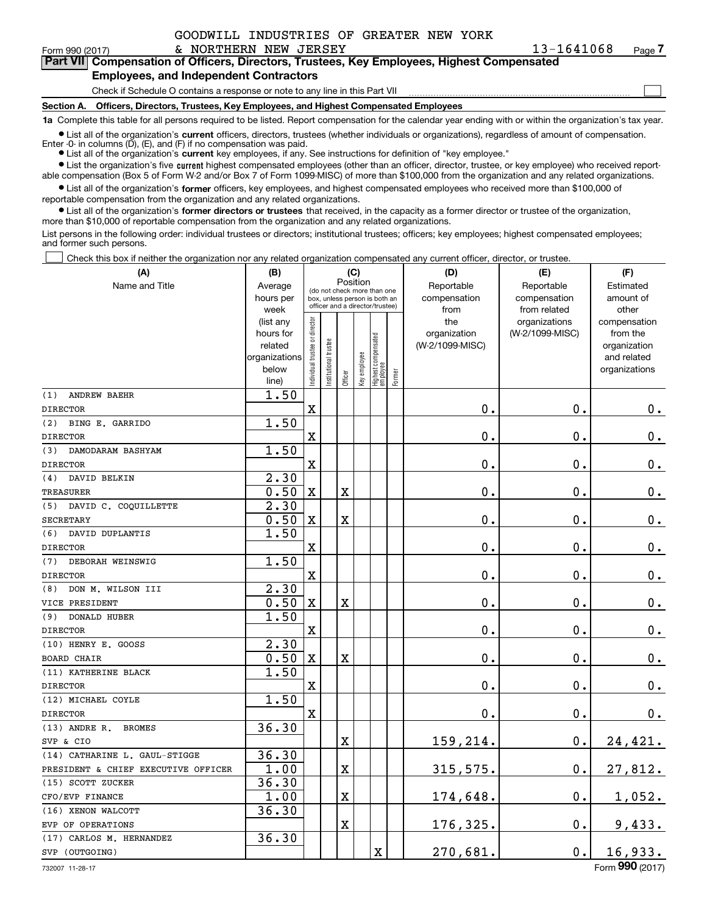$\mathcal{L}^{\text{max}}$ 

|  | Form 990 (2017) |
|--|-----------------|
|  |                 |

**7Part VII Compensation of Officers, Directors, Trustees, Key Employees, Highest Compensated Employees, and Independent Contractors**

Check if Schedule O contains a response or note to any line in this Part VII

**Section A. Officers, Directors, Trustees, Key Employees, and Highest Compensated Employees**

**1a**  Complete this table for all persons required to be listed. Report compensation for the calendar year ending with or within the organization's tax year.

**•** List all of the organization's current officers, directors, trustees (whether individuals or organizations), regardless of amount of compensation.

● List all of the organization's **current** key employees, if any. See instructions for definition of "key employee." Enter -0- in columns  $(D)$ ,  $(E)$ , and  $(F)$  if no compensation was paid.

**•** List the organization's five current highest compensated employees (other than an officer, director, trustee, or key employee) who received report-

 $\bullet$  List all of the organization's **former** officers, key employees, and highest compensated employees who received more than \$100,000 of able compensation (Box 5 of Form W-2 and/or Box 7 of Form 1099-MISC) of more than \$100,000 from the organization and any related organizations.

**•** List all of the organization's former directors or trustees that received, in the capacity as a former director or trustee of the organization, reportable compensation from the organization and any related organizations. more than \$10,000 of reportable compensation from the organization and any related organizations.

List persons in the following order: individual trustees or directors; institutional trustees; officers; key employees; highest compensated employees; and former such persons.

Check this box if neither the organization nor any related organization compensated any current officer, director, or trustee.  $\mathcal{L}^{\text{max}}$ 

| Position<br>Name and Title<br>Reportable<br>Reportable<br>Estimated<br>Average<br>(do not check more than one<br>hours per<br>compensation<br>compensation<br>amount of<br>box, unless person is both an<br>officer and a director/trustee)<br>from related<br>week<br>from<br>other<br>Individual trustee or director<br>the<br>organizations<br>compensation<br>(list any<br>(W-2/1099-MISC)<br>hours for<br>organization<br>from the<br>Highest compensated<br> employee<br>Institutional trustee<br>related<br>(W-2/1099-MISC)<br>organization<br>Key employee<br>organizations<br>and related<br>below<br>organizations<br>Former<br>Officer<br>line)<br>1.50<br><b>ANDREW BAEHR</b><br>(1)<br>$\mathbf X$<br>0.<br>0.<br>$0_{.}$<br><b>DIRECTOR</b><br>1.50<br>(2)<br>BING E. GARRIDO<br>$\overline{\mathbf{X}}$<br>0.<br>0.<br>0.<br><b>DIRECTOR</b><br>1.50<br>(3)<br>DAMODARAM BASHYAM<br>0.<br>$\mathbf x$<br>0.<br>$0_{.}$<br><b>DIRECTOR</b><br>2.30<br>(4)<br>DAVID BELKIN<br>0.50<br>0.<br>$\mathbf X$<br>$\overline{\textbf{X}}$<br>0.<br>$0_{\cdot}$<br><b>TREASURER</b><br>2.30<br>(5) DAVID C. COQUILLETTE<br>0.50<br>0.<br>$\mathbf X$<br>X<br>0.<br>$\mathbf 0$ .<br><b>SECRETARY</b><br>DAVID DUPLANTIS<br>1.50<br>(6)<br>$\mathbf X$<br>0.<br>0.<br>$\mathbf 0$ .<br><b>DIRECTOR</b><br>1.50<br>(7)<br>DEBORAH WEINSWIG<br>0.<br>$\mathbf X$<br>0.<br>$0_{.}$<br><b>DIRECTOR</b><br>2.30<br>DON M. WILSON III<br>(8)<br>$\mathbf X$<br>0.<br>0.<br>0.50<br>X<br>$\mathbf 0$ .<br>VICE PRESIDENT<br>1.50<br><b>DONALD HUBER</b><br>(9)<br>0.<br>$\mathbf X$<br>0.<br>$\mathbf 0$ .<br><b>DIRECTOR</b><br>2.30<br>(10) HENRY E. GOOSS<br>0.50<br>0.<br>0.<br>$\mathbf X$<br>X<br>0.<br><b>BOARD CHAIR</b><br>1.50<br>(11) KATHERINE BLACK<br>0.<br>0.<br>$\mathbf X$<br>0.<br><b>DIRECTOR</b><br>1.50<br>(12) MICHAEL COYLE<br>0.<br>$\mathbf x$<br>0.<br>0.<br><b>DIRECTOR</b><br>36.30<br>$(13)$ ANDRE R.<br><b>BROMES</b><br>159,214.<br>0.<br>24,421.<br>X<br>SVP & CIO<br>36.30<br>(14) CATHARINE L. GAUL-STIGGE<br>1.00<br>27,812.<br>X<br>315,575.<br>0.<br>PRESIDENT & CHIEF EXECUTIVE OFFICER<br>36.30<br>(15) SCOTT ZUCKER<br>1.00<br>X<br>174,648.<br>0.<br>1,052.<br>CFO/EVP FINANCE<br>36.30<br>(16) XENON WALCOTT<br>$\overline{\mathbf{X}}$<br>$\mathbf 0$ .<br>176,325.<br>9,433.<br>EVP OF OPERATIONS<br>36.30<br>(17) CARLOS M. HERNANDEZ<br>$\overline{\text{X}}$<br>270,681.<br>$0$ .<br>16,933.<br>SVP (OUTGOING) | (A) | (B) |  | (C) |  | (D) | (E) | (F) |
|------------------------------------------------------------------------------------------------------------------------------------------------------------------------------------------------------------------------------------------------------------------------------------------------------------------------------------------------------------------------------------------------------------------------------------------------------------------------------------------------------------------------------------------------------------------------------------------------------------------------------------------------------------------------------------------------------------------------------------------------------------------------------------------------------------------------------------------------------------------------------------------------------------------------------------------------------------------------------------------------------------------------------------------------------------------------------------------------------------------------------------------------------------------------------------------------------------------------------------------------------------------------------------------------------------------------------------------------------------------------------------------------------------------------------------------------------------------------------------------------------------------------------------------------------------------------------------------------------------------------------------------------------------------------------------------------------------------------------------------------------------------------------------------------------------------------------------------------------------------------------------------------------------------------------------------------------------------------------------------------------------------------------------------------------------------------------------------------------------------------------------------------------------------------------------------------------------------------------------------------------------------------------------------------------------------------------------------------------------------------------------------------------------------------------------------------------------|-----|-----|--|-----|--|-----|-----|-----|
|                                                                                                                                                                                                                                                                                                                                                                                                                                                                                                                                                                                                                                                                                                                                                                                                                                                                                                                                                                                                                                                                                                                                                                                                                                                                                                                                                                                                                                                                                                                                                                                                                                                                                                                                                                                                                                                                                                                                                                                                                                                                                                                                                                                                                                                                                                                                                                                                                                                            |     |     |  |     |  |     |     |     |
|                                                                                                                                                                                                                                                                                                                                                                                                                                                                                                                                                                                                                                                                                                                                                                                                                                                                                                                                                                                                                                                                                                                                                                                                                                                                                                                                                                                                                                                                                                                                                                                                                                                                                                                                                                                                                                                                                                                                                                                                                                                                                                                                                                                                                                                                                                                                                                                                                                                            |     |     |  |     |  |     |     |     |
|                                                                                                                                                                                                                                                                                                                                                                                                                                                                                                                                                                                                                                                                                                                                                                                                                                                                                                                                                                                                                                                                                                                                                                                                                                                                                                                                                                                                                                                                                                                                                                                                                                                                                                                                                                                                                                                                                                                                                                                                                                                                                                                                                                                                                                                                                                                                                                                                                                                            |     |     |  |     |  |     |     |     |
|                                                                                                                                                                                                                                                                                                                                                                                                                                                                                                                                                                                                                                                                                                                                                                                                                                                                                                                                                                                                                                                                                                                                                                                                                                                                                                                                                                                                                                                                                                                                                                                                                                                                                                                                                                                                                                                                                                                                                                                                                                                                                                                                                                                                                                                                                                                                                                                                                                                            |     |     |  |     |  |     |     |     |
|                                                                                                                                                                                                                                                                                                                                                                                                                                                                                                                                                                                                                                                                                                                                                                                                                                                                                                                                                                                                                                                                                                                                                                                                                                                                                                                                                                                                                                                                                                                                                                                                                                                                                                                                                                                                                                                                                                                                                                                                                                                                                                                                                                                                                                                                                                                                                                                                                                                            |     |     |  |     |  |     |     |     |
|                                                                                                                                                                                                                                                                                                                                                                                                                                                                                                                                                                                                                                                                                                                                                                                                                                                                                                                                                                                                                                                                                                                                                                                                                                                                                                                                                                                                                                                                                                                                                                                                                                                                                                                                                                                                                                                                                                                                                                                                                                                                                                                                                                                                                                                                                                                                                                                                                                                            |     |     |  |     |  |     |     |     |
|                                                                                                                                                                                                                                                                                                                                                                                                                                                                                                                                                                                                                                                                                                                                                                                                                                                                                                                                                                                                                                                                                                                                                                                                                                                                                                                                                                                                                                                                                                                                                                                                                                                                                                                                                                                                                                                                                                                                                                                                                                                                                                                                                                                                                                                                                                                                                                                                                                                            |     |     |  |     |  |     |     |     |
|                                                                                                                                                                                                                                                                                                                                                                                                                                                                                                                                                                                                                                                                                                                                                                                                                                                                                                                                                                                                                                                                                                                                                                                                                                                                                                                                                                                                                                                                                                                                                                                                                                                                                                                                                                                                                                                                                                                                                                                                                                                                                                                                                                                                                                                                                                                                                                                                                                                            |     |     |  |     |  |     |     |     |
|                                                                                                                                                                                                                                                                                                                                                                                                                                                                                                                                                                                                                                                                                                                                                                                                                                                                                                                                                                                                                                                                                                                                                                                                                                                                                                                                                                                                                                                                                                                                                                                                                                                                                                                                                                                                                                                                                                                                                                                                                                                                                                                                                                                                                                                                                                                                                                                                                                                            |     |     |  |     |  |     |     |     |
|                                                                                                                                                                                                                                                                                                                                                                                                                                                                                                                                                                                                                                                                                                                                                                                                                                                                                                                                                                                                                                                                                                                                                                                                                                                                                                                                                                                                                                                                                                                                                                                                                                                                                                                                                                                                                                                                                                                                                                                                                                                                                                                                                                                                                                                                                                                                                                                                                                                            |     |     |  |     |  |     |     |     |
|                                                                                                                                                                                                                                                                                                                                                                                                                                                                                                                                                                                                                                                                                                                                                                                                                                                                                                                                                                                                                                                                                                                                                                                                                                                                                                                                                                                                                                                                                                                                                                                                                                                                                                                                                                                                                                                                                                                                                                                                                                                                                                                                                                                                                                                                                                                                                                                                                                                            |     |     |  |     |  |     |     |     |
|                                                                                                                                                                                                                                                                                                                                                                                                                                                                                                                                                                                                                                                                                                                                                                                                                                                                                                                                                                                                                                                                                                                                                                                                                                                                                                                                                                                                                                                                                                                                                                                                                                                                                                                                                                                                                                                                                                                                                                                                                                                                                                                                                                                                                                                                                                                                                                                                                                                            |     |     |  |     |  |     |     |     |
|                                                                                                                                                                                                                                                                                                                                                                                                                                                                                                                                                                                                                                                                                                                                                                                                                                                                                                                                                                                                                                                                                                                                                                                                                                                                                                                                                                                                                                                                                                                                                                                                                                                                                                                                                                                                                                                                                                                                                                                                                                                                                                                                                                                                                                                                                                                                                                                                                                                            |     |     |  |     |  |     |     |     |
|                                                                                                                                                                                                                                                                                                                                                                                                                                                                                                                                                                                                                                                                                                                                                                                                                                                                                                                                                                                                                                                                                                                                                                                                                                                                                                                                                                                                                                                                                                                                                                                                                                                                                                                                                                                                                                                                                                                                                                                                                                                                                                                                                                                                                                                                                                                                                                                                                                                            |     |     |  |     |  |     |     |     |
|                                                                                                                                                                                                                                                                                                                                                                                                                                                                                                                                                                                                                                                                                                                                                                                                                                                                                                                                                                                                                                                                                                                                                                                                                                                                                                                                                                                                                                                                                                                                                                                                                                                                                                                                                                                                                                                                                                                                                                                                                                                                                                                                                                                                                                                                                                                                                                                                                                                            |     |     |  |     |  |     |     |     |
|                                                                                                                                                                                                                                                                                                                                                                                                                                                                                                                                                                                                                                                                                                                                                                                                                                                                                                                                                                                                                                                                                                                                                                                                                                                                                                                                                                                                                                                                                                                                                                                                                                                                                                                                                                                                                                                                                                                                                                                                                                                                                                                                                                                                                                                                                                                                                                                                                                                            |     |     |  |     |  |     |     |     |
|                                                                                                                                                                                                                                                                                                                                                                                                                                                                                                                                                                                                                                                                                                                                                                                                                                                                                                                                                                                                                                                                                                                                                                                                                                                                                                                                                                                                                                                                                                                                                                                                                                                                                                                                                                                                                                                                                                                                                                                                                                                                                                                                                                                                                                                                                                                                                                                                                                                            |     |     |  |     |  |     |     |     |
|                                                                                                                                                                                                                                                                                                                                                                                                                                                                                                                                                                                                                                                                                                                                                                                                                                                                                                                                                                                                                                                                                                                                                                                                                                                                                                                                                                                                                                                                                                                                                                                                                                                                                                                                                                                                                                                                                                                                                                                                                                                                                                                                                                                                                                                                                                                                                                                                                                                            |     |     |  |     |  |     |     |     |
|                                                                                                                                                                                                                                                                                                                                                                                                                                                                                                                                                                                                                                                                                                                                                                                                                                                                                                                                                                                                                                                                                                                                                                                                                                                                                                                                                                                                                                                                                                                                                                                                                                                                                                                                                                                                                                                                                                                                                                                                                                                                                                                                                                                                                                                                                                                                                                                                                                                            |     |     |  |     |  |     |     |     |
|                                                                                                                                                                                                                                                                                                                                                                                                                                                                                                                                                                                                                                                                                                                                                                                                                                                                                                                                                                                                                                                                                                                                                                                                                                                                                                                                                                                                                                                                                                                                                                                                                                                                                                                                                                                                                                                                                                                                                                                                                                                                                                                                                                                                                                                                                                                                                                                                                                                            |     |     |  |     |  |     |     |     |
|                                                                                                                                                                                                                                                                                                                                                                                                                                                                                                                                                                                                                                                                                                                                                                                                                                                                                                                                                                                                                                                                                                                                                                                                                                                                                                                                                                                                                                                                                                                                                                                                                                                                                                                                                                                                                                                                                                                                                                                                                                                                                                                                                                                                                                                                                                                                                                                                                                                            |     |     |  |     |  |     |     |     |
|                                                                                                                                                                                                                                                                                                                                                                                                                                                                                                                                                                                                                                                                                                                                                                                                                                                                                                                                                                                                                                                                                                                                                                                                                                                                                                                                                                                                                                                                                                                                                                                                                                                                                                                                                                                                                                                                                                                                                                                                                                                                                                                                                                                                                                                                                                                                                                                                                                                            |     |     |  |     |  |     |     |     |
|                                                                                                                                                                                                                                                                                                                                                                                                                                                                                                                                                                                                                                                                                                                                                                                                                                                                                                                                                                                                                                                                                                                                                                                                                                                                                                                                                                                                                                                                                                                                                                                                                                                                                                                                                                                                                                                                                                                                                                                                                                                                                                                                                                                                                                                                                                                                                                                                                                                            |     |     |  |     |  |     |     |     |
|                                                                                                                                                                                                                                                                                                                                                                                                                                                                                                                                                                                                                                                                                                                                                                                                                                                                                                                                                                                                                                                                                                                                                                                                                                                                                                                                                                                                                                                                                                                                                                                                                                                                                                                                                                                                                                                                                                                                                                                                                                                                                                                                                                                                                                                                                                                                                                                                                                                            |     |     |  |     |  |     |     |     |
|                                                                                                                                                                                                                                                                                                                                                                                                                                                                                                                                                                                                                                                                                                                                                                                                                                                                                                                                                                                                                                                                                                                                                                                                                                                                                                                                                                                                                                                                                                                                                                                                                                                                                                                                                                                                                                                                                                                                                                                                                                                                                                                                                                                                                                                                                                                                                                                                                                                            |     |     |  |     |  |     |     |     |
|                                                                                                                                                                                                                                                                                                                                                                                                                                                                                                                                                                                                                                                                                                                                                                                                                                                                                                                                                                                                                                                                                                                                                                                                                                                                                                                                                                                                                                                                                                                                                                                                                                                                                                                                                                                                                                                                                                                                                                                                                                                                                                                                                                                                                                                                                                                                                                                                                                                            |     |     |  |     |  |     |     |     |
|                                                                                                                                                                                                                                                                                                                                                                                                                                                                                                                                                                                                                                                                                                                                                                                                                                                                                                                                                                                                                                                                                                                                                                                                                                                                                                                                                                                                                                                                                                                                                                                                                                                                                                                                                                                                                                                                                                                                                                                                                                                                                                                                                                                                                                                                                                                                                                                                                                                            |     |     |  |     |  |     |     |     |
|                                                                                                                                                                                                                                                                                                                                                                                                                                                                                                                                                                                                                                                                                                                                                                                                                                                                                                                                                                                                                                                                                                                                                                                                                                                                                                                                                                                                                                                                                                                                                                                                                                                                                                                                                                                                                                                                                                                                                                                                                                                                                                                                                                                                                                                                                                                                                                                                                                                            |     |     |  |     |  |     |     |     |
|                                                                                                                                                                                                                                                                                                                                                                                                                                                                                                                                                                                                                                                                                                                                                                                                                                                                                                                                                                                                                                                                                                                                                                                                                                                                                                                                                                                                                                                                                                                                                                                                                                                                                                                                                                                                                                                                                                                                                                                                                                                                                                                                                                                                                                                                                                                                                                                                                                                            |     |     |  |     |  |     |     |     |
|                                                                                                                                                                                                                                                                                                                                                                                                                                                                                                                                                                                                                                                                                                                                                                                                                                                                                                                                                                                                                                                                                                                                                                                                                                                                                                                                                                                                                                                                                                                                                                                                                                                                                                                                                                                                                                                                                                                                                                                                                                                                                                                                                                                                                                                                                                                                                                                                                                                            |     |     |  |     |  |     |     |     |
|                                                                                                                                                                                                                                                                                                                                                                                                                                                                                                                                                                                                                                                                                                                                                                                                                                                                                                                                                                                                                                                                                                                                                                                                                                                                                                                                                                                                                                                                                                                                                                                                                                                                                                                                                                                                                                                                                                                                                                                                                                                                                                                                                                                                                                                                                                                                                                                                                                                            |     |     |  |     |  |     |     |     |
|                                                                                                                                                                                                                                                                                                                                                                                                                                                                                                                                                                                                                                                                                                                                                                                                                                                                                                                                                                                                                                                                                                                                                                                                                                                                                                                                                                                                                                                                                                                                                                                                                                                                                                                                                                                                                                                                                                                                                                                                                                                                                                                                                                                                                                                                                                                                                                                                                                                            |     |     |  |     |  |     |     |     |
|                                                                                                                                                                                                                                                                                                                                                                                                                                                                                                                                                                                                                                                                                                                                                                                                                                                                                                                                                                                                                                                                                                                                                                                                                                                                                                                                                                                                                                                                                                                                                                                                                                                                                                                                                                                                                                                                                                                                                                                                                                                                                                                                                                                                                                                                                                                                                                                                                                                            |     |     |  |     |  |     |     |     |
|                                                                                                                                                                                                                                                                                                                                                                                                                                                                                                                                                                                                                                                                                                                                                                                                                                                                                                                                                                                                                                                                                                                                                                                                                                                                                                                                                                                                                                                                                                                                                                                                                                                                                                                                                                                                                                                                                                                                                                                                                                                                                                                                                                                                                                                                                                                                                                                                                                                            |     |     |  |     |  |     |     |     |
|                                                                                                                                                                                                                                                                                                                                                                                                                                                                                                                                                                                                                                                                                                                                                                                                                                                                                                                                                                                                                                                                                                                                                                                                                                                                                                                                                                                                                                                                                                                                                                                                                                                                                                                                                                                                                                                                                                                                                                                                                                                                                                                                                                                                                                                                                                                                                                                                                                                            |     |     |  |     |  |     |     |     |
|                                                                                                                                                                                                                                                                                                                                                                                                                                                                                                                                                                                                                                                                                                                                                                                                                                                                                                                                                                                                                                                                                                                                                                                                                                                                                                                                                                                                                                                                                                                                                                                                                                                                                                                                                                                                                                                                                                                                                                                                                                                                                                                                                                                                                                                                                                                                                                                                                                                            |     |     |  |     |  |     |     |     |
|                                                                                                                                                                                                                                                                                                                                                                                                                                                                                                                                                                                                                                                                                                                                                                                                                                                                                                                                                                                                                                                                                                                                                                                                                                                                                                                                                                                                                                                                                                                                                                                                                                                                                                                                                                                                                                                                                                                                                                                                                                                                                                                                                                                                                                                                                                                                                                                                                                                            |     |     |  |     |  |     |     |     |
|                                                                                                                                                                                                                                                                                                                                                                                                                                                                                                                                                                                                                                                                                                                                                                                                                                                                                                                                                                                                                                                                                                                                                                                                                                                                                                                                                                                                                                                                                                                                                                                                                                                                                                                                                                                                                                                                                                                                                                                                                                                                                                                                                                                                                                                                                                                                                                                                                                                            |     |     |  |     |  |     |     |     |
|                                                                                                                                                                                                                                                                                                                                                                                                                                                                                                                                                                                                                                                                                                                                                                                                                                                                                                                                                                                                                                                                                                                                                                                                                                                                                                                                                                                                                                                                                                                                                                                                                                                                                                                                                                                                                                                                                                                                                                                                                                                                                                                                                                                                                                                                                                                                                                                                                                                            |     |     |  |     |  |     |     |     |
|                                                                                                                                                                                                                                                                                                                                                                                                                                                                                                                                                                                                                                                                                                                                                                                                                                                                                                                                                                                                                                                                                                                                                                                                                                                                                                                                                                                                                                                                                                                                                                                                                                                                                                                                                                                                                                                                                                                                                                                                                                                                                                                                                                                                                                                                                                                                                                                                                                                            |     |     |  |     |  |     |     |     |
|                                                                                                                                                                                                                                                                                                                                                                                                                                                                                                                                                                                                                                                                                                                                                                                                                                                                                                                                                                                                                                                                                                                                                                                                                                                                                                                                                                                                                                                                                                                                                                                                                                                                                                                                                                                                                                                                                                                                                                                                                                                                                                                                                                                                                                                                                                                                                                                                                                                            |     |     |  |     |  |     |     |     |
|                                                                                                                                                                                                                                                                                                                                                                                                                                                                                                                                                                                                                                                                                                                                                                                                                                                                                                                                                                                                                                                                                                                                                                                                                                                                                                                                                                                                                                                                                                                                                                                                                                                                                                                                                                                                                                                                                                                                                                                                                                                                                                                                                                                                                                                                                                                                                                                                                                                            |     |     |  |     |  |     |     |     |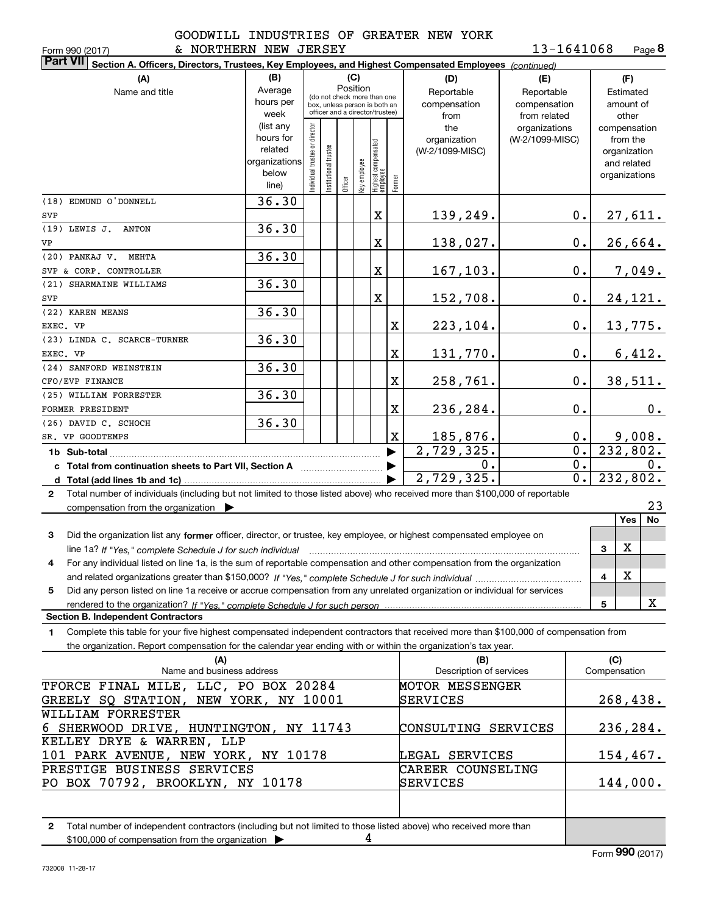**8**13-1641068

| & NORTHERN NEW JERSEY<br>Form 990 (2017)                                                                                                                                                                                                                     |               |                               |                      |                                                              |              |                                  |             |                         | 13-1641068      |                  | Page 8          |
|--------------------------------------------------------------------------------------------------------------------------------------------------------------------------------------------------------------------------------------------------------------|---------------|-------------------------------|----------------------|--------------------------------------------------------------|--------------|----------------------------------|-------------|-------------------------|-----------------|------------------|-----------------|
| <b>Part VII</b><br>Section A. Officers, Directors, Trustees, Key Employees, and Highest Compensated Employees (continued)                                                                                                                                    |               |                               |                      |                                                              |              |                                  |             |                         |                 |                  |                 |
| (A)                                                                                                                                                                                                                                                          | (B)           |                               |                      | (C)                                                          |              |                                  |             | (D)                     | (E)             |                  | (F)             |
| Name and title                                                                                                                                                                                                                                               | Average       |                               |                      | Position                                                     |              |                                  |             | Reportable              | Reportable      |                  | Estimated       |
|                                                                                                                                                                                                                                                              | hours per     |                               |                      | (do not check more than one<br>box, unless person is both an |              |                                  |             | compensation            | compensation    |                  | amount of       |
|                                                                                                                                                                                                                                                              | week          |                               |                      | officer and a director/trustee)                              |              |                                  |             | from                    | from related    |                  | other           |
|                                                                                                                                                                                                                                                              | (list any     |                               |                      |                                                              |              |                                  |             | the                     | organizations   |                  | compensation    |
|                                                                                                                                                                                                                                                              | hours for     |                               |                      |                                                              |              |                                  |             | organization            | (W-2/1099-MISC) |                  | from the        |
|                                                                                                                                                                                                                                                              | related       |                               |                      |                                                              |              |                                  |             | (W-2/1099-MISC)         |                 |                  | organization    |
|                                                                                                                                                                                                                                                              | organizations |                               |                      |                                                              |              |                                  |             |                         |                 |                  | and related     |
|                                                                                                                                                                                                                                                              | below         | ndividual trustee or director | nstitutional trustee |                                                              | Key employee |                                  |             |                         |                 |                  | organizations   |
|                                                                                                                                                                                                                                                              | line)         |                               |                      | Officer                                                      |              | Highest compensated<br> employee | Former      |                         |                 |                  |                 |
| (18) EDMUND O'DONNELL                                                                                                                                                                                                                                        | 36.30         |                               |                      |                                                              |              |                                  |             |                         |                 |                  |                 |
| SVP                                                                                                                                                                                                                                                          |               |                               |                      |                                                              |              | X                                |             | 139,249.                |                 | $0$ .            | 27,611.         |
| (19) LEWIS J. ANTON                                                                                                                                                                                                                                          | 36.30         |                               |                      |                                                              |              |                                  |             |                         |                 |                  |                 |
| VP                                                                                                                                                                                                                                                           |               |                               |                      |                                                              |              | X                                |             | 138,027.                |                 | $0$ .            | 26,664.         |
| (20) PANKAJ V. MEHTA                                                                                                                                                                                                                                         | 36.30         |                               |                      |                                                              |              |                                  |             |                         |                 |                  |                 |
| SVP & CORP. CONTROLLER                                                                                                                                                                                                                                       |               |                               |                      |                                                              |              | X                                |             | 167, 103.               |                 | 0.               | 7,049.          |
| (21) SHARMAINE WILLIAMS                                                                                                                                                                                                                                      | 36.30         |                               |                      |                                                              |              |                                  |             |                         |                 |                  |                 |
| SVP                                                                                                                                                                                                                                                          |               |                               |                      |                                                              |              | X                                |             | 152,708.                |                 | 0.               | 24, 121.        |
| (22) KAREN MEANS                                                                                                                                                                                                                                             | 36.30         |                               |                      |                                                              |              |                                  |             |                         |                 |                  |                 |
| EXEC. VP                                                                                                                                                                                                                                                     |               |                               |                      |                                                              |              |                                  | X           | 223,104.                |                 | 0.               | <u>13,775.</u>  |
| (23) LINDA C. SCARCE-TURNER                                                                                                                                                                                                                                  | 36.30         |                               |                      |                                                              |              |                                  |             |                         |                 |                  |                 |
| EXEC. VP                                                                                                                                                                                                                                                     |               |                               |                      |                                                              |              |                                  | $\mathbf X$ | 131,770.                |                 | 0.               | 6,412.          |
| (24) SANFORD WEINSTEIN                                                                                                                                                                                                                                       | 36.30         |                               |                      |                                                              |              |                                  |             |                         |                 |                  |                 |
| CFO/EVP FINANCE                                                                                                                                                                                                                                              |               |                               |                      |                                                              |              |                                  | $\mathbf X$ | 258,761.                |                 | 0.               | 38,511.         |
| (25) WILLIAM FORRESTER                                                                                                                                                                                                                                       | 36.30         |                               |                      |                                                              |              |                                  |             |                         |                 |                  |                 |
| FORMER PRESIDENT                                                                                                                                                                                                                                             |               |                               |                      |                                                              |              |                                  | $\mathbf X$ | 236,284.                |                 | 0.               | 0.              |
| (26) DAVID C. SCHOCH                                                                                                                                                                                                                                         | 36.30         |                               |                      |                                                              |              |                                  |             |                         |                 |                  |                 |
| SR. VP GOODTEMPS                                                                                                                                                                                                                                             |               |                               |                      |                                                              |              |                                  | X           | 185,876.                |                 | $0$ .            | 9,008.          |
|                                                                                                                                                                                                                                                              |               |                               |                      |                                                              |              |                                  |             | 2,729,325.              |                 | $\overline{0}$ . | 232,802.        |
| c Total from continuation sheets to Part VII, Section A <b>Constant Contact Part</b>                                                                                                                                                                         |               |                               |                      |                                                              |              |                                  |             | 0.                      |                 | $\overline{0}$ . | 0.              |
|                                                                                                                                                                                                                                                              |               |                               |                      |                                                              |              |                                  |             | 2,729,325.              |                 | $\overline{0}$ . | 232,802.        |
| Total number of individuals (including but not limited to those listed above) who received more than \$100,000 of reportable<br>$\mathbf{2}$                                                                                                                 |               |                               |                      |                                                              |              |                                  |             |                         |                 |                  |                 |
| compensation from the organization $\blacktriangleright$                                                                                                                                                                                                     |               |                               |                      |                                                              |              |                                  |             |                         |                 |                  | 23              |
|                                                                                                                                                                                                                                                              |               |                               |                      |                                                              |              |                                  |             |                         |                 |                  | Yes<br>No       |
| Did the organization list any former officer, director, or trustee, key employee, or highest compensated employee on<br>3                                                                                                                                    |               |                               |                      |                                                              |              |                                  |             |                         |                 |                  |                 |
| line 1a? If "Yes," complete Schedule J for such individual manufactured contained and the 1a? If "Yes," complete Schedule J for such individual                                                                                                              |               |                               |                      |                                                              |              |                                  |             |                         |                 |                  | X<br>3          |
| For any individual listed on line 1a, is the sum of reportable compensation and other compensation from the organization                                                                                                                                     |               |                               |                      |                                                              |              |                                  |             |                         |                 |                  |                 |
|                                                                                                                                                                                                                                                              |               |                               |                      |                                                              |              |                                  |             |                         |                 |                  | х<br>4          |
| Did any person listed on line 1a receive or accrue compensation from any unrelated organization or individual for services<br>5                                                                                                                              |               |                               |                      |                                                              |              |                                  |             |                         |                 |                  |                 |
| <b>Section B. Independent Contractors</b>                                                                                                                                                                                                                    |               |                               |                      |                                                              |              |                                  |             |                         |                 |                  | x<br>5          |
|                                                                                                                                                                                                                                                              |               |                               |                      |                                                              |              |                                  |             |                         |                 |                  |                 |
| Complete this table for your five highest compensated independent contractors that received more than \$100,000 of compensation from<br>1.<br>the organization. Report compensation for the calendar year ending with or within the organization's tax year. |               |                               |                      |                                                              |              |                                  |             |                         |                 |                  |                 |
| (A)                                                                                                                                                                                                                                                          |               |                               |                      |                                                              |              |                                  |             | (B)                     |                 |                  | (C)             |
| Name and business address                                                                                                                                                                                                                                    |               |                               |                      |                                                              |              |                                  |             | Description of services |                 |                  | Compensation    |
| TFORCE FINAL MILE, LLC, PO BOX 20284                                                                                                                                                                                                                         |               |                               |                      |                                                              |              |                                  |             | MOTOR MESSENGER         |                 |                  |                 |
| GREELY SQ STATION, NEW YORK, NY 10001                                                                                                                                                                                                                        |               |                               |                      |                                                              |              |                                  |             | SERVICES                |                 |                  | <u>268,438.</u> |
| WILLIAM FORRESTER                                                                                                                                                                                                                                            |               |                               |                      |                                                              |              |                                  |             |                         |                 |                  |                 |
| 6 SHERWOOD DRIVE, HUNTINGTON, NY 11743                                                                                                                                                                                                                       |               |                               |                      |                                                              |              |                                  |             | CONSULTING SERVICES     |                 |                  | 236, 284.       |
| KELLEY DRYE & WARREN, LLP                                                                                                                                                                                                                                    |               |                               |                      |                                                              |              |                                  |             |                         |                 |                  |                 |
| 101 PARK AVENUE, NEW YORK, NY 10178                                                                                                                                                                                                                          |               |                               |                      |                                                              |              |                                  |             | LEGAL SERVICES          |                 |                  | <u>154,467.</u> |
| PRESTIGE BUSINESS SERVICES                                                                                                                                                                                                                                   |               |                               |                      |                                                              |              |                                  |             | CAREER COUNSELING       |                 |                  |                 |
| PO BOX 70792, BROOKLYN, NY 10178                                                                                                                                                                                                                             |               |                               |                      |                                                              |              |                                  |             | SERVICES                |                 |                  | 144,000.        |
|                                                                                                                                                                                                                                                              |               |                               |                      |                                                              |              |                                  |             |                         |                 |                  |                 |
|                                                                                                                                                                                                                                                              |               |                               |                      |                                                              |              |                                  |             |                         |                 |                  |                 |

**2**Total number of independent contractors (including but not limited to those listed above) who received more than \$100,000 of compensation from the organization  $\blacktriangleright$ 4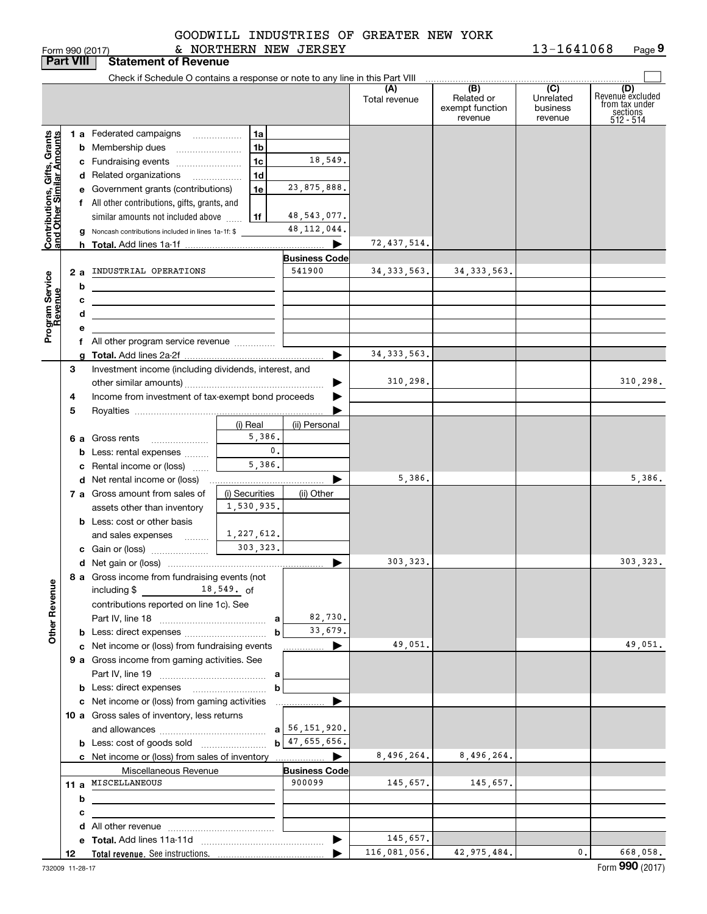|                                                           |                  | Form 990 (2017)                                                               | & NORTHERN NEW JERSEY |                                |                      |                                                 | 13-1641068<br>Page 9                    |                                                                    |  |
|-----------------------------------------------------------|------------------|-------------------------------------------------------------------------------|-----------------------|--------------------------------|----------------------|-------------------------------------------------|-----------------------------------------|--------------------------------------------------------------------|--|
|                                                           | <b>Part VIII</b> | <b>Statement of Revenue</b>                                                   |                       |                                |                      |                                                 |                                         |                                                                    |  |
|                                                           |                  | Check if Schedule O contains a response or note to any line in this Part VIII |                       |                                |                      |                                                 |                                         |                                                                    |  |
|                                                           |                  |                                                                               |                       |                                | (A)<br>Total revenue | (B)<br>Related or<br>exempt function<br>revenue | (C)<br>Unrelated<br>business<br>revenue | (D)<br>Revenuè excluded<br>from tax under<br>sections<br>512 - 514 |  |
|                                                           |                  | 1 a Federated campaigns                                                       | 1a                    |                                |                      |                                                 |                                         |                                                                    |  |
|                                                           |                  | <b>b</b> Membership dues                                                      | 1 <sub>b</sub>        |                                |                      |                                                 |                                         |                                                                    |  |
|                                                           |                  | c Fundraising events                                                          | 1 <sub>c</sub>        | 18,549.                        |                      |                                                 |                                         |                                                                    |  |
|                                                           |                  | d Related organizations                                                       | 1 <sub>d</sub>        |                                |                      |                                                 |                                         |                                                                    |  |
|                                                           |                  | e Government grants (contributions)                                           | 1e                    | 23,875,888.                    |                      |                                                 |                                         |                                                                    |  |
|                                                           |                  | f All other contributions, gifts, grants, and                                 |                       |                                |                      |                                                 |                                         |                                                                    |  |
| Contributions, Gifts, Grants<br>and Other Similar Amounts |                  | similar amounts not included above                                            | 1f                    | 48, 543, 077.                  |                      |                                                 |                                         |                                                                    |  |
|                                                           |                  | <b>g</b> Noncash contributions included in lines 1a-1f: \$                    |                       | 48, 112, 044.                  |                      |                                                 |                                         |                                                                    |  |
|                                                           |                  |                                                                               |                       |                                | 72, 437, 514.        |                                                 |                                         |                                                                    |  |
|                                                           |                  |                                                                               |                       | <b>Business Code</b>           |                      |                                                 |                                         |                                                                    |  |
|                                                           | 2a               | INDUSTRIAL OPERATIONS                                                         |                       | 541900                         | 34, 333, 563.        | 34, 333, 563.                                   |                                         |                                                                    |  |
|                                                           | b                | <u> 1980 - Johann Barbara, martxa alemaniar a</u>                             |                       |                                |                      |                                                 |                                         |                                                                    |  |
|                                                           | с                |                                                                               |                       |                                |                      |                                                 |                                         |                                                                    |  |
|                                                           | d                |                                                                               |                       |                                |                      |                                                 |                                         |                                                                    |  |
| Program Service<br>Revenue                                | е                |                                                                               |                       |                                |                      |                                                 |                                         |                                                                    |  |
|                                                           |                  | f All other program service revenue <i>mimimum</i>                            |                       |                                |                      |                                                 |                                         |                                                                    |  |
|                                                           |                  |                                                                               |                       |                                | 34, 333, 563.        |                                                 |                                         |                                                                    |  |
|                                                           | 3                | Investment income (including dividends, interest, and                         |                       |                                |                      |                                                 |                                         |                                                                    |  |
|                                                           |                  |                                                                               |                       |                                | 310,298.             |                                                 |                                         | 310,298.                                                           |  |
|                                                           | 4                | Income from investment of tax-exempt bond proceeds                            |                       |                                |                      |                                                 |                                         |                                                                    |  |
|                                                           | 5                |                                                                               |                       |                                |                      |                                                 |                                         |                                                                    |  |
|                                                           |                  |                                                                               | (i) Real              | (ii) Personal                  |                      |                                                 |                                         |                                                                    |  |
|                                                           |                  | 6 a Gross rents                                                               | 5,386.                |                                |                      |                                                 |                                         |                                                                    |  |
|                                                           |                  | <b>b</b> Less: rental expenses                                                | $\mathbf{0}$ .        |                                |                      |                                                 |                                         |                                                                    |  |
|                                                           |                  | c Rental income or (loss)                                                     | 5,386.                |                                |                      |                                                 |                                         |                                                                    |  |
|                                                           |                  | <b>d</b> Net rental income or (loss)                                          |                       |                                | 5,386.               |                                                 |                                         | 5,386.                                                             |  |
|                                                           |                  | 7 a Gross amount from sales of                                                | (i) Securities        | (ii) Other                     |                      |                                                 |                                         |                                                                    |  |
|                                                           |                  | assets other than inventory                                                   | 1,530,935.            |                                |                      |                                                 |                                         |                                                                    |  |
|                                                           |                  | <b>b</b> Less: cost or other basis                                            |                       |                                |                      |                                                 |                                         |                                                                    |  |
|                                                           |                  | and sales expenses                                                            | 1,227,612.            |                                |                      |                                                 |                                         |                                                                    |  |
|                                                           |                  | c Gain or (loss)                                                              | 303, 323.             |                                |                      |                                                 |                                         |                                                                    |  |
|                                                           |                  |                                                                               |                       |                                | 303,323.             |                                                 |                                         | 303, 323.                                                          |  |
|                                                           |                  | 8 a Gross income from fundraising events (not                                 |                       |                                |                      |                                                 |                                         |                                                                    |  |
|                                                           |                  | including $$$ 18,549. of                                                      |                       |                                |                      |                                                 |                                         |                                                                    |  |
|                                                           |                  | contributions reported on line 1c). See                                       |                       |                                |                      |                                                 |                                         |                                                                    |  |
|                                                           |                  |                                                                               |                       | 82,730.                        |                      |                                                 |                                         |                                                                    |  |
| <b>Other Revenue</b>                                      |                  |                                                                               |                       | 33,679.                        |                      |                                                 |                                         |                                                                    |  |
|                                                           |                  | c Net income or (loss) from fundraising events                                |                       |                                | 49,051.              |                                                 |                                         | 49,051.                                                            |  |
|                                                           |                  | 9 a Gross income from gaming activities. See                                  |                       |                                |                      |                                                 |                                         |                                                                    |  |
|                                                           |                  |                                                                               |                       |                                |                      |                                                 |                                         |                                                                    |  |
|                                                           |                  |                                                                               | b                     |                                |                      |                                                 |                                         |                                                                    |  |
|                                                           |                  | c Net income or (loss) from gaming activities                                 |                       | ▶                              |                      |                                                 |                                         |                                                                    |  |
|                                                           |                  | 10 a Gross sales of inventory, less returns                                   |                       |                                |                      |                                                 |                                         |                                                                    |  |
|                                                           |                  |                                                                               |                       | $b$ 47,655,656.                |                      |                                                 |                                         |                                                                    |  |
|                                                           |                  |                                                                               |                       |                                |                      |                                                 |                                         |                                                                    |  |
|                                                           |                  |                                                                               |                       |                                | 8,496,264.           | 8,496,264.                                      |                                         |                                                                    |  |
|                                                           |                  | Miscellaneous Revenue<br>11 a MISCELLANEOUS                                   |                       | <b>Business Code</b><br>900099 | 145,657.             | 145,657.                                        |                                         |                                                                    |  |
|                                                           |                  |                                                                               |                       |                                |                      |                                                 |                                         |                                                                    |  |
|                                                           | b                |                                                                               |                       |                                |                      |                                                 |                                         |                                                                    |  |
|                                                           | c                |                                                                               |                       |                                |                      |                                                 |                                         |                                                                    |  |
|                                                           |                  |                                                                               |                       | $\blacktriangleright$          | 145,657.             |                                                 |                                         |                                                                    |  |
|                                                           | 12               |                                                                               |                       |                                | 116,081,056.         | 42, 975, 484.                                   | 0.                                      | 668,058.                                                           |  |
|                                                           |                  |                                                                               |                       |                                |                      |                                                 |                                         |                                                                    |  |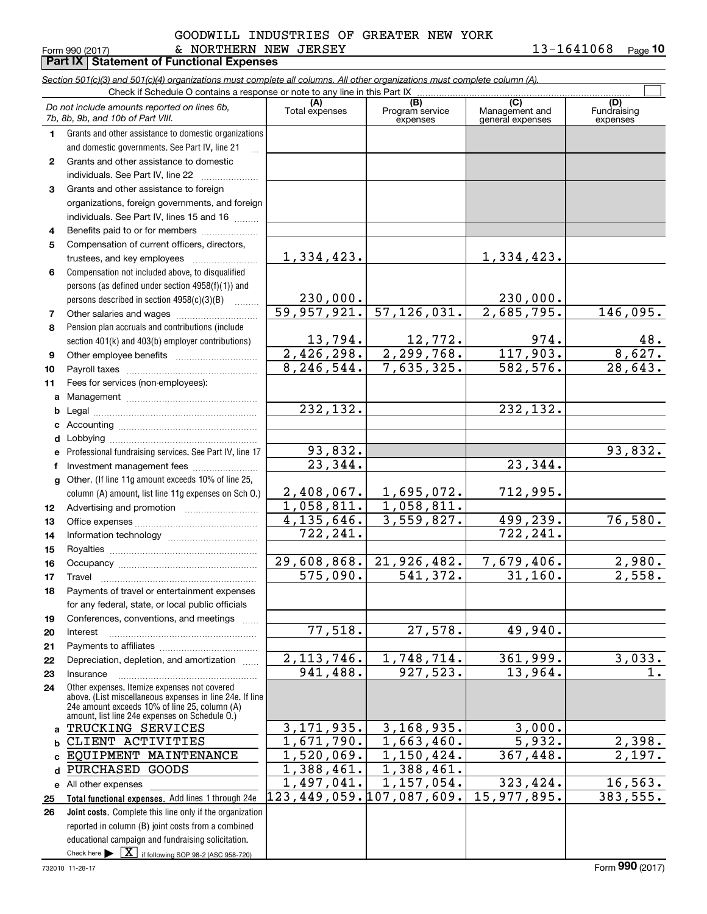#### Form 990 (2017) Page & NORTHERN NEW JERSEY GOODWILL INDUSTRIES OF GREATER NEW YORK

**Part IX Statement of Functional Expenses**

**10**

|                | Section 501(c)(3) and 501(c)(4) organizations must complete all columns. All other organizations must complete column (A).                                |                           |                             |                                    |                         |
|----------------|-----------------------------------------------------------------------------------------------------------------------------------------------------------|---------------------------|-----------------------------|------------------------------------|-------------------------|
|                | Check if Schedule O contains a response or note to any line in this Part IX                                                                               | (A)                       | (B)                         | (C)                                | (D)                     |
|                | Do not include amounts reported on lines 6b,<br>7b, 8b, 9b, and 10b of Part VIII.                                                                         | Total expenses            | Program service<br>expenses | Management and<br>general expenses | Fundraising<br>expenses |
| 1.             | Grants and other assistance to domestic organizations                                                                                                     |                           |                             |                                    |                         |
|                | and domestic governments. See Part IV, line 21                                                                                                            |                           |                             |                                    |                         |
| $\mathbf{2}^-$ | Grants and other assistance to domestic                                                                                                                   |                           |                             |                                    |                         |
|                | individuals. See Part IV, line 22                                                                                                                         |                           |                             |                                    |                         |
| 3.             | Grants and other assistance to foreign                                                                                                                    |                           |                             |                                    |                         |
|                | organizations, foreign governments, and foreign                                                                                                           |                           |                             |                                    |                         |
|                | individuals. See Part IV, lines 15 and 16                                                                                                                 |                           |                             |                                    |                         |
| 4              | Benefits paid to or for members                                                                                                                           |                           |                             |                                    |                         |
| 5              | Compensation of current officers, directors,                                                                                                              |                           |                             |                                    |                         |
|                | trustees, and key employees                                                                                                                               | <u>1,334,423.</u>         |                             | <u>1,334,423.</u>                  |                         |
| 6              | Compensation not included above, to disqualified                                                                                                          |                           |                             |                                    |                         |
|                | persons (as defined under section 4958(f)(1)) and                                                                                                         |                           |                             |                                    |                         |
|                | persons described in section 4958(c)(3)(B)                                                                                                                | 230,000.                  |                             | 230,000.                           |                         |
| 7              |                                                                                                                                                           | 59,957,921.               | 57, 126, 031.               | $\overline{2,685,795}$ .           | 146,095.                |
| 8              | Pension plan accruals and contributions (include                                                                                                          |                           |                             |                                    |                         |
|                | section 401(k) and 403(b) employer contributions)                                                                                                         | 13,794.                   | 12,772.                     | 974.                               | 48.                     |
| 9              |                                                                                                                                                           | 2,426,298.                | 2, 299, 768.                | 117,903.                           | 8,627.                  |
| 10             |                                                                                                                                                           | 8, 246, 544.              | 7,635,325.                  | 582,576.                           | 28,643.                 |
| 11             | Fees for services (non-employees):                                                                                                                        |                           |                             |                                    |                         |
| a              |                                                                                                                                                           |                           |                             |                                    |                         |
| b              |                                                                                                                                                           | 232,132.                  |                             | 232, 132.                          |                         |
| c              |                                                                                                                                                           |                           |                             |                                    |                         |
| d              |                                                                                                                                                           |                           |                             |                                    |                         |
| е              | Professional fundraising services. See Part IV, line 17                                                                                                   | 93,832.                   |                             |                                    | 93,832.                 |
| f              | Investment management fees                                                                                                                                | 23,344.                   |                             | 23,344.                            |                         |
| g              | Other. (If line 11g amount exceeds 10% of line 25,                                                                                                        |                           |                             |                                    |                         |
|                | column (A) amount, list line 11g expenses on Sch O.)                                                                                                      | 2,408,067.                | 1,695,072.                  | 712,995.                           |                         |
| 12             |                                                                                                                                                           | 1,058,811.                | 1,058,811.                  |                                    |                         |
| 13             |                                                                                                                                                           | $\overline{4,135}$ , 646. | 3,559,827.                  | 499,239.                           | 76,580.                 |
| 14             |                                                                                                                                                           | 722, 241.                 |                             | 722,241.                           |                         |
| 15             |                                                                                                                                                           |                           |                             |                                    |                         |
| 16             |                                                                                                                                                           | 29,608,868.               | 21,926,482.                 | 7,679,406.                         | 2,980.                  |
| 17             |                                                                                                                                                           | $\overline{575,090}$ .    | $\overline{541,372}$ .      | 31, 160.                           | 2,558.                  |
| 18             | Payments of travel or entertainment expenses                                                                                                              |                           |                             |                                    |                         |
|                | for any federal, state, or local public officials                                                                                                         |                           |                             |                                    |                         |
| 19             | Conferences, conventions, and meetings                                                                                                                    |                           |                             |                                    |                         |
| 20             | Interest                                                                                                                                                  | 77,518.                   | 27,578.                     | 49,940.                            |                         |
| 21             |                                                                                                                                                           |                           |                             |                                    |                         |
| 22             | Depreciation, depletion, and amortization                                                                                                                 | 2, 113, 746.              | 1,748,714.                  | 361,999.                           | 3,033.                  |
| 23             | Insurance                                                                                                                                                 | 941,488.                  | 927,523.                    | 13,964.                            | 1.                      |
| 24             | Other expenses. Itemize expenses not covered<br>above. (List miscellaneous expenses in line 24e. If line<br>24e amount exceeds 10% of line 25, column (A) |                           |                             |                                    |                         |
| a              | amount, list line 24e expenses on Schedule O.)<br>TRUCKING SERVICES                                                                                       | 3, 171, 935.              | 3, 168, 935.                | 3,000.                             |                         |
|                | CLIENT ACTIVITIES                                                                                                                                         | 1,671,790.                | 1,663,460.                  | 5,932.                             | 2,398.                  |
| b<br>C.        | EQUIPMENT MAINTENANCE                                                                                                                                     | $\overline{1,520,069}$ .  | 1,150,424.                  | 367,448.                           | 2,197.                  |
| d              | PURCHASED<br>GOODS                                                                                                                                        | 1,388,461.                | 1,388,461.                  |                                    |                         |
|                | e All other expenses                                                                                                                                      | $\overline{1,497},041.$   | 1, 157, 054.                | 323,424.                           | 16, 563.                |
| 25             | Total functional expenses. Add lines 1 through 24e                                                                                                        | 123,449,059.107,087,609.  |                             | 15,977,895.                        | 383,555.                |
| 26             | Joint costs. Complete this line only if the organization                                                                                                  |                           |                             |                                    |                         |
|                | reported in column (B) joint costs from a combined                                                                                                        |                           |                             |                                    |                         |
|                | educational campaign and fundraising solicitation.                                                                                                        |                           |                             |                                    |                         |
|                | Check here $\blacktriangleright$ $\boxed{X}$ if following SOP 98-2 (ASC 958-720)                                                                          |                           |                             |                                    |                         |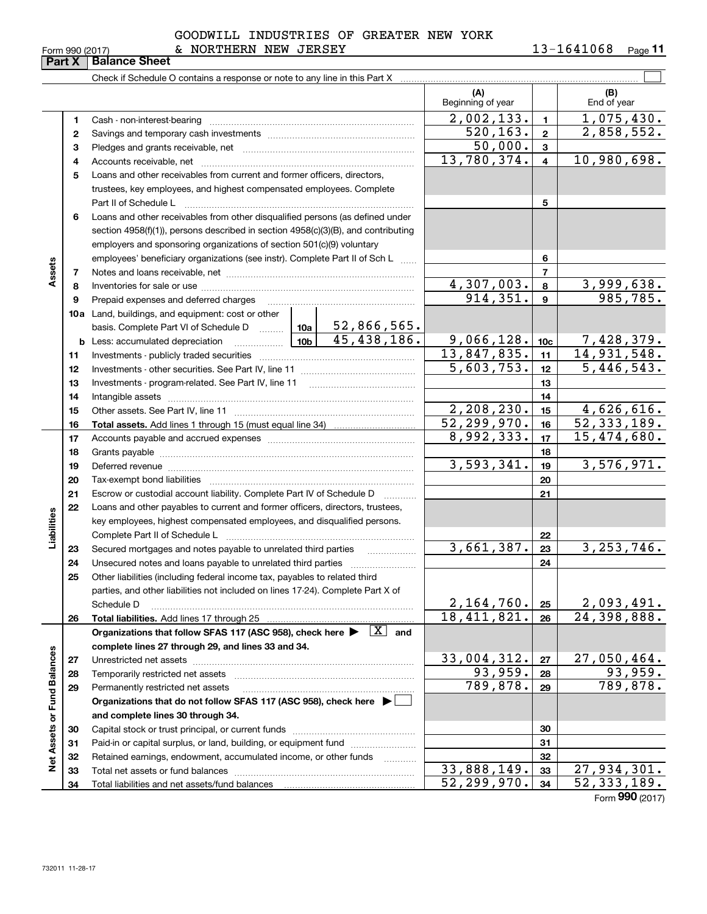|                 | GOODWILL INDUSTRIES OF GREATER NEW YORK |            |         |
|-----------------|-----------------------------------------|------------|---------|
| Form 990 (2017) | NORTHERN NEW JERSEY                     | 13-1641068 | Page 11 |

|                             |    | Check if Schedule O contains a response or note to any line in this Part X                                                                               |                             |                   |                           |                 |                             |
|-----------------------------|----|----------------------------------------------------------------------------------------------------------------------------------------------------------|-----------------------------|-------------------|---------------------------|-----------------|-----------------------------|
|                             |    |                                                                                                                                                          |                             |                   | (A)<br>Beginning of year  |                 | (B)<br>End of year          |
|                             | 1. |                                                                                                                                                          |                             |                   | 2,002,133.                | $\mathbf{1}$    | 1,075,430.                  |
|                             | 2  |                                                                                                                                                          |                             |                   | 520, 163.                 | $\overline{2}$  | 2,858,552.                  |
|                             | З  |                                                                                                                                                          |                             | 50,000.           | 3                         |                 |                             |
|                             | 4  |                                                                                                                                                          |                             |                   | 13,780,374.               | 4               | 10,980,698.                 |
|                             | 5  | Loans and other receivables from current and former officers, directors,                                                                                 |                             |                   |                           |                 |                             |
|                             |    | trustees, key employees, and highest compensated employees. Complete                                                                                     |                             |                   |                           |                 |                             |
|                             |    | Part II of Schedule L                                                                                                                                    |                             | 5                 |                           |                 |                             |
|                             | 6  | Loans and other receivables from other disqualified persons (as defined under                                                                            |                             |                   |                           |                 |                             |
|                             |    | section 4958(f)(1)), persons described in section 4958(c)(3)(B), and contributing                                                                        |                             |                   |                           |                 |                             |
|                             |    | employers and sponsoring organizations of section 501(c)(9) voluntary                                                                                    |                             |                   |                           |                 |                             |
|                             |    | employees' beneficiary organizations (see instr). Complete Part II of Sch L                                                                              |                             |                   |                           | 6               |                             |
| Assets                      | 7  |                                                                                                                                                          |                             |                   |                           | 7               |                             |
|                             | 8  |                                                                                                                                                          |                             |                   | 4,307,003.                | 8               | 3,999,638.                  |
|                             | 9  | Prepaid expenses and deferred charges                                                                                                                    |                             |                   | 914, 351.                 | 9               | 985,785.                    |
|                             |    | 10a Land, buildings, and equipment: cost or other                                                                                                        |                             |                   |                           |                 |                             |
|                             |    | basis. Complete Part VI of Schedule D    10a                                                                                                             |                             | 52,866,565.       |                           |                 |                             |
|                             |    |                                                                                                                                                          |                             | 45,438,186.       | 9,066,128.                | 10 <sub>c</sub> | 7,428,379.                  |
|                             | 11 |                                                                                                                                                          |                             |                   | 13,847,835.               | 11              | 14,931,548.                 |
|                             | 12 |                                                                                                                                                          |                             |                   | 5,603,753.                | 12              | 5,446,543.                  |
|                             | 13 | Investments - program-related. See Part IV, line 11                                                                                                      |                             |                   |                           | 13              |                             |
|                             | 14 |                                                                                                                                                          |                             | 14                |                           |                 |                             |
|                             | 15 |                                                                                                                                                          | 2,208,230.                  | 15                | 4,626,616.                |                 |                             |
|                             | 16 |                                                                                                                                                          |                             |                   | $\overline{52,299,970}$ . | 16              | $\overline{52}$ , 333, 189. |
|                             | 17 |                                                                                                                                                          | 8,992,333.                  | 17                | 15,474,680.               |                 |                             |
|                             | 18 |                                                                                                                                                          |                             |                   | 3,593,341.                | 18              |                             |
|                             | 19 |                                                                                                                                                          |                             |                   |                           | 19              | 3,576,971.                  |
|                             | 20 |                                                                                                                                                          |                             |                   |                           | 20              |                             |
|                             | 21 | Escrow or custodial account liability. Complete Part IV of Schedule D                                                                                    |                             |                   |                           | 21              |                             |
| Liabilities                 | 22 | Loans and other payables to current and former officers, directors, trustees,<br>key employees, highest compensated employees, and disqualified persons. |                             |                   |                           |                 |                             |
|                             |    | Complete Part II of Schedule L                                                                                                                           |                             |                   |                           | 22              |                             |
|                             | 23 | Secured mortgages and notes payable to unrelated third parties                                                                                           |                             |                   | 3,661,387.                | 23              | 3, 253, 746.                |
|                             | 24 | Unsecured notes and loans payable to unrelated third parties                                                                                             |                             |                   |                           | 24              |                             |
|                             | 25 | Other liabilities (including federal income tax, payables to related third                                                                               |                             |                   |                           |                 |                             |
|                             |    | parties, and other liabilities not included on lines 17-24). Complete Part X of                                                                          |                             |                   |                           |                 |                             |
|                             |    | Schedule D                                                                                                                                               |                             |                   | 2,164,760.                | 25              | 2,093,491.                  |
|                             | 26 | Total liabilities. Add lines 17 through 25                                                                                                               |                             |                   | 18,411,821.               | 26              | $\overline{24,398,888}$ .   |
|                             |    | Organizations that follow SFAS 117 (ASC 958), check here $\blacktriangleright \begin{array}{ c } \hline X & \text{and} \end{array}$                      |                             |                   |                           |                 |                             |
|                             |    | complete lines 27 through 29, and lines 33 and 34.                                                                                                       |                             |                   |                           |                 |                             |
|                             | 27 | Unrestricted net assets                                                                                                                                  |                             |                   | 33,004,312.               | 27              | 27,050,464.                 |
|                             | 28 |                                                                                                                                                          |                             |                   | 93,959.                   | 28              | 93,959.                     |
|                             | 29 | Permanently restricted net assets                                                                                                                        |                             |                   | 789,878.                  | 29              | 789,878.                    |
|                             |    | Organizations that do not follow SFAS 117 (ASC 958), check here $\blacktriangleright\Box$                                                                |                             |                   |                           |                 |                             |
|                             |    | and complete lines 30 through 34.                                                                                                                        |                             |                   |                           |                 |                             |
|                             | 30 | Capital stock or trust principal, or current funds                                                                                                       |                             |                   |                           | 30              |                             |
|                             | 31 | Paid-in or capital surplus, or land, building, or equipment fund                                                                                         |                             |                   |                           | 31              |                             |
| Net Assets or Fund Balances | 32 | Retained earnings, endowment, accumulated income, or other funds                                                                                         |                             | 1.1.1.1.1.1.1.1.1 |                           | 32              |                             |
|                             | 33 |                                                                                                                                                          |                             |                   | 33,888,149.               | 33              | 27,934,301.                 |
|                             | 34 |                                                                                                                                                          | $\overline{52}$ , 299, 970. | 34                | $\overline{52,333,189}$ . |                 |                             |

Form (2017) **990**

# **Part X Balance Sheet**

| Form 990 (2017) |  |  |
|-----------------|--|--|

 $\overline{a}$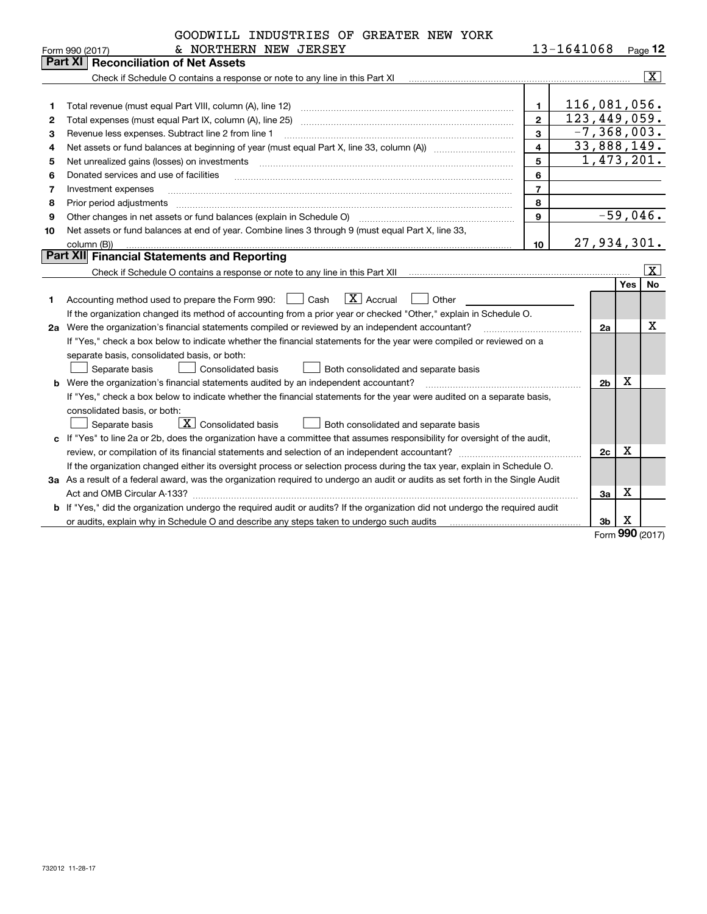|    | GOODWILL INDUSTRIES OF GREATER NEW YORK                                                                                         |                         |              |                 |          |                         |
|----|---------------------------------------------------------------------------------------------------------------------------------|-------------------------|--------------|-----------------|----------|-------------------------|
|    | & NORTHERN NEW JERSEY<br>Form 990 (2017)                                                                                        |                         | 13-1641068   |                 |          | Page $12$               |
|    | <b>Reconciliation of Net Assets</b><br>Part XI                                                                                  |                         |              |                 |          |                         |
|    |                                                                                                                                 |                         |              |                 |          | $\overline{\mathbf{x}}$ |
|    |                                                                                                                                 |                         |              |                 |          |                         |
| 1  | Total revenue (must equal Part VIII, column (A), line 12)                                                                       | $\mathbf{1}$            | 116,081,056. |                 |          |                         |
| 2  | Total expenses (must equal Part IX, column (A), line 25)                                                                        | $\mathbf{2}$            | 123,449,059. |                 |          |                         |
| з  | Revenue less expenses. Subtract line 2 from line 1                                                                              | 3                       |              | $-7, 368, 003.$ |          |                         |
| 4  |                                                                                                                                 | $\overline{\mathbf{4}}$ |              | 33,888,149.     |          |                         |
| 5  | Net unrealized gains (losses) on investments                                                                                    | 5                       |              | 1,473,201.      |          |                         |
| 6  | Donated services and use of facilities                                                                                          | 6                       |              |                 |          |                         |
| 7  | Investment expenses                                                                                                             | $\overline{7}$          |              |                 |          |                         |
| 8  | Prior period adjustments                                                                                                        | 8                       |              |                 |          |                         |
| 9  | Other changes in net assets or fund balances (explain in Schedule O)                                                            | $\mathbf{Q}$            |              |                 |          | $-59,046.$              |
| 10 | Net assets or fund balances at end of year. Combine lines 3 through 9 (must equal Part X, line 33,                              |                         |              |                 |          |                         |
|    | column (B))                                                                                                                     | 10                      |              | 27, 934, 301.   |          |                         |
|    | <b>Part XII</b> Financial Statements and Reporting                                                                              |                         |              |                 |          |                         |
|    |                                                                                                                                 |                         |              |                 |          | X                       |
|    |                                                                                                                                 |                         |              |                 | Yes      | <b>No</b>               |
| 1  | $\boxed{\text{X}}$ Accrual<br>Accounting method used to prepare the Form 990: <u>[16</u> ] Cash<br>Other                        |                         |              |                 |          |                         |
|    | If the organization changed its method of accounting from a prior year or checked "Other," explain in Schedule O.               |                         |              |                 |          |                         |
|    | 2a Were the organization's financial statements compiled or reviewed by an independent accountant?                              |                         |              | 2a              |          | $\mathbf X$             |
|    | If "Yes," check a box below to indicate whether the financial statements for the year were compiled or reviewed on a            |                         |              |                 |          |                         |
|    | separate basis, consolidated basis, or both:                                                                                    |                         |              |                 |          |                         |
|    | Separate basis<br>Consolidated basis<br>Both consolidated and separate basis                                                    |                         |              |                 |          |                         |
|    | b Were the organization's financial statements audited by an independent accountant?                                            |                         |              | 2 <sub>b</sub>  | x        |                         |
|    | If "Yes," check a box below to indicate whether the financial statements for the year were audited on a separate basis,         |                         |              |                 |          |                         |
|    | consolidated basis, or both:                                                                                                    |                         |              |                 |          |                         |
|    | $\boxed{\textbf{X}}$ Consolidated basis<br>Separate basis<br>Both consolidated and separate basis                               |                         |              |                 |          |                         |
|    | c If "Yes" to line 2a or 2b, does the organization have a committee that assumes responsibility for oversight of the audit,     |                         |              |                 |          |                         |
|    | review, or compilation of its financial statements and selection of an independent accountant?                                  |                         |              | 2c              | х        |                         |
|    | If the organization changed either its oversight process or selection process during the tax year, explain in Schedule O.       |                         |              |                 |          |                         |
|    | 3a As a result of a federal award, was the organization required to undergo an audit or audits as set forth in the Single Audit |                         |              |                 |          |                         |
|    |                                                                                                                                 |                         |              | 3a              | Х        |                         |
|    | b If "Yes," did the organization undergo the required audit or audits? If the organization did not undergo the required audit   |                         |              |                 |          |                         |
|    | or audits, explain why in Schedule O and describe any steps taken to undergo such audits                                        |                         |              | 3b              | х<br>nnr |                         |

Form (2017) **990**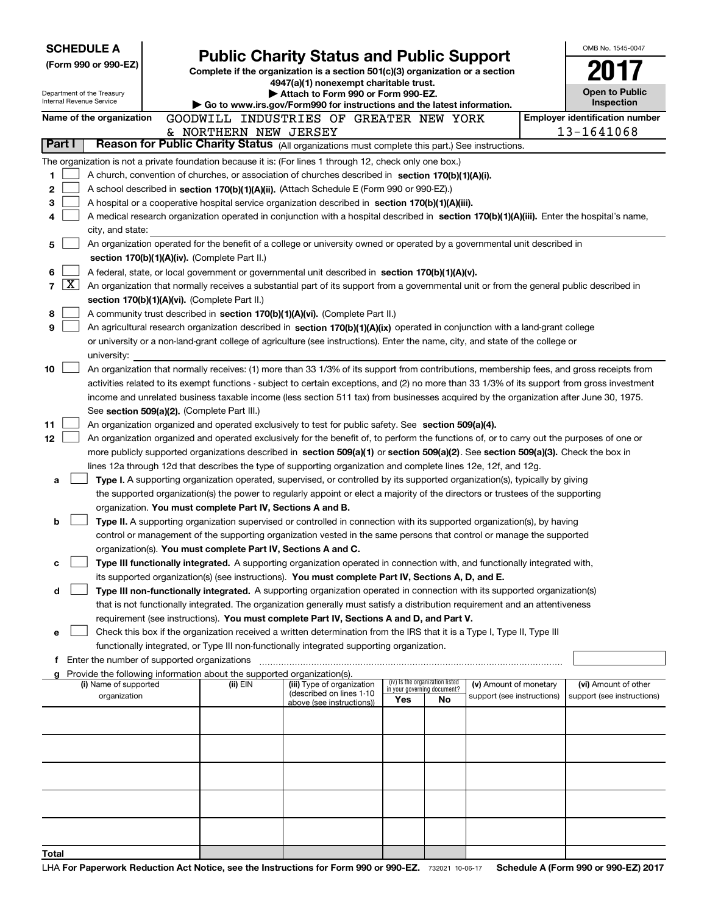| <b>SCHEDULE A</b>                                      |                                                                                                                                                                                                                                                                                  | <b>Public Charity Status and Public Support</b>                                                                   |                                                                |                            |  | OMB No. 1545-0047                     |
|--------------------------------------------------------|----------------------------------------------------------------------------------------------------------------------------------------------------------------------------------------------------------------------------------------------------------------------------------|-------------------------------------------------------------------------------------------------------------------|----------------------------------------------------------------|----------------------------|--|---------------------------------------|
| (Form 990 or 990-EZ)                                   |                                                                                                                                                                                                                                                                                  | Complete if the organization is a section 501(c)(3) organization or a section                                     |                                                                |                            |  |                                       |
|                                                        |                                                                                                                                                                                                                                                                                  | 4947(a)(1) nonexempt charitable trust.                                                                            |                                                                |                            |  |                                       |
| Department of the Treasury<br>Internal Revenue Service |                                                                                                                                                                                                                                                                                  | Attach to Form 990 or Form 990-EZ.                                                                                |                                                                |                            |  | <b>Open to Public</b><br>Inspection   |
| Name of the organization                               |                                                                                                                                                                                                                                                                                  | Go to www.irs.gov/Form990 for instructions and the latest information.<br>GOODWILL INDUSTRIES OF GREATER NEW YORK |                                                                |                            |  | <b>Employer identification number</b> |
|                                                        | & NORTHERN NEW JERSEY                                                                                                                                                                                                                                                            |                                                                                                                   |                                                                |                            |  | 13-1641068                            |
| Part I                                                 | Reason for Public Charity Status (All organizations must complete this part.) See instructions.                                                                                                                                                                                  |                                                                                                                   |                                                                |                            |  |                                       |
|                                                        | The organization is not a private foundation because it is: (For lines 1 through 12, check only one box.)                                                                                                                                                                        |                                                                                                                   |                                                                |                            |  |                                       |
| 1                                                      | A church, convention of churches, or association of churches described in section 170(b)(1)(A)(i).                                                                                                                                                                               |                                                                                                                   |                                                                |                            |  |                                       |
| 2                                                      | A school described in section 170(b)(1)(A)(ii). (Attach Schedule E (Form 990 or 990-EZ).)                                                                                                                                                                                        |                                                                                                                   |                                                                |                            |  |                                       |
| з                                                      | A hospital or a cooperative hospital service organization described in section 170(b)(1)(A)(iii).                                                                                                                                                                                |                                                                                                                   |                                                                |                            |  |                                       |
| 4                                                      | A medical research organization operated in conjunction with a hospital described in section 170(b)(1)(A)(iii). Enter the hospital's name,                                                                                                                                       |                                                                                                                   |                                                                |                            |  |                                       |
| city, and state:                                       |                                                                                                                                                                                                                                                                                  |                                                                                                                   |                                                                |                            |  |                                       |
| 5                                                      | An organization operated for the benefit of a college or university owned or operated by a governmental unit described in                                                                                                                                                        |                                                                                                                   |                                                                |                            |  |                                       |
| 6                                                      | section 170(b)(1)(A)(iv). (Complete Part II.)                                                                                                                                                                                                                                    |                                                                                                                   |                                                                |                            |  |                                       |
| $\overline{\mathbf{X}}$<br>7                           | A federal, state, or local government or governmental unit described in section 170(b)(1)(A)(v).<br>An organization that normally receives a substantial part of its support from a governmental unit or from the general public described in                                    |                                                                                                                   |                                                                |                            |  |                                       |
|                                                        | section 170(b)(1)(A)(vi). (Complete Part II.)                                                                                                                                                                                                                                    |                                                                                                                   |                                                                |                            |  |                                       |
| 8                                                      | A community trust described in section 170(b)(1)(A)(vi). (Complete Part II.)                                                                                                                                                                                                     |                                                                                                                   |                                                                |                            |  |                                       |
| 9                                                      | An agricultural research organization described in section 170(b)(1)(A)(ix) operated in conjunction with a land-grant college                                                                                                                                                    |                                                                                                                   |                                                                |                            |  |                                       |
|                                                        | or university or a non-land-grant college of agriculture (see instructions). Enter the name, city, and state of the college or                                                                                                                                                   |                                                                                                                   |                                                                |                            |  |                                       |
| university:                                            |                                                                                                                                                                                                                                                                                  |                                                                                                                   |                                                                |                            |  |                                       |
| 10                                                     | An organization that normally receives: (1) more than 33 1/3% of its support from contributions, membership fees, and gross receipts from                                                                                                                                        |                                                                                                                   |                                                                |                            |  |                                       |
|                                                        | activities related to its exempt functions - subject to certain exceptions, and (2) no more than 33 1/3% of its support from gross investment                                                                                                                                    |                                                                                                                   |                                                                |                            |  |                                       |
|                                                        | income and unrelated business taxable income (less section 511 tax) from businesses acquired by the organization after June 30, 1975.                                                                                                                                            |                                                                                                                   |                                                                |                            |  |                                       |
|                                                        | See section 509(a)(2). (Complete Part III.)                                                                                                                                                                                                                                      |                                                                                                                   |                                                                |                            |  |                                       |
| 11                                                     | An organization organized and operated exclusively to test for public safety. See section 509(a)(4).                                                                                                                                                                             |                                                                                                                   |                                                                |                            |  |                                       |
| 12                                                     | An organization organized and operated exclusively for the benefit of, to perform the functions of, or to carry out the purposes of one or<br>more publicly supported organizations described in section 509(a)(1) or section 509(a)(2). See section 509(a)(3). Check the box in |                                                                                                                   |                                                                |                            |  |                                       |
|                                                        | lines 12a through 12d that describes the type of supporting organization and complete lines 12e, 12f, and 12g.                                                                                                                                                                   |                                                                                                                   |                                                                |                            |  |                                       |
| а                                                      | Type I. A supporting organization operated, supervised, or controlled by its supported organization(s), typically by giving                                                                                                                                                      |                                                                                                                   |                                                                |                            |  |                                       |
|                                                        | the supported organization(s) the power to regularly appoint or elect a majority of the directors or trustees of the supporting                                                                                                                                                  |                                                                                                                   |                                                                |                            |  |                                       |
|                                                        | organization. You must complete Part IV, Sections A and B.                                                                                                                                                                                                                       |                                                                                                                   |                                                                |                            |  |                                       |
| b                                                      | Type II. A supporting organization supervised or controlled in connection with its supported organization(s), by having                                                                                                                                                          |                                                                                                                   |                                                                |                            |  |                                       |
|                                                        | control or management of the supporting organization vested in the same persons that control or manage the supported                                                                                                                                                             |                                                                                                                   |                                                                |                            |  |                                       |
|                                                        | organization(s). You must complete Part IV, Sections A and C.                                                                                                                                                                                                                    |                                                                                                                   |                                                                |                            |  |                                       |
| с                                                      | Type III functionally integrated. A supporting organization operated in connection with, and functionally integrated with,                                                                                                                                                       |                                                                                                                   |                                                                |                            |  |                                       |
|                                                        | its supported organization(s) (see instructions). You must complete Part IV, Sections A, D, and E.                                                                                                                                                                               |                                                                                                                   |                                                                |                            |  |                                       |
| d                                                      | Type III non-functionally integrated. A supporting organization operated in connection with its supported organization(s)                                                                                                                                                        |                                                                                                                   |                                                                |                            |  |                                       |
|                                                        | that is not functionally integrated. The organization generally must satisfy a distribution requirement and an attentiveness                                                                                                                                                     |                                                                                                                   |                                                                |                            |  |                                       |
| е                                                      | requirement (see instructions). You must complete Part IV, Sections A and D, and Part V.<br>Check this box if the organization received a written determination from the IRS that it is a Type I, Type II, Type III                                                              |                                                                                                                   |                                                                |                            |  |                                       |
|                                                        | functionally integrated, or Type III non-functionally integrated supporting organization.                                                                                                                                                                                        |                                                                                                                   |                                                                |                            |  |                                       |
|                                                        | f Enter the number of supported organizations                                                                                                                                                                                                                                    |                                                                                                                   |                                                                |                            |  |                                       |
|                                                        | Provide the following information about the supported organization(s).                                                                                                                                                                                                           |                                                                                                                   |                                                                |                            |  |                                       |
| (i) Name of supported                                  | (ii) EIN                                                                                                                                                                                                                                                                         | (iii) Type of organization<br>(described on lines 1-10                                                            | (iv) Is the organization listed<br>in your governing document? | (v) Amount of monetary     |  | (vi) Amount of other                  |
| organization                                           |                                                                                                                                                                                                                                                                                  | above (see instructions))                                                                                         | Yes<br><b>No</b>                                               | support (see instructions) |  | support (see instructions)            |
|                                                        |                                                                                                                                                                                                                                                                                  |                                                                                                                   |                                                                |                            |  |                                       |
|                                                        |                                                                                                                                                                                                                                                                                  |                                                                                                                   |                                                                |                            |  |                                       |
|                                                        |                                                                                                                                                                                                                                                                                  |                                                                                                                   |                                                                |                            |  |                                       |
|                                                        |                                                                                                                                                                                                                                                                                  |                                                                                                                   |                                                                |                            |  |                                       |
|                                                        |                                                                                                                                                                                                                                                                                  |                                                                                                                   |                                                                |                            |  |                                       |
|                                                        |                                                                                                                                                                                                                                                                                  |                                                                                                                   |                                                                |                            |  |                                       |
|                                                        |                                                                                                                                                                                                                                                                                  |                                                                                                                   |                                                                |                            |  |                                       |
|                                                        |                                                                                                                                                                                                                                                                                  |                                                                                                                   |                                                                |                            |  |                                       |
|                                                        |                                                                                                                                                                                                                                                                                  |                                                                                                                   |                                                                |                            |  |                                       |
| Total                                                  |                                                                                                                                                                                                                                                                                  |                                                                                                                   |                                                                |                            |  |                                       |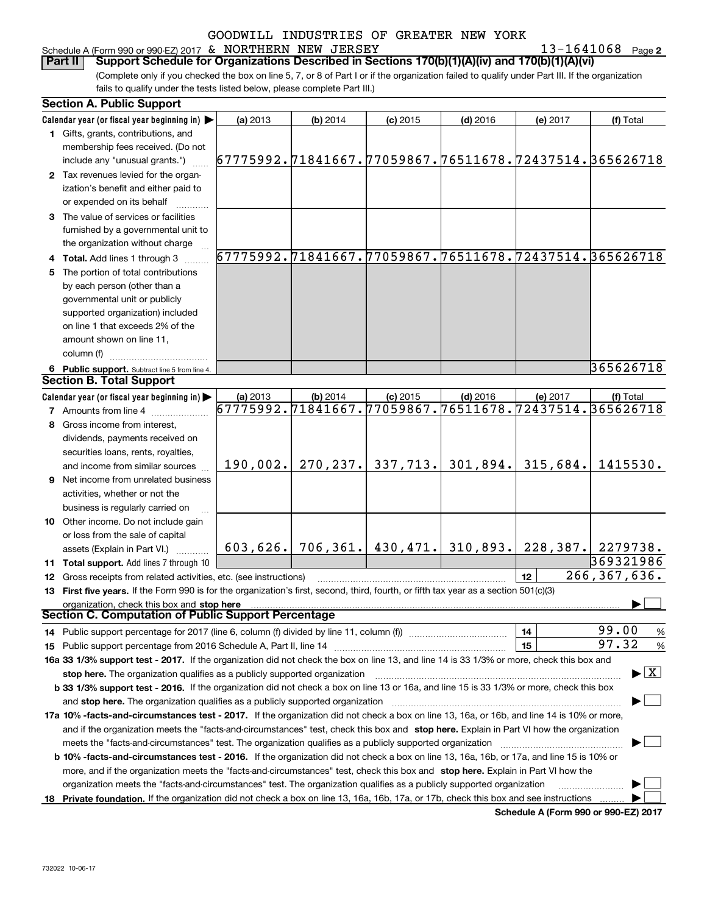### Schedule A (Form 990 or 990-EZ) 2017 Page & NORTHERN NEW JERSEY 13-1641068

**2**

(Complete only if you checked the box on line 5, 7, or 8 of Part I or if the organization failed to qualify under Part III. If the organization fails to qualify under the tests listed below, please complete Part III.) **Part II Support Schedule for Organizations Described in Sections 170(b)(1)(A)(iv) and 170(b)(1)(A)(vi)** 

|    | <b>Section A. Public Support</b>                                                                                                               |                                                        |            |            |                            |           |                                          |
|----|------------------------------------------------------------------------------------------------------------------------------------------------|--------------------------------------------------------|------------|------------|----------------------------|-----------|------------------------------------------|
|    | Calendar year (or fiscal year beginning in)                                                                                                    | (a) 2013                                               | $(b)$ 2014 | $(c)$ 2015 | $(d)$ 2016                 | (e) 2017  | (f) Total                                |
|    | 1 Gifts, grants, contributions, and                                                                                                            |                                                        |            |            |                            |           |                                          |
|    | membership fees received. (Do not                                                                                                              |                                                        |            |            |                            |           |                                          |
|    | include any "unusual grants.")                                                                                                                 | 67775992.71841667.77059867.76511678.72437514.365626718 |            |            |                            |           |                                          |
|    | 2 Tax revenues levied for the organ-                                                                                                           |                                                        |            |            |                            |           |                                          |
|    | ization's benefit and either paid to                                                                                                           |                                                        |            |            |                            |           |                                          |
|    | or expended on its behalf                                                                                                                      |                                                        |            |            |                            |           |                                          |
|    | 3 The value of services or facilities                                                                                                          |                                                        |            |            |                            |           |                                          |
|    | furnished by a governmental unit to                                                                                                            |                                                        |            |            |                            |           |                                          |
|    | the organization without charge                                                                                                                |                                                        |            |            |                            |           |                                          |
|    | 4 Total. Add lines 1 through 3                                                                                                                 | 67775992.71841667.77059867.76511678.72437514.365626718 |            |            |                            |           |                                          |
| 5  | The portion of total contributions                                                                                                             |                                                        |            |            |                            |           |                                          |
|    | by each person (other than a                                                                                                                   |                                                        |            |            |                            |           |                                          |
|    | governmental unit or publicly                                                                                                                  |                                                        |            |            |                            |           |                                          |
|    | supported organization) included                                                                                                               |                                                        |            |            |                            |           |                                          |
|    | on line 1 that exceeds 2% of the                                                                                                               |                                                        |            |            |                            |           |                                          |
|    | amount shown on line 11,                                                                                                                       |                                                        |            |            |                            |           |                                          |
|    | column (f)                                                                                                                                     |                                                        |            |            |                            |           |                                          |
|    | 6 Public support. Subtract line 5 from line 4.                                                                                                 |                                                        |            |            |                            |           | 365626718                                |
|    | <b>Section B. Total Support</b>                                                                                                                |                                                        |            |            |                            |           |                                          |
|    | Calendar year (or fiscal year beginning in) $\blacktriangleright$                                                                              | (a) 2013                                               | $(b)$ 2014 | $(c)$ 2015 | $(d)$ 2016                 | (e) 2017  | (f) Total                                |
|    | <b>7</b> Amounts from line 4                                                                                                                   | 67775992.71841667.77059867.76511678.72437514.365626718 |            |            |                            |           |                                          |
|    | 8 Gross income from interest,                                                                                                                  |                                                        |            |            |                            |           |                                          |
|    | dividends, payments received on                                                                                                                |                                                        |            |            |                            |           |                                          |
|    | securities loans, rents, royalties,                                                                                                            |                                                        |            |            |                            |           |                                          |
|    | and income from similar sources                                                                                                                | 190,002.                                               | 270, 237.  | 337,713.   | 301,894.                   | 315,684.  | 1415530.                                 |
| 9. | Net income from unrelated business                                                                                                             |                                                        |            |            |                            |           |                                          |
|    | activities, whether or not the                                                                                                                 |                                                        |            |            |                            |           |                                          |
|    | business is regularly carried on                                                                                                               |                                                        |            |            |                            |           |                                          |
|    | <b>10</b> Other income. Do not include gain                                                                                                    |                                                        |            |            |                            |           |                                          |
|    | or loss from the sale of capital                                                                                                               |                                                        |            |            |                            |           |                                          |
|    | assets (Explain in Part VI.)                                                                                                                   | 603,626.                                               |            |            | 706,361. 430,471. 310,893. | 228, 387. | 2279738.                                 |
|    | 11 Total support. Add lines 7 through 10                                                                                                       |                                                        |            |            |                            |           | 369321986                                |
|    | 12 Gross receipts from related activities, etc. (see instructions)                                                                             |                                                        |            |            |                            | 12        | 266, 367, 636.                           |
|    | 13 First five years. If the Form 990 is for the organization's first, second, third, fourth, or fifth tax year as a section 501(c)(3)          |                                                        |            |            |                            |           |                                          |
|    | organization, check this box and stop here                                                                                                     |                                                        |            |            |                            |           |                                          |
|    | Section C. Computation of Public Support Percentage                                                                                            |                                                        |            |            |                            |           |                                          |
|    | 14 Public support percentage for 2017 (line 6, column (f) divided by line 11, column (f) <i>manumanomeron</i>                                  |                                                        |            |            |                            | 14        | 99.00<br>$\frac{9}{6}$                   |
|    |                                                                                                                                                |                                                        |            |            |                            | 15        | 97.32<br>$\frac{9}{6}$                   |
|    | 16a 33 1/3% support test - 2017. If the organization did not check the box on line 13, and line 14 is 33 1/3% or more, check this box and      |                                                        |            |            |                            |           |                                          |
|    | stop here. The organization qualifies as a publicly supported organization                                                                     |                                                        |            |            |                            |           | $\blacktriangleright$ $\boxed{\text{X}}$ |
|    | b 33 1/3% support test - 2016. If the organization did not check a box on line 13 or 16a, and line 15 is 33 1/3% or more, check this box       |                                                        |            |            |                            |           |                                          |
|    | and stop here. The organization qualifies as a publicly supported organization                                                                 |                                                        |            |            |                            |           |                                          |
|    | 17a 10% -facts-and-circumstances test - 2017. If the organization did not check a box on line 13, 16a, or 16b, and line 14 is 10% or more,     |                                                        |            |            |                            |           |                                          |
|    | and if the organization meets the "facts-and-circumstances" test, check this box and stop here. Explain in Part VI how the organization        |                                                        |            |            |                            |           |                                          |
|    | meets the "facts-and-circumstances" test. The organization qualifies as a publicly supported organization                                      |                                                        |            |            |                            |           |                                          |
|    | <b>b 10% -facts-and-circumstances test - 2016.</b> If the organization did not check a box on line 13, 16a, 16b, or 17a, and line 15 is 10% or |                                                        |            |            |                            |           |                                          |
|    | more, and if the organization meets the "facts-and-circumstances" test, check this box and stop here. Explain in Part VI how the               |                                                        |            |            |                            |           |                                          |
|    | organization meets the "facts-and-circumstances" test. The organization qualifies as a publicly supported organization                         |                                                        |            |            |                            |           |                                          |
|    |                                                                                                                                                |                                                        |            |            |                            |           |                                          |
|    | 18 Private foundation. If the organization did not check a box on line 13, 16a, 16b, 17a, or 17b, check this box and see instructions          |                                                        |            |            |                            |           |                                          |

**Schedule A (Form 990 or 990-EZ) 2017**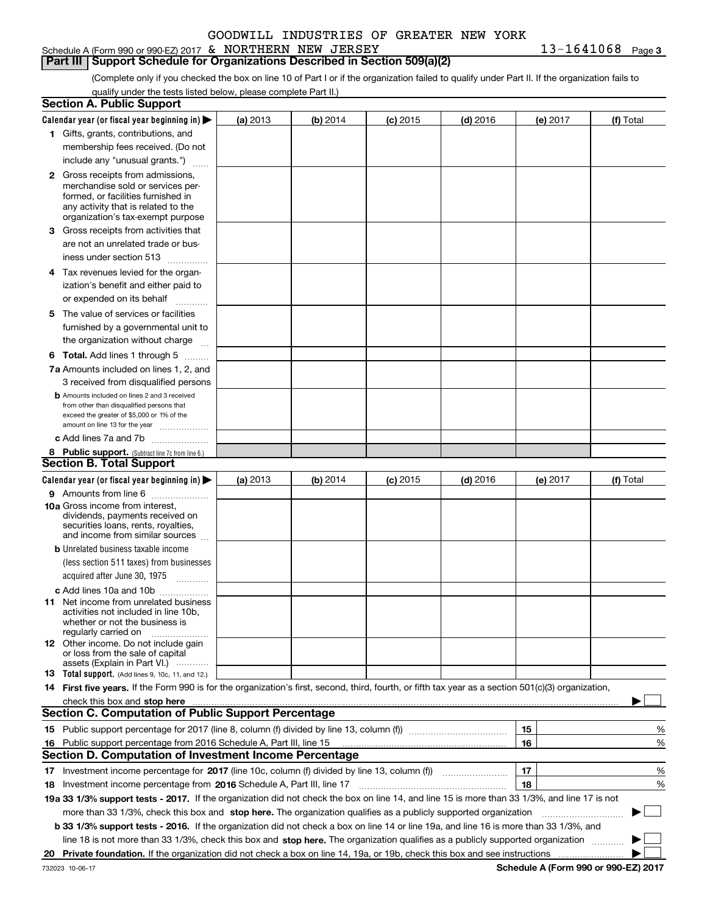## Schedule A (Form 990 or 990-EZ) 2017 Page & NORTHERN NEW JERSEY 13-1641068

**Part III Support Schedule for Organizations Described in Section 509(a)(2)** 

(Complete only if you checked the box on line 10 of Part I or if the organization failed to qualify under Part II. If the organization fails to qualify under the tests listed below, please complete Part II.)

|    | <b>Section A. Public Support</b>                                                                                                                    |          |          |            |            |          |           |
|----|-----------------------------------------------------------------------------------------------------------------------------------------------------|----------|----------|------------|------------|----------|-----------|
|    | Calendar year (or fiscal year beginning in) $\blacktriangleright$                                                                                   | (a) 2013 | (b) 2014 | $(c)$ 2015 | $(d)$ 2016 | (e) 2017 | (f) Total |
|    | 1 Gifts, grants, contributions, and                                                                                                                 |          |          |            |            |          |           |
|    | membership fees received. (Do not                                                                                                                   |          |          |            |            |          |           |
|    | include any "unusual grants.")                                                                                                                      |          |          |            |            |          |           |
|    | <b>2</b> Gross receipts from admissions,                                                                                                            |          |          |            |            |          |           |
|    | merchandise sold or services per-                                                                                                                   |          |          |            |            |          |           |
|    | formed, or facilities furnished in                                                                                                                  |          |          |            |            |          |           |
|    | any activity that is related to the<br>organization's tax-exempt purpose                                                                            |          |          |            |            |          |           |
|    | 3 Gross receipts from activities that                                                                                                               |          |          |            |            |          |           |
|    | are not an unrelated trade or bus-                                                                                                                  |          |          |            |            |          |           |
|    | iness under section 513                                                                                                                             |          |          |            |            |          |           |
|    | 4 Tax revenues levied for the organ-                                                                                                                |          |          |            |            |          |           |
|    | ization's benefit and either paid to                                                                                                                |          |          |            |            |          |           |
|    | or expended on its behalf                                                                                                                           |          |          |            |            |          |           |
|    | .<br>5 The value of services or facilities                                                                                                          |          |          |            |            |          |           |
|    | furnished by a governmental unit to                                                                                                                 |          |          |            |            |          |           |
|    | the organization without charge                                                                                                                     |          |          |            |            |          |           |
|    |                                                                                                                                                     |          |          |            |            |          |           |
|    | <b>6 Total.</b> Add lines 1 through 5                                                                                                               |          |          |            |            |          |           |
|    | 7a Amounts included on lines 1, 2, and<br>3 received from disqualified persons                                                                      |          |          |            |            |          |           |
|    | <b>b</b> Amounts included on lines 2 and 3 received                                                                                                 |          |          |            |            |          |           |
|    | from other than disqualified persons that                                                                                                           |          |          |            |            |          |           |
|    | exceed the greater of \$5,000 or 1% of the                                                                                                          |          |          |            |            |          |           |
|    | amount on line 13 for the year                                                                                                                      |          |          |            |            |          |           |
|    | c Add lines 7a and 7b                                                                                                                               |          |          |            |            |          |           |
|    | 8 Public support. (Subtract line 7c from line 6.)<br><b>Section B. Total Support</b>                                                                |          |          |            |            |          |           |
|    | Calendar year (or fiscal year beginning in)                                                                                                         |          |          |            |            |          |           |
|    |                                                                                                                                                     | (a) 2013 | (b) 2014 | $(c)$ 2015 | $(d)$ 2016 | (e) 2017 | (f) Total |
|    | 9 Amounts from line 6<br>10a Gross income from interest,                                                                                            |          |          |            |            |          |           |
|    | dividends, payments received on                                                                                                                     |          |          |            |            |          |           |
|    | securities loans, rents, royalties,                                                                                                                 |          |          |            |            |          |           |
|    | and income from similar sources                                                                                                                     |          |          |            |            |          |           |
|    | <b>b</b> Unrelated business taxable income                                                                                                          |          |          |            |            |          |           |
|    | (less section 511 taxes) from businesses                                                                                                            |          |          |            |            |          |           |
|    | acquired after June 30, 1975                                                                                                                        |          |          |            |            |          |           |
|    | c Add lines 10a and 10b                                                                                                                             |          |          |            |            |          |           |
|    | 11 Net income from unrelated business<br>activities not included in line 10b,                                                                       |          |          |            |            |          |           |
|    | whether or not the business is                                                                                                                      |          |          |            |            |          |           |
|    | regularly carried on                                                                                                                                |          |          |            |            |          |           |
|    | <b>12</b> Other income. Do not include gain<br>or loss from the sale of capital                                                                     |          |          |            |            |          |           |
|    | assets (Explain in Part VI.)                                                                                                                        |          |          |            |            |          |           |
|    | 13 Total support. (Add lines 9, 10c, 11, and 12.)                                                                                                   |          |          |            |            |          |           |
|    | 14 First five years. If the Form 990 is for the organization's first, second, third, fourth, or fifth tax year as a section 501(c)(3) organization, |          |          |            |            |          |           |
|    | check this box and stop here <i>macuum macuum macuum macuum macuum macuum macuum macuum macuum</i>                                                  |          |          |            |            |          |           |
|    | <b>Section C. Computation of Public Support Percentage</b>                                                                                          |          |          |            |            |          |           |
|    |                                                                                                                                                     |          |          |            |            | 15       | %         |
|    | 16 Public support percentage from 2016 Schedule A, Part III, line 15                                                                                |          |          |            |            | 16       | %         |
|    | <b>Section D. Computation of Investment Income Percentage</b>                                                                                       |          |          |            |            |          |           |
|    | 17 Investment income percentage for 2017 (line 10c, column (f) divided by line 13, column (f))                                                      |          |          |            |            | 17       | %         |
|    | 18 Investment income percentage from 2016 Schedule A, Part III, line 17                                                                             |          |          |            |            | 18       | %         |
|    | 19a 33 1/3% support tests - 2017. If the organization did not check the box on line 14, and line 15 is more than 33 1/3%, and line 17 is not        |          |          |            |            |          |           |
|    | more than 33 1/3%, check this box and stop here. The organization qualifies as a publicly supported organization                                    |          |          |            |            |          | $\sim$    |
|    | b 33 1/3% support tests - 2016. If the organization did not check a box on line 14 or line 19a, and line 16 is more than 33 1/3%, and               |          |          |            |            |          |           |
|    | line 18 is not more than 33 1/3%, check this box and stop here. The organization qualifies as a publicly supported organization                     |          |          |            |            |          |           |
| 20 |                                                                                                                                                     |          |          |            |            |          |           |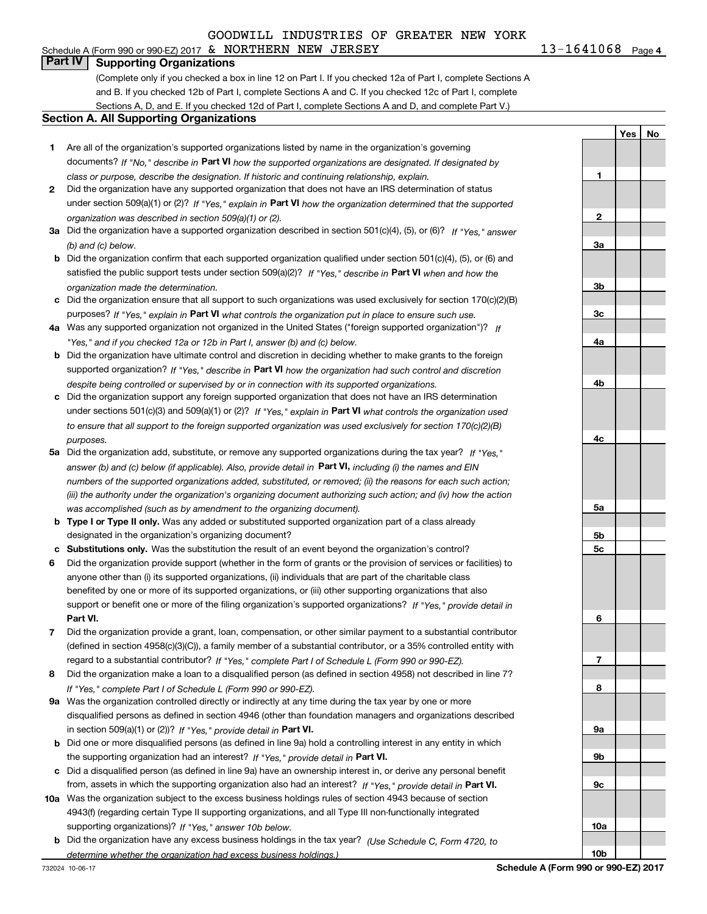Schedule A (Form 990 or 990-EZ) 2017 Page & NORTHERN NEW JERSEY 13-1641068

 $13 - 1641068$  Page 4

**1**

**2**

**3a**

**3b**

**3c**

**4a**

**4b**

**4c**

**5a**

**5b5c**

**6**

**7**

**8**

**9a**

**9b**

**9c**

**10a**

**10b**

**YesNo**

## **Part IV Supporting Organizations**

(Complete only if you checked a box in line 12 on Part I. If you checked 12a of Part I, complete Sections A and B. If you checked 12b of Part I, complete Sections A and C. If you checked 12c of Part I, complete Sections A, D, and E. If you checked 12d of Part I, complete Sections A and D, and complete Part V.)

#### **Section A. All Supporting Organizations**

- **1** Are all of the organization's supported organizations listed by name in the organization's governing documents? If "No," describe in **Part VI** how the supported organizations are designated. If designated by *class or purpose, describe the designation. If historic and continuing relationship, explain.*
- **2** Did the organization have any supported organization that does not have an IRS determination of status under section 509(a)(1) or (2)? If "Yes," explain in Part VI how the organization determined that the supported *organization was described in section 509(a)(1) or (2).*
- **3a** Did the organization have a supported organization described in section 501(c)(4), (5), or (6)? If "Yes," answer *(b) and (c) below.*
- **b** Did the organization confirm that each supported organization qualified under section 501(c)(4), (5), or (6) and satisfied the public support tests under section 509(a)(2)? If "Yes," describe in **Part VI** when and how the *organization made the determination.*
- **c**Did the organization ensure that all support to such organizations was used exclusively for section 170(c)(2)(B) purposes? If "Yes," explain in **Part VI** what controls the organization put in place to ensure such use.
- **4a***If* Was any supported organization not organized in the United States ("foreign supported organization")? *"Yes," and if you checked 12a or 12b in Part I, answer (b) and (c) below.*
- **b** Did the organization have ultimate control and discretion in deciding whether to make grants to the foreign supported organization? If "Yes," describe in **Part VI** how the organization had such control and discretion *despite being controlled or supervised by or in connection with its supported organizations.*
- **c** Did the organization support any foreign supported organization that does not have an IRS determination under sections 501(c)(3) and 509(a)(1) or (2)? If "Yes," explain in **Part VI** what controls the organization used *to ensure that all support to the foreign supported organization was used exclusively for section 170(c)(2)(B) purposes.*
- **5a***If "Yes,"* Did the organization add, substitute, or remove any supported organizations during the tax year? answer (b) and (c) below (if applicable). Also, provide detail in **Part VI,** including (i) the names and EIN *numbers of the supported organizations added, substituted, or removed; (ii) the reasons for each such action; (iii) the authority under the organization's organizing document authorizing such action; and (iv) how the action was accomplished (such as by amendment to the organizing document).*
- **b** Type I or Type II only. Was any added or substituted supported organization part of a class already designated in the organization's organizing document?
- **cSubstitutions only.**  Was the substitution the result of an event beyond the organization's control?
- **6** Did the organization provide support (whether in the form of grants or the provision of services or facilities) to **Part VI.** *If "Yes," provide detail in* support or benefit one or more of the filing organization's supported organizations? anyone other than (i) its supported organizations, (ii) individuals that are part of the charitable class benefited by one or more of its supported organizations, or (iii) other supporting organizations that also
- **7**Did the organization provide a grant, loan, compensation, or other similar payment to a substantial contributor *If "Yes," complete Part I of Schedule L (Form 990 or 990-EZ).* regard to a substantial contributor? (defined in section 4958(c)(3)(C)), a family member of a substantial contributor, or a 35% controlled entity with
- **8** Did the organization make a loan to a disqualified person (as defined in section 4958) not described in line 7? *If "Yes," complete Part I of Schedule L (Form 990 or 990-EZ).*
- **9a** Was the organization controlled directly or indirectly at any time during the tax year by one or more in section 509(a)(1) or (2))? If "Yes," *provide detail in* <code>Part VI.</code> disqualified persons as defined in section 4946 (other than foundation managers and organizations described
- **b** Did one or more disqualified persons (as defined in line 9a) hold a controlling interest in any entity in which the supporting organization had an interest? If "Yes," provide detail in P**art VI**.
- **c**Did a disqualified person (as defined in line 9a) have an ownership interest in, or derive any personal benefit from, assets in which the supporting organization also had an interest? If "Yes," provide detail in P**art VI.**
- **10a** Was the organization subject to the excess business holdings rules of section 4943 because of section supporting organizations)? If "Yes," answer 10b below. 4943(f) (regarding certain Type II supporting organizations, and all Type III non-functionally integrated
- **b** Did the organization have any excess business holdings in the tax year? (Use Schedule C, Form 4720, to *determine whether the organization had excess business holdings.)*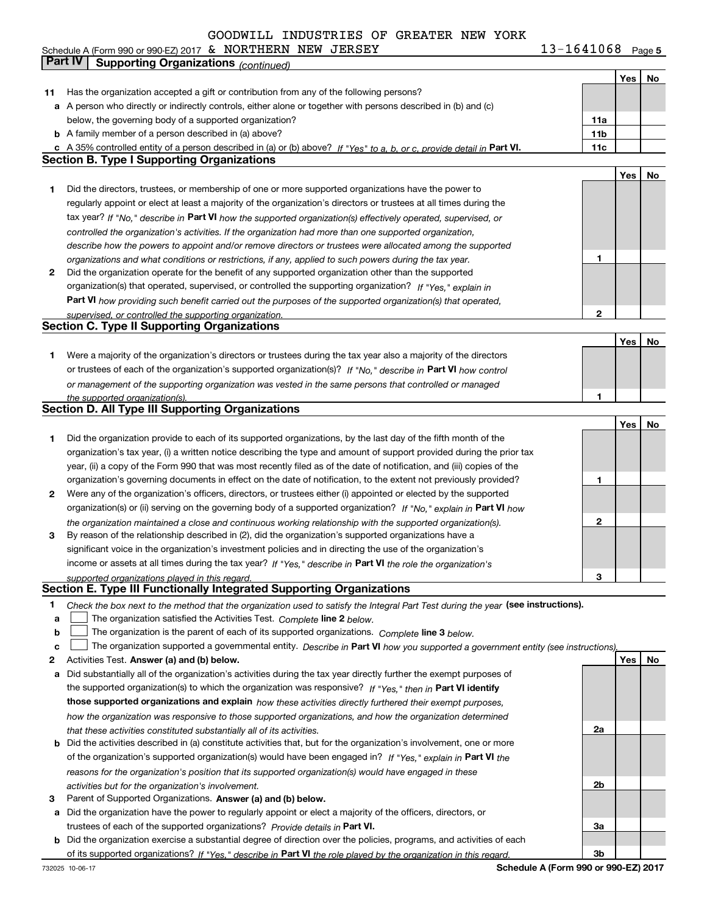Schedule A (Form 990 or 990-EZ) 2017 Page & NORTHERN NEW JERSEY 13-1641068

**5**

|    | Part IV<br><b>Supporting Organizations (continued)</b>                                                                                                                                                                                     |                 |     |    |
|----|--------------------------------------------------------------------------------------------------------------------------------------------------------------------------------------------------------------------------------------------|-----------------|-----|----|
|    |                                                                                                                                                                                                                                            |                 | Yes | No |
| 11 | Has the organization accepted a gift or contribution from any of the following persons?                                                                                                                                                    |                 |     |    |
|    | a A person who directly or indirectly controls, either alone or together with persons described in (b) and (c)                                                                                                                             |                 |     |    |
|    | below, the governing body of a supported organization?                                                                                                                                                                                     | 11a             |     |    |
|    | <b>b</b> A family member of a person described in (a) above?                                                                                                                                                                               | 11 <sub>b</sub> |     |    |
|    | c A 35% controlled entity of a person described in (a) or (b) above? If "Yes" to a, b, or c, provide detail in Part VI.                                                                                                                    | 11c             |     |    |
|    | <b>Section B. Type I Supporting Organizations</b>                                                                                                                                                                                          |                 |     |    |
|    |                                                                                                                                                                                                                                            |                 | Yes | No |
| 1. | Did the directors, trustees, or membership of one or more supported organizations have the power to                                                                                                                                        |                 |     |    |
|    | regularly appoint or elect at least a majority of the organization's directors or trustees at all times during the                                                                                                                         |                 |     |    |
|    | tax year? If "No," describe in Part VI how the supported organization(s) effectively operated, supervised, or                                                                                                                              |                 |     |    |
|    | controlled the organization's activities. If the organization had more than one supported organization,                                                                                                                                    |                 |     |    |
|    | describe how the powers to appoint and/or remove directors or trustees were allocated among the supported                                                                                                                                  |                 |     |    |
|    | organizations and what conditions or restrictions, if any, applied to such powers during the tax year.                                                                                                                                     | 1               |     |    |
| 2  | Did the organization operate for the benefit of any supported organization other than the supported                                                                                                                                        |                 |     |    |
|    | organization(s) that operated, supervised, or controlled the supporting organization? If "Yes," explain in                                                                                                                                 |                 |     |    |
|    | Part VI how providing such benefit carried out the purposes of the supported organization(s) that operated,                                                                                                                                |                 |     |    |
|    | supervised, or controlled the supporting organization.                                                                                                                                                                                     | 2               |     |    |
|    | <b>Section C. Type II Supporting Organizations</b>                                                                                                                                                                                         |                 |     |    |
|    |                                                                                                                                                                                                                                            |                 | Yes | No |
| 1  | Were a majority of the organization's directors or trustees during the tax year also a majority of the directors                                                                                                                           |                 |     |    |
|    | or trustees of each of the organization's supported organization(s)? If "No," describe in Part VI how control                                                                                                                              |                 |     |    |
|    | or management of the supporting organization was vested in the same persons that controlled or managed                                                                                                                                     |                 |     |    |
|    | the supported organization(s).                                                                                                                                                                                                             | 1               |     |    |
|    | <b>Section D. All Type III Supporting Organizations</b>                                                                                                                                                                                    |                 |     |    |
|    |                                                                                                                                                                                                                                            |                 | Yes | No |
| 1  | Did the organization provide to each of its supported organizations, by the last day of the fifth month of the                                                                                                                             |                 |     |    |
|    | organization's tax year, (i) a written notice describing the type and amount of support provided during the prior tax                                                                                                                      |                 |     |    |
|    | year, (ii) a copy of the Form 990 that was most recently filed as of the date of notification, and (iii) copies of the<br>organization's governing documents in effect on the date of notification, to the extent not previously provided? | 1               |     |    |
| 2  | Were any of the organization's officers, directors, or trustees either (i) appointed or elected by the supported                                                                                                                           |                 |     |    |
|    | organization(s) or (ii) serving on the governing body of a supported organization? If "No," explain in Part VI how                                                                                                                         |                 |     |    |
|    | the organization maintained a close and continuous working relationship with the supported organization(s).                                                                                                                                | 2               |     |    |
| 3  | By reason of the relationship described in (2), did the organization's supported organizations have a                                                                                                                                      |                 |     |    |
|    | significant voice in the organization's investment policies and in directing the use of the organization's                                                                                                                                 |                 |     |    |
|    | income or assets at all times during the tax year? If "Yes," describe in Part VI the role the organization's                                                                                                                               |                 |     |    |
|    | supported organizations played in this regard.                                                                                                                                                                                             | 3               |     |    |
|    | Section E. Type III Functionally Integrated Supporting Organizations                                                                                                                                                                       |                 |     |    |
| 1  | Check the box next to the method that the organization used to satisfy the Integral Part Test during the year (see instructions).                                                                                                          |                 |     |    |
| a  | The organization satisfied the Activities Test. Complete line 2 below.                                                                                                                                                                     |                 |     |    |
| b  | The organization is the parent of each of its supported organizations. Complete line 3 below.                                                                                                                                              |                 |     |    |
| C  | The organization supported a governmental entity. Describe in Part VI how you supported a government entity (see instructions),                                                                                                            |                 |     |    |
| 2  | Activities Test. Answer (a) and (b) below.                                                                                                                                                                                                 |                 | Yes | No |
| а  | Did substantially all of the organization's activities during the tax year directly further the exempt purposes of                                                                                                                         |                 |     |    |
|    | the supported organization(s) to which the organization was responsive? If "Yes," then in Part VI identify                                                                                                                                 |                 |     |    |
|    | those supported organizations and explain how these activities directly furthered their exempt purposes,                                                                                                                                   |                 |     |    |
|    | how the organization was responsive to those supported organizations, and how the organization determined                                                                                                                                  |                 |     |    |
|    | that these activities constituted substantially all of its activities.                                                                                                                                                                     | 2a              |     |    |
|    | <b>b</b> Did the activities described in (a) constitute activities that, but for the organization's involvement, one or more                                                                                                               |                 |     |    |
|    | of the organization's supported organization(s) would have been engaged in? If "Yes," explain in Part VI the                                                                                                                               |                 |     |    |
|    | reasons for the organization's position that its supported organization(s) would have engaged in these                                                                                                                                     | 2b              |     |    |
| з  | activities but for the organization's involvement.<br>Parent of Supported Organizations. Answer (a) and (b) below.                                                                                                                         |                 |     |    |
|    | a Did the organization have the power to regularly appoint or elect a majority of the officers, directors, or                                                                                                                              |                 |     |    |
|    | trustees of each of the supported organizations? Provide details in Part VI.                                                                                                                                                               | За              |     |    |
|    | <b>b</b> Did the organization exercise a substantial degree of direction over the policies, programs, and activities of each                                                                                                               |                 |     |    |
|    | of its supported organizations? If "Yes." describe in Part VI the role played by the organization in this regard.                                                                                                                          | 3b              |     |    |

**Schedule A (Form 990 or 990-EZ) 2017**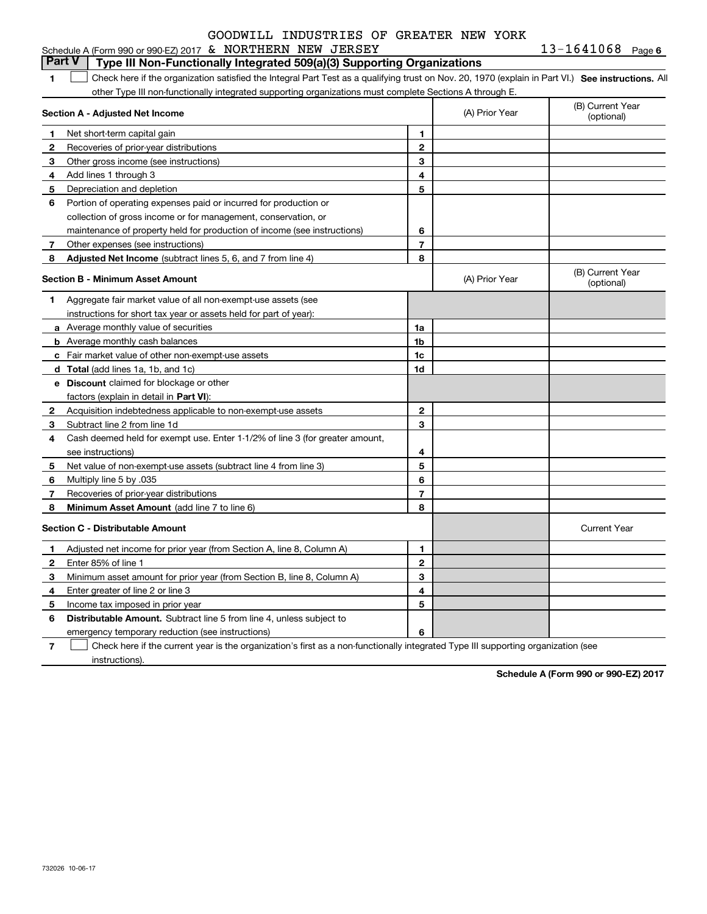| Schedule A (Form 990 or 990-EZ) 2017 $\,$ & $\,$ | NORTHERN NEW | JERSEY | 1641068 | Page 6 |
|--------------------------------------------------|--------------|--------|---------|--------|
|                                                  |              |        |         |        |

|              | <b>Part V</b><br>Type III Non-Functionally Integrated 509(a)(3) Supporting Organizations                                                          |                |                |                                |
|--------------|---------------------------------------------------------------------------------------------------------------------------------------------------|----------------|----------------|--------------------------------|
| 1            | Check here if the organization satisfied the Integral Part Test as a qualifying trust on Nov. 20, 1970 (explain in Part VI.) See instructions. Al |                |                |                                |
|              | other Type III non-functionally integrated supporting organizations must complete Sections A through E.                                           |                |                |                                |
|              | Section A - Adjusted Net Income                                                                                                                   |                | (A) Prior Year | (B) Current Year<br>(optional) |
| $\mathbf 1$  | Net short-term capital gain                                                                                                                       | 1              |                |                                |
| $\mathbf{2}$ | Recoveries of prior-year distributions                                                                                                            | $\overline{2}$ |                |                                |
| 3            | Other gross income (see instructions)                                                                                                             | 3              |                |                                |
| 4            | Add lines 1 through 3                                                                                                                             | 4              |                |                                |
| -5           | Depreciation and depletion                                                                                                                        | 5              |                |                                |
| 6            | Portion of operating expenses paid or incurred for production or<br>collection of gross income or for management, conservation, or                |                |                |                                |
|              | maintenance of property held for production of income (see instructions)                                                                          | 6              |                |                                |
| 7            | Other expenses (see instructions)                                                                                                                 | 7              |                |                                |
| 8            | <b>Adjusted Net Income</b> (subtract lines 5, 6, and 7 from line 4)                                                                               | 8              |                |                                |
|              | <b>Section B - Minimum Asset Amount</b>                                                                                                           |                | (A) Prior Year | (B) Current Year<br>(optional) |
| 1            | Aggregate fair market value of all non-exempt-use assets (see                                                                                     |                |                |                                |
|              | instructions for short tax year or assets held for part of year):                                                                                 |                |                |                                |
|              | <b>a</b> Average monthly value of securities                                                                                                      | 1a             |                |                                |
|              | <b>b</b> Average monthly cash balances                                                                                                            | 1b             |                |                                |
|              | c Fair market value of other non-exempt-use assets                                                                                                | 1c             |                |                                |
|              | d Total (add lines 1a, 1b, and 1c)                                                                                                                | 1d             |                |                                |
|              | <b>e</b> Discount claimed for blockage or other                                                                                                   |                |                |                                |
|              | factors (explain in detail in Part VI):                                                                                                           |                |                |                                |
| $\mathbf{2}$ | Acquisition indebtedness applicable to non-exempt-use assets                                                                                      | $\mathbf{2}$   |                |                                |
| 3            | Subtract line 2 from line 1d                                                                                                                      | 3              |                |                                |
| 4            | Cash deemed held for exempt use. Enter 1-1/2% of line 3 (for greater amount,                                                                      |                |                |                                |
|              | see instructions)                                                                                                                                 | 4              |                |                                |
| 5            | Net value of non-exempt-use assets (subtract line 4 from line 3)                                                                                  | 5              |                |                                |
| 6            | Multiply line 5 by .035                                                                                                                           | 6              |                |                                |
| 7            | Recoveries of prior-year distributions                                                                                                            | 7              |                |                                |
| 8            | <b>Minimum Asset Amount</b> (add line 7 to line 6)                                                                                                | 8              |                |                                |
|              | <b>Section C - Distributable Amount</b>                                                                                                           |                |                | <b>Current Year</b>            |
| 1            | Adjusted net income for prior year (from Section A, line 8, Column A)                                                                             | 1              |                |                                |
| $\mathbf{2}$ | Enter 85% of line 1                                                                                                                               | 2              |                |                                |
| 3            | Minimum asset amount for prior year (from Section B, line 8, Column A)                                                                            | 3              |                |                                |
| 4            | Enter greater of line 2 or line 3                                                                                                                 | 4              |                |                                |
| 5            | Income tax imposed in prior year                                                                                                                  | 5              |                |                                |
| 6            | <b>Distributable Amount.</b> Subtract line 5 from line 4, unless subject to                                                                       |                |                |                                |
|              | emergency temporary reduction (see instructions)                                                                                                  | 6              |                |                                |

**7**Check here if the current year is the organization's first as a non-functionally integrated Type III supporting organization (see instructions).

**Schedule A (Form 990 or 990-EZ) 2017**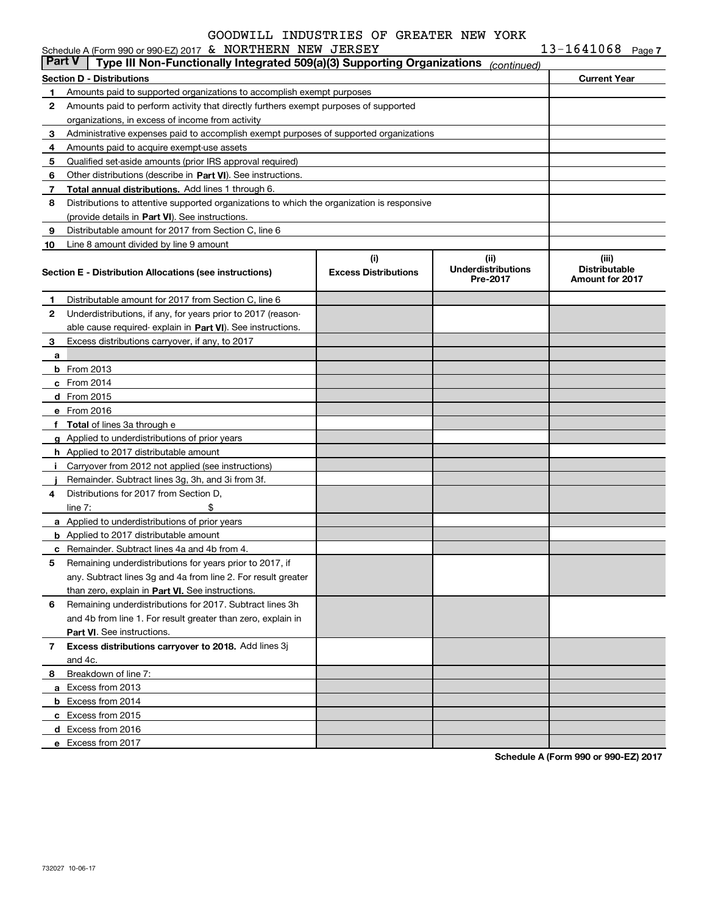|        | Schedule A (Form 990 or 990-EZ) 2017 & NORTHERN NEW JERSEY                                 |                             |                                       | $13 - 1641068$ Page 7                          |  |
|--------|--------------------------------------------------------------------------------------------|-----------------------------|---------------------------------------|------------------------------------------------|--|
| Part V | Type III Non-Functionally Integrated 509(a)(3) Supporting Organizations                    |                             | (continued)                           |                                                |  |
|        | Section D - Distributions                                                                  |                             |                                       | <b>Current Year</b>                            |  |
| 1.     | Amounts paid to supported organizations to accomplish exempt purposes                      |                             |                                       |                                                |  |
| 2      | Amounts paid to perform activity that directly furthers exempt purposes of supported       |                             |                                       |                                                |  |
|        | organizations, in excess of income from activity                                           |                             |                                       |                                                |  |
| 3      | Administrative expenses paid to accomplish exempt purposes of supported organizations      |                             |                                       |                                                |  |
| 4      | Amounts paid to acquire exempt-use assets                                                  |                             |                                       |                                                |  |
| 5      | Qualified set-aside amounts (prior IRS approval required)                                  |                             |                                       |                                                |  |
| 6      | Other distributions (describe in Part VI). See instructions.                               |                             |                                       |                                                |  |
| 7      | Total annual distributions. Add lines 1 through 6.                                         |                             |                                       |                                                |  |
| 8      | Distributions to attentive supported organizations to which the organization is responsive |                             |                                       |                                                |  |
|        | (provide details in Part VI). See instructions.                                            |                             |                                       |                                                |  |
| 9      | Distributable amount for 2017 from Section C, line 6                                       |                             |                                       |                                                |  |
| 10     | Line 8 amount divided by line 9 amount                                                     |                             |                                       |                                                |  |
|        |                                                                                            | (i)                         | (ii)                                  | (iii)                                          |  |
|        | Section E - Distribution Allocations (see instructions)                                    | <b>Excess Distributions</b> | <b>Underdistributions</b><br>Pre-2017 | <b>Distributable</b><br><b>Amount for 2017</b> |  |
|        |                                                                                            |                             |                                       |                                                |  |
| 1      | Distributable amount for 2017 from Section C, line 6                                       |                             |                                       |                                                |  |
| 2      | Underdistributions, if any, for years prior to 2017 (reason-                               |                             |                                       |                                                |  |
|        | able cause required-explain in Part VI). See instructions.                                 |                             |                                       |                                                |  |
| 3      | Excess distributions carryover, if any, to 2017                                            |                             |                                       |                                                |  |
| a      |                                                                                            |                             |                                       |                                                |  |
|        | $b$ From 2013                                                                              |                             |                                       |                                                |  |
|        | $c$ From 2014                                                                              |                             |                                       |                                                |  |
|        | d From 2015                                                                                |                             |                                       |                                                |  |
|        | e From 2016                                                                                |                             |                                       |                                                |  |
|        | f Total of lines 3a through e                                                              |                             |                                       |                                                |  |
|        | g Applied to underdistributions of prior years                                             |                             |                                       |                                                |  |
|        | <b>h</b> Applied to 2017 distributable amount                                              |                             |                                       |                                                |  |
| i.     | Carryover from 2012 not applied (see instructions)                                         |                             |                                       |                                                |  |
|        | Remainder. Subtract lines 3g, 3h, and 3i from 3f.                                          |                             |                                       |                                                |  |
| 4      | Distributions for 2017 from Section D,                                                     |                             |                                       |                                                |  |
|        | \$<br>line $7:$                                                                            |                             |                                       |                                                |  |
|        | a Applied to underdistributions of prior years                                             |                             |                                       |                                                |  |
|        | <b>b</b> Applied to 2017 distributable amount                                              |                             |                                       |                                                |  |
|        | <b>c</b> Remainder. Subtract lines 4a and 4b from 4.                                       |                             |                                       |                                                |  |
|        | Remaining underdistributions for years prior to 2017, if                                   |                             |                                       |                                                |  |
|        | any. Subtract lines 3g and 4a from line 2. For result greater                              |                             |                                       |                                                |  |
|        | than zero, explain in Part VI. See instructions.                                           |                             |                                       |                                                |  |
| 6      | Remaining underdistributions for 2017. Subtract lines 3h                                   |                             |                                       |                                                |  |
|        | and 4b from line 1. For result greater than zero, explain in                               |                             |                                       |                                                |  |
|        | <b>Part VI.</b> See instructions.                                                          |                             |                                       |                                                |  |
| 7      | Excess distributions carryover to 2018. Add lines 3j                                       |                             |                                       |                                                |  |
|        | and 4c.                                                                                    |                             |                                       |                                                |  |
| 8      | Breakdown of line 7:                                                                       |                             |                                       |                                                |  |
|        | a Excess from 2013                                                                         |                             |                                       |                                                |  |
|        | <b>b</b> Excess from 2014                                                                  |                             |                                       |                                                |  |
|        | c Excess from 2015                                                                         |                             |                                       |                                                |  |
|        | d Excess from 2016                                                                         |                             |                                       |                                                |  |
|        | e Excess from 2017                                                                         |                             |                                       |                                                |  |

**Schedule A (Form 990 or 990-EZ) 2017**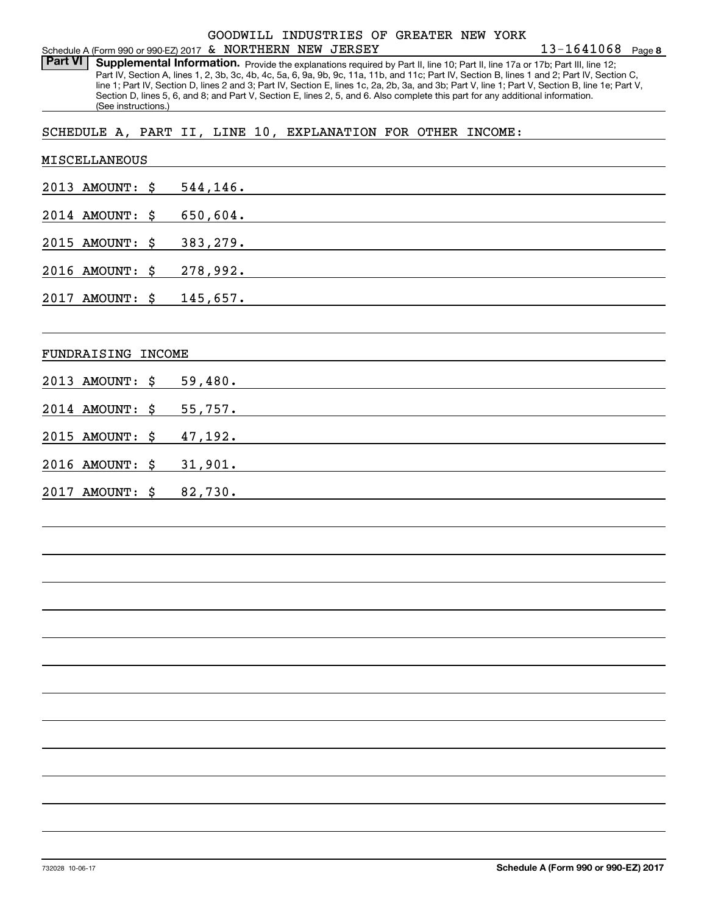#### Schedule A (Form 990 or 990-EZ) 2017 Page & NORTHERN NEW JERSEY GOODWILL INDUSTRIES OF GREATER NEW YORK

Part VI | Supplemental Information. Provide the explanations required by Part II, line 10; Part II, line 17a or 17b; Part III, line 12; Part IV, Section A, lines 1, 2, 3b, 3c, 4b, 4c, 5a, 6, 9a, 9b, 9c, 11a, 11b, and 11c; Part IV, Section B, lines 1 and 2; Part IV, Section C, line 1; Part IV, Section D, lines 2 and 3; Part IV, Section E, lines 1c, 2a, 2b, 3a, and 3b; Part V, line 1; Part V, Section B, line 1e; Part V, Section D, lines 5, 6, and 8; and Part V, Section E, lines 2, 5, and 6. Also complete this part for any additional information. (See instructions.)

SCHEDULE A, PART II, LINE 10, EXPLANATION FOR OTHER INCOME:

| MISCELLANEOUS      |                                                                                                                                 |
|--------------------|---------------------------------------------------------------------------------------------------------------------------------|
| 2013 AMOUNT: \$    | 544,146.                                                                                                                        |
| 2014 AMOUNT:       | \$<br>650,604.                                                                                                                  |
| 2015 AMOUNT:       | \$<br>383,279.                                                                                                                  |
| 2016 AMOUNT:       | \$<br>278,992.                                                                                                                  |
| 2017 AMOUNT: \$    | 145,657.                                                                                                                        |
|                    |                                                                                                                                 |
| FUNDRAISING INCOME |                                                                                                                                 |
| 2013 AMOUNT: \$    | 59,480.                                                                                                                         |
| 2014 AMOUNT:       | \$<br>55,757.                                                                                                                   |
| 2015 AMOUNT: \$    | 47,192.                                                                                                                         |
| 2016 AMOUNT: \$    | 31,901.<br><u> 1989 - Johann John Stein, markin film fan it fjort fan it fjort fan it fjort fan it fjort fan it fjort fan i</u> |
| 2017 AMOUNT:       | \$<br>82,730.                                                                                                                   |
|                    |                                                                                                                                 |
|                    |                                                                                                                                 |
|                    |                                                                                                                                 |
|                    |                                                                                                                                 |
|                    |                                                                                                                                 |
|                    |                                                                                                                                 |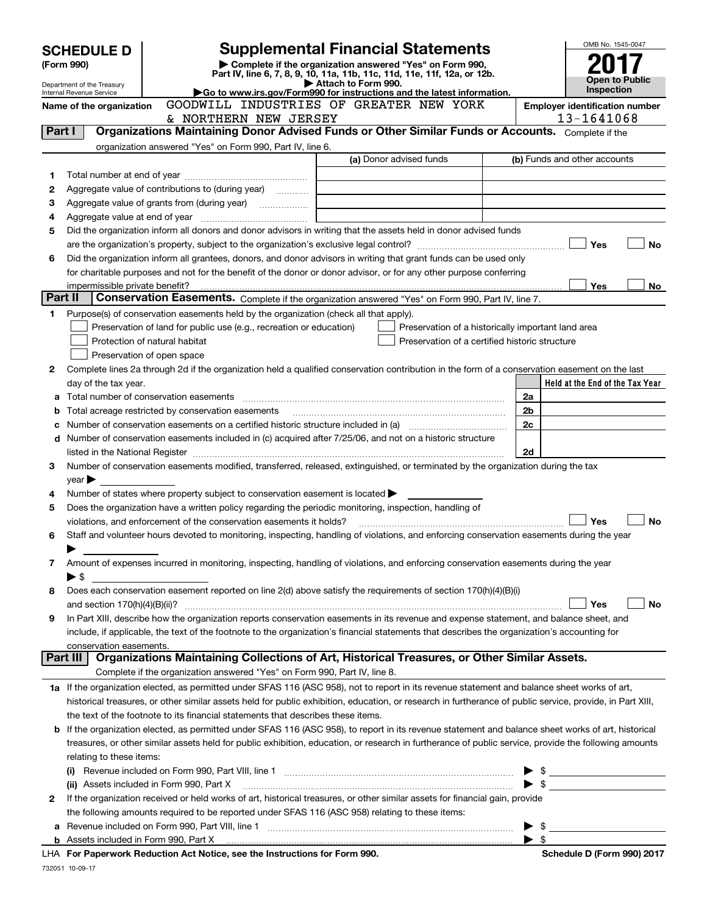|         | <b>SCHEDULE D</b>                                                                                           |                                                                                                                                                                                         | <b>Supplemental Financial Statements</b>                                                        |                                                    |    | OMB No. 1545-0047                     |  |
|---------|-------------------------------------------------------------------------------------------------------------|-----------------------------------------------------------------------------------------------------------------------------------------------------------------------------------------|-------------------------------------------------------------------------------------------------|----------------------------------------------------|----|---------------------------------------|--|
|         | Complete if the organization answered "Yes" on Form 990,<br>(Form 990)                                      |                                                                                                                                                                                         |                                                                                                 |                                                    |    |                                       |  |
|         |                                                                                                             |                                                                                                                                                                                         | Part IV, line 6, 7, 8, 9, 10, 11a, 11b, 11c, 11d, 11e, 11f, 12a, or 12b.<br>Attach to Form 990. |                                                    |    | <b>Open to Public</b>                 |  |
|         | Department of the Treasury<br>Internal Revenue Service                                                      |                                                                                                                                                                                         | Go to www.irs.gov/Form990 for instructions and the latest information.                          |                                                    |    | <b>Inspection</b>                     |  |
|         | Name of the organization                                                                                    | GOODWILL INDUSTRIES OF GREATER NEW YORK                                                                                                                                                 |                                                                                                 |                                                    |    | <b>Employer identification number</b> |  |
|         |                                                                                                             | & NORTHERN NEW JERSEY                                                                                                                                                                   |                                                                                                 |                                                    |    | 13-1641068                            |  |
|         | Organizations Maintaining Donor Advised Funds or Other Similar Funds or Accounts. Complete if the<br>Part I |                                                                                                                                                                                         |                                                                                                 |                                                    |    |                                       |  |
|         |                                                                                                             | organization answered "Yes" on Form 990, Part IV, line 6.                                                                                                                               | (a) Donor advised funds                                                                         |                                                    |    |                                       |  |
|         |                                                                                                             |                                                                                                                                                                                         |                                                                                                 |                                                    |    | (b) Funds and other accounts          |  |
| 1       |                                                                                                             |                                                                                                                                                                                         |                                                                                                 |                                                    |    |                                       |  |
| 2       | Aggregate value of contributions to (during year)                                                           |                                                                                                                                                                                         |                                                                                                 |                                                    |    |                                       |  |
| 4       | з                                                                                                           |                                                                                                                                                                                         |                                                                                                 |                                                    |    |                                       |  |
| 5       |                                                                                                             | Did the organization inform all donors and donor advisors in writing that the assets held in donor advised funds                                                                        |                                                                                                 |                                                    |    |                                       |  |
|         |                                                                                                             |                                                                                                                                                                                         |                                                                                                 |                                                    |    | Yes<br><b>No</b>                      |  |
| 6       |                                                                                                             | Did the organization inform all grantees, donors, and donor advisors in writing that grant funds can be used only                                                                       |                                                                                                 |                                                    |    |                                       |  |
|         |                                                                                                             | for charitable purposes and not for the benefit of the donor or donor advisor, or for any other purpose conferring                                                                      |                                                                                                 |                                                    |    |                                       |  |
|         |                                                                                                             |                                                                                                                                                                                         |                                                                                                 |                                                    |    | Yes<br>No                             |  |
| Part II |                                                                                                             | Conservation Easements. Complete if the organization answered "Yes" on Form 990, Part IV, line 7.                                                                                       |                                                                                                 |                                                    |    |                                       |  |
| 1       |                                                                                                             | Purpose(s) of conservation easements held by the organization (check all that apply).                                                                                                   |                                                                                                 |                                                    |    |                                       |  |
|         |                                                                                                             | Preservation of land for public use (e.g., recreation or education)                                                                                                                     |                                                                                                 | Preservation of a historically important land area |    |                                       |  |
|         |                                                                                                             | Protection of natural habitat                                                                                                                                                           |                                                                                                 | Preservation of a certified historic structure     |    |                                       |  |
|         |                                                                                                             | Preservation of open space                                                                                                                                                              |                                                                                                 |                                                    |    |                                       |  |
| 2       |                                                                                                             | Complete lines 2a through 2d if the organization held a qualified conservation contribution in the form of a conservation easement on the last                                          |                                                                                                 |                                                    |    |                                       |  |
|         | day of the tax year.                                                                                        |                                                                                                                                                                                         |                                                                                                 |                                                    |    | Held at the End of the Tax Year       |  |
|         |                                                                                                             |                                                                                                                                                                                         |                                                                                                 |                                                    | 2a |                                       |  |
| b       |                                                                                                             | Total acreage restricted by conservation easements                                                                                                                                      |                                                                                                 |                                                    | 2b |                                       |  |
| c       |                                                                                                             |                                                                                                                                                                                         |                                                                                                 |                                                    | 2c |                                       |  |
| d       |                                                                                                             | Number of conservation easements included in (c) acquired after 7/25/06, and not on a historic structure                                                                                |                                                                                                 |                                                    |    |                                       |  |
|         |                                                                                                             |                                                                                                                                                                                         |                                                                                                 |                                                    | 2d |                                       |  |
| 3       |                                                                                                             | Number of conservation easements modified, transferred, released, extinguished, or terminated by the organization during the tax                                                        |                                                                                                 |                                                    |    |                                       |  |
|         | year                                                                                                        |                                                                                                                                                                                         |                                                                                                 |                                                    |    |                                       |  |
| 4<br>5  |                                                                                                             | Number of states where property subject to conservation easement is located ><br>Does the organization have a written policy regarding the periodic monitoring, inspection, handling of |                                                                                                 |                                                    |    |                                       |  |
|         |                                                                                                             | violations, and enforcement of the conservation easements it holds?                                                                                                                     |                                                                                                 |                                                    |    | Yes<br><b>No</b>                      |  |
| 6       |                                                                                                             | Staff and volunteer hours devoted to monitoring, inspecting, handling of violations, and enforcing conservation easements during the year                                               |                                                                                                 |                                                    |    |                                       |  |
|         |                                                                                                             |                                                                                                                                                                                         |                                                                                                 |                                                    |    |                                       |  |
| 7       |                                                                                                             | Amount of expenses incurred in monitoring, inspecting, handling of violations, and enforcing conservation easements during the year                                                     |                                                                                                 |                                                    |    |                                       |  |
|         | ▶ \$                                                                                                        |                                                                                                                                                                                         |                                                                                                 |                                                    |    |                                       |  |
| 8       |                                                                                                             | Does each conservation easement reported on line 2(d) above satisfy the requirements of section 170(h)(4)(B)(i)                                                                         |                                                                                                 |                                                    |    |                                       |  |
|         |                                                                                                             |                                                                                                                                                                                         |                                                                                                 |                                                    |    | Yes<br>No                             |  |
| 9       |                                                                                                             | In Part XIII, describe how the organization reports conservation easements in its revenue and expense statement, and balance sheet, and                                                 |                                                                                                 |                                                    |    |                                       |  |
|         |                                                                                                             | include, if applicable, the text of the footnote to the organization's financial statements that describes the organization's accounting for                                            |                                                                                                 |                                                    |    |                                       |  |
|         | conservation easements.                                                                                     |                                                                                                                                                                                         |                                                                                                 |                                                    |    |                                       |  |
|         | <b>Part III</b>                                                                                             | Organizations Maintaining Collections of Art, Historical Treasures, or Other Similar Assets.                                                                                            |                                                                                                 |                                                    |    |                                       |  |
|         |                                                                                                             | Complete if the organization answered "Yes" on Form 990, Part IV, line 8.                                                                                                               |                                                                                                 |                                                    |    |                                       |  |
|         |                                                                                                             | 1a If the organization elected, as permitted under SFAS 116 (ASC 958), not to report in its revenue statement and balance sheet works of art,                                           |                                                                                                 |                                                    |    |                                       |  |
|         |                                                                                                             | historical treasures, or other similar assets held for public exhibition, education, or research in furtherance of public service, provide, in Part XIII,                               |                                                                                                 |                                                    |    |                                       |  |
|         |                                                                                                             | the text of the footnote to its financial statements that describes these items.                                                                                                        |                                                                                                 |                                                    |    |                                       |  |
| b       |                                                                                                             | If the organization elected, as permitted under SFAS 116 (ASC 958), to report in its revenue statement and balance sheet works of art, historical                                       |                                                                                                 |                                                    |    |                                       |  |
|         | relating to these items:                                                                                    | treasures, or other similar assets held for public exhibition, education, or research in furtherance of public service, provide the following amounts                                   |                                                                                                 |                                                    |    |                                       |  |
|         |                                                                                                             |                                                                                                                                                                                         |                                                                                                 |                                                    |    |                                       |  |
|         |                                                                                                             | (ii) Assets included in Form 990, Part X                                                                                                                                                |                                                                                                 |                                                    |    | $\blacktriangleright$ \$              |  |
| 2       |                                                                                                             | If the organization received or held works of art, historical treasures, or other similar assets for financial gain, provide                                                            |                                                                                                 |                                                    |    |                                       |  |
|         |                                                                                                             | the following amounts required to be reported under SFAS 116 (ASC 958) relating to these items:                                                                                         |                                                                                                 |                                                    |    |                                       |  |
| а       |                                                                                                             |                                                                                                                                                                                         |                                                                                                 |                                                    |    | $\triangleright$ \$                   |  |
|         |                                                                                                             |                                                                                                                                                                                         |                                                                                                 |                                                    |    | $\blacktriangleright$ \$              |  |
|         |                                                                                                             | $\mathbf{a}$                                                                                                                                                                            |                                                                                                 |                                                    |    |                                       |  |

**For Paperwork Reduction Act Notice, see the Instructions for Form 990. Schedule D (Form 990) 2017** LHA

732051 10-09-17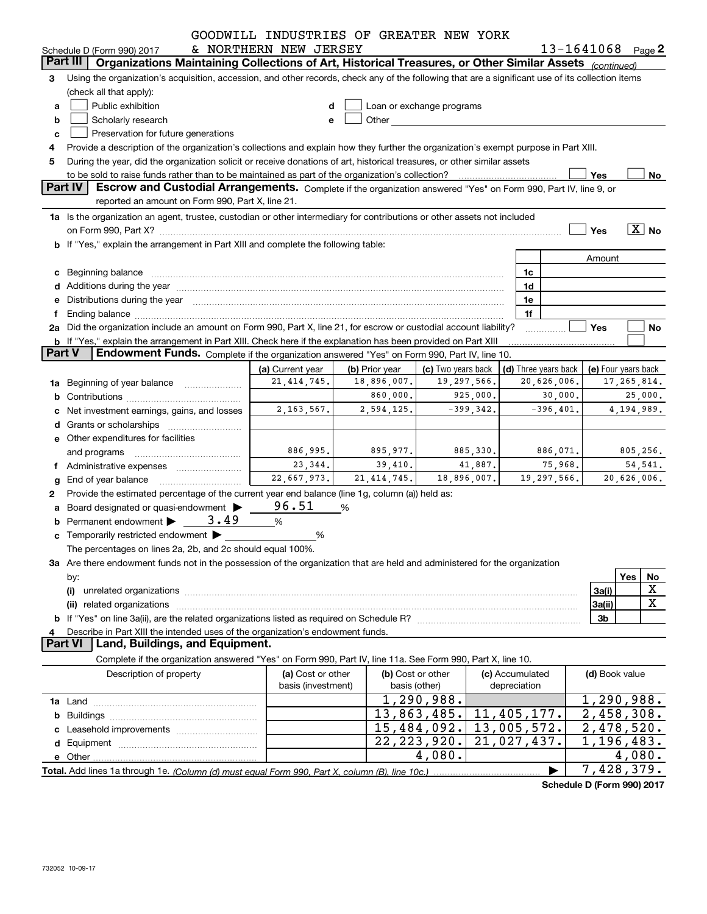|               |                                                                                                                                                                                                                                | GOODWILL INDUSTRIES OF GREATER NEW YORK |                |                                                                                                                                                                                                                               |             |                 |                      |                            |                       |
|---------------|--------------------------------------------------------------------------------------------------------------------------------------------------------------------------------------------------------------------------------|-----------------------------------------|----------------|-------------------------------------------------------------------------------------------------------------------------------------------------------------------------------------------------------------------------------|-------------|-----------------|----------------------|----------------------------|-----------------------|
|               | Schedule D (Form 990) 2017<br>Part III<br>Organizations Maintaining Collections of Art, Historical Treasures, or Other Similar Assets (continued)                                                                              | & NORTHERN NEW JERSEY                   |                |                                                                                                                                                                                                                               |             |                 |                      |                            | $13 - 1641068$ Page 2 |
|               |                                                                                                                                                                                                                                |                                         |                |                                                                                                                                                                                                                               |             |                 |                      |                            |                       |
| 3             | Using the organization's acquisition, accession, and other records, check any of the following that are a significant use of its collection items                                                                              |                                         |                |                                                                                                                                                                                                                               |             |                 |                      |                            |                       |
|               | (check all that apply):                                                                                                                                                                                                        |                                         |                |                                                                                                                                                                                                                               |             |                 |                      |                            |                       |
| a             | Public exhibition                                                                                                                                                                                                              | d                                       |                | Loan or exchange programs                                                                                                                                                                                                     |             |                 |                      |                            |                       |
| b             | Scholarly research                                                                                                                                                                                                             | e                                       |                | Other and the contract of the contract of the contract of the contract of the contract of the contract of the contract of the contract of the contract of the contract of the contract of the contract of the contract of the |             |                 |                      |                            |                       |
| c             | Preservation for future generations                                                                                                                                                                                            |                                         |                |                                                                                                                                                                                                                               |             |                 |                      |                            |                       |
|               | Provide a description of the organization's collections and explain how they further the organization's exempt purpose in Part XIII.                                                                                           |                                         |                |                                                                                                                                                                                                                               |             |                 |                      |                            |                       |
| 5             | During the year, did the organization solicit or receive donations of art, historical treasures, or other similar assets                                                                                                       |                                         |                |                                                                                                                                                                                                                               |             |                 |                      |                            |                       |
|               | <b>Part IV</b><br>Escrow and Custodial Arrangements. Complete if the organization answered "Yes" on Form 990, Part IV, line 9, or                                                                                              |                                         |                |                                                                                                                                                                                                                               |             |                 |                      | Yes                        | No                    |
|               | reported an amount on Form 990, Part X, line 21.                                                                                                                                                                               |                                         |                |                                                                                                                                                                                                                               |             |                 |                      |                            |                       |
|               | 1a Is the organization an agent, trustee, custodian or other intermediary for contributions or other assets not included                                                                                                       |                                         |                |                                                                                                                                                                                                                               |             |                 |                      |                            |                       |
|               |                                                                                                                                                                                                                                |                                         |                |                                                                                                                                                                                                                               |             |                 |                      | Yes                        | $\overline{X}$ No     |
|               | on Form 990, Part X? <b>William Constitution Constitution</b> Construction Construction Construction Constitution Cons<br>b If "Yes," explain the arrangement in Part XIII and complete the following table:                   |                                         |                |                                                                                                                                                                                                                               |             |                 |                      |                            |                       |
|               |                                                                                                                                                                                                                                |                                         |                |                                                                                                                                                                                                                               |             |                 |                      |                            |                       |
|               |                                                                                                                                                                                                                                |                                         |                |                                                                                                                                                                                                                               |             |                 |                      | Amount                     |                       |
|               | c Beginning balance measurements and the state of the state of the state of the state of the state of the state of the state of the state of the state of the state of the state of the state of the state of the state of the |                                         |                |                                                                                                                                                                                                                               |             | 1c              |                      |                            |                       |
|               |                                                                                                                                                                                                                                |                                         |                |                                                                                                                                                                                                                               |             | 1d              |                      |                            |                       |
|               | e Distributions during the year manufactured and continuum and contact the control of the Distributions during the year                                                                                                        |                                         |                |                                                                                                                                                                                                                               |             | 1e              |                      |                            |                       |
|               |                                                                                                                                                                                                                                |                                         |                |                                                                                                                                                                                                                               |             | 1f              |                      |                            |                       |
|               | 2a Did the organization include an amount on Form 990, Part X, line 21, for escrow or custodial account liability?                                                                                                             |                                         |                |                                                                                                                                                                                                                               |             |                 |                      | Yes                        | No                    |
| <b>Part V</b> | b If "Yes," explain the arrangement in Part XIII. Check here if the explanation has been provided on Part XIII<br>Endowment Funds. Complete if the organization answered "Yes" on Form 990, Part IV, line 10.                  |                                         |                |                                                                                                                                                                                                                               |             |                 |                      |                            |                       |
|               |                                                                                                                                                                                                                                |                                         |                |                                                                                                                                                                                                                               |             |                 |                      |                            |                       |
|               |                                                                                                                                                                                                                                | (a) Current year<br>21, 414, 745.       | (b) Prior year | (c) Two years back<br>19,297,566.                                                                                                                                                                                             |             |                 | (d) Three years back |                            | (e) Four years back   |
|               | <b>1a</b> Beginning of year balance <i>manumumum</i>                                                                                                                                                                           |                                         | 18,896,007.    |                                                                                                                                                                                                                               |             |                 | 20,626,006.          |                            | 17,265,814.           |
|               |                                                                                                                                                                                                                                |                                         | 860,000.       |                                                                                                                                                                                                                               | 925,000.    |                 | 30,000.              |                            | 25,000.               |
|               | Net investment earnings, gains, and losses                                                                                                                                                                                     | 2, 163, 567.                            | 2,594,125.     |                                                                                                                                                                                                                               | $-399,342.$ |                 | $-396,401.$          |                            | 4, 194, 989.          |
|               |                                                                                                                                                                                                                                |                                         |                |                                                                                                                                                                                                                               |             |                 |                      |                            |                       |
|               | e Other expenditures for facilities                                                                                                                                                                                            |                                         |                |                                                                                                                                                                                                                               |             |                 |                      |                            |                       |
|               | and programs                                                                                                                                                                                                                   | 886,995.                                | 895,977.       |                                                                                                                                                                                                                               | 885,330.    |                 | 886,071.             |                            | 805,256.              |
|               | f Administrative expenses                                                                                                                                                                                                      | 23,344.                                 | 39,410.        |                                                                                                                                                                                                                               | 41,887.     |                 | 75,968.              |                            | 54, 541.              |
| g             | End of year balance entitled that the state of the state of the state of the state of the state of the state o                                                                                                                 | 22,667,973.                             | 21, 414, 745.  | 18,896,007.                                                                                                                                                                                                                   |             |                 | 19,297,566.          |                            | 20,626,006.           |
| 2             | Provide the estimated percentage of the current year end balance (line 1g, column (a)) held as:                                                                                                                                |                                         |                |                                                                                                                                                                                                                               |             |                 |                      |                            |                       |
|               | a Board designated or quasi-endowment >                                                                                                                                                                                        | 96.51                                   | %              |                                                                                                                                                                                                                               |             |                 |                      |                            |                       |
|               | Permanent endowment > 3.49                                                                                                                                                                                                     | %                                       |                |                                                                                                                                                                                                                               |             |                 |                      |                            |                       |
|               | c Temporarily restricted endowment $\blacktriangleright$                                                                                                                                                                       | %                                       |                |                                                                                                                                                                                                                               |             |                 |                      |                            |                       |
|               | The percentages on lines 2a, 2b, and 2c should equal 100%.                                                                                                                                                                     |                                         |                |                                                                                                                                                                                                                               |             |                 |                      |                            |                       |
|               | 3a Are there endowment funds not in the possession of the organization that are held and administered for the organization                                                                                                     |                                         |                |                                                                                                                                                                                                                               |             |                 |                      |                            |                       |
|               | by:                                                                                                                                                                                                                            |                                         |                |                                                                                                                                                                                                                               |             |                 |                      |                            | Yes<br>No             |
|               | (i)                                                                                                                                                                                                                            |                                         |                |                                                                                                                                                                                                                               |             |                 |                      | 3a(i)                      | X                     |
|               |                                                                                                                                                                                                                                |                                         |                |                                                                                                                                                                                                                               |             |                 |                      | 3a(ii)                     | X                     |
|               |                                                                                                                                                                                                                                |                                         |                |                                                                                                                                                                                                                               |             |                 |                      | 3b                         |                       |
| 4             | Describe in Part XIII the intended uses of the organization's endowment funds.                                                                                                                                                 |                                         |                |                                                                                                                                                                                                                               |             |                 |                      |                            |                       |
|               | <b>Part VI</b><br>Land, Buildings, and Equipment.                                                                                                                                                                              |                                         |                |                                                                                                                                                                                                                               |             |                 |                      |                            |                       |
|               | Complete if the organization answered "Yes" on Form 990, Part IV, line 11a. See Form 990, Part X, line 10.                                                                                                                     |                                         |                |                                                                                                                                                                                                                               |             |                 |                      |                            |                       |
|               | Description of property                                                                                                                                                                                                        | (a) Cost or other                       |                | (b) Cost or other                                                                                                                                                                                                             |             | (c) Accumulated |                      | (d) Book value             |                       |
|               |                                                                                                                                                                                                                                | basis (investment)                      |                | basis (other)                                                                                                                                                                                                                 |             | depreciation    |                      |                            |                       |
|               |                                                                                                                                                                                                                                |                                         |                | 1,290,988.                                                                                                                                                                                                                    |             |                 |                      | 1,290,988.                 |                       |
|               |                                                                                                                                                                                                                                |                                         |                | 13,863,485.                                                                                                                                                                                                                   |             | 11,405,177.     |                      | $\overline{2,458,308}$ .   |                       |
|               |                                                                                                                                                                                                                                |                                         |                | 15,484,092.                                                                                                                                                                                                                   |             | 13,005,572.     |                      | $\overline{2,478,520}$ .   |                       |
|               |                                                                                                                                                                                                                                |                                         |                | 22, 223, 920.                                                                                                                                                                                                                 |             | 21,027,437.     |                      | $\overline{1,}$ 196, 483.  |                       |
|               |                                                                                                                                                                                                                                |                                         |                | 4,080.                                                                                                                                                                                                                        |             |                 |                      |                            | 4,080.                |
|               |                                                                                                                                                                                                                                |                                         |                |                                                                                                                                                                                                                               |             |                 |                      | $\overline{7}$ , 428, 379. |                       |

**Schedule D (Form 990) 2017**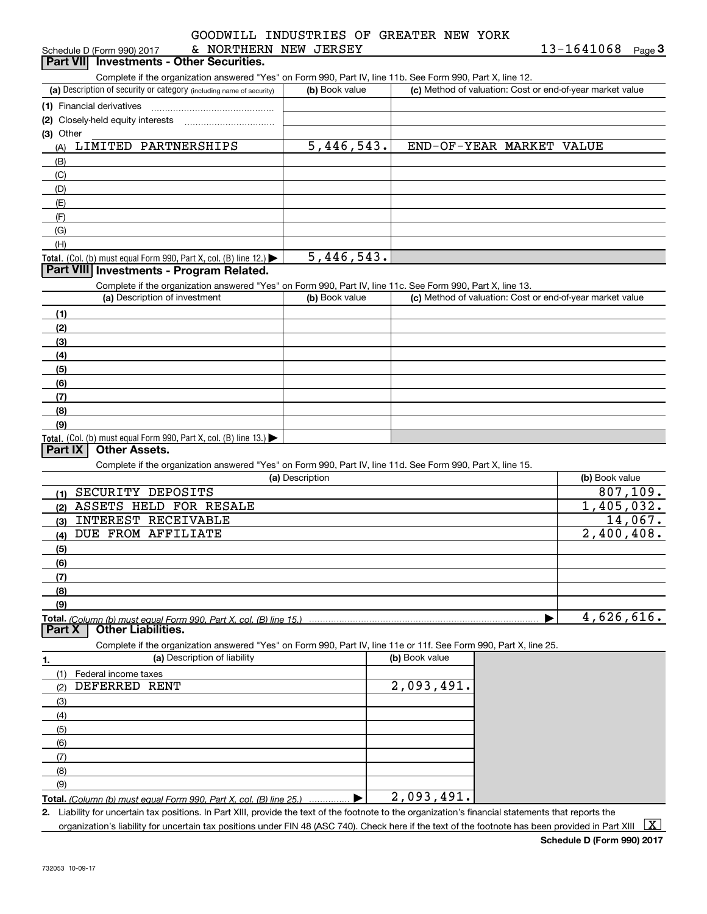|                        |  | GOODWILL INDUSTRIES OF GREATER NEW YORK |  |
|------------------------|--|-----------------------------------------|--|
| סים של אים אים או המיד |  |                                         |  |

| & NORTHERN NEW JERSEY<br>Schedule D (Form 990) 2017                                                                                                  |                 |                                                           | 13-1641068<br>Page $\bf{3}$ |
|------------------------------------------------------------------------------------------------------------------------------------------------------|-----------------|-----------------------------------------------------------|-----------------------------|
| <b>Investments - Other Securities.</b><br><b>Part VIII</b>                                                                                           |                 |                                                           |                             |
| Complete if the organization answered "Yes" on Form 990, Part IV, line 11b. See Form 990, Part X, line 12.                                           |                 |                                                           |                             |
| (a) Description of security or category (including name of security)                                                                                 | (b) Book value  | (c) Method of valuation: Cost or end-of-year market value |                             |
| (1) Financial derivatives                                                                                                                            |                 |                                                           |                             |
| (2) Closely-held equity interests                                                                                                                    |                 |                                                           |                             |
| (3) Other                                                                                                                                            |                 |                                                           |                             |
| LIMITED PARTNERSHIPS<br>(A)                                                                                                                          | 5,446,543.      | END-OF-YEAR MARKET VALUE                                  |                             |
| (B)                                                                                                                                                  |                 |                                                           |                             |
| (C)                                                                                                                                                  |                 |                                                           |                             |
| (D)                                                                                                                                                  |                 |                                                           |                             |
| (E)                                                                                                                                                  |                 |                                                           |                             |
| (F)                                                                                                                                                  |                 |                                                           |                             |
| (G)                                                                                                                                                  |                 |                                                           |                             |
| (H)                                                                                                                                                  |                 |                                                           |                             |
| Total. (Col. (b) must equal Form 990, Part X, col. (B) line 12.)                                                                                     | 5,446,543.      |                                                           |                             |
| Part VIII Investments - Program Related.                                                                                                             |                 |                                                           |                             |
| Complete if the organization answered "Yes" on Form 990, Part IV, line 11c. See Form 990, Part X, line 13.                                           |                 |                                                           |                             |
| (a) Description of investment                                                                                                                        | (b) Book value  | (c) Method of valuation: Cost or end-of-year market value |                             |
| (1)                                                                                                                                                  |                 |                                                           |                             |
| (2)                                                                                                                                                  |                 |                                                           |                             |
| (3)                                                                                                                                                  |                 |                                                           |                             |
| (4)                                                                                                                                                  |                 |                                                           |                             |
| (5)                                                                                                                                                  |                 |                                                           |                             |
| (6)                                                                                                                                                  |                 |                                                           |                             |
| (7)                                                                                                                                                  |                 |                                                           |                             |
| (8)                                                                                                                                                  |                 |                                                           |                             |
| (9)                                                                                                                                                  |                 |                                                           |                             |
| Total. (Col. (b) must equal Form 990, Part X, col. (B) line 13.) $\blacktriangleright$                                                               |                 |                                                           |                             |
| <b>Part IX</b><br><b>Other Assets.</b>                                                                                                               |                 |                                                           |                             |
| Complete if the organization answered "Yes" on Form 990, Part IV, line 11d. See Form 990, Part X, line 15.                                           |                 |                                                           |                             |
|                                                                                                                                                      | (a) Description |                                                           | (b) Book value              |
| SECURITY DEPOSITS<br>(1)                                                                                                                             |                 |                                                           | $\overline{807}$ , 109.     |
| ASSETS HELD FOR RESALE<br>(2)                                                                                                                        |                 |                                                           | 1,405,032.                  |
| INTEREST RECEIVABLE<br>(3)                                                                                                                           |                 |                                                           | 14,067.                     |
| <b>DUE FROM AFFILIATE</b><br>(4)                                                                                                                     |                 |                                                           | 2,400,408.                  |
| (5)                                                                                                                                                  |                 |                                                           |                             |
| (6)                                                                                                                                                  |                 |                                                           |                             |
| (7)                                                                                                                                                  |                 |                                                           |                             |
|                                                                                                                                                      |                 |                                                           |                             |
| (8)                                                                                                                                                  |                 |                                                           |                             |
| (9)                                                                                                                                                  |                 |                                                           | 4,626,616.                  |
| <b>Other Liabilities.</b><br><b>Part X</b>                                                                                                           |                 |                                                           |                             |
|                                                                                                                                                      |                 |                                                           |                             |
| Complete if the organization answered "Yes" on Form 990, Part IV, line 11e or 11f. See Form 990, Part X, line 25.<br>(a) Description of liability    |                 | (b) Book value                                            |                             |
| 1.                                                                                                                                                   |                 |                                                           |                             |
| (1)<br>Federal income taxes                                                                                                                          |                 |                                                           |                             |
| DEFERRED RENT<br>(2)                                                                                                                                 |                 | 2,093,491.                                                |                             |
| (3)                                                                                                                                                  |                 |                                                           |                             |
| (4)                                                                                                                                                  |                 |                                                           |                             |
| (5)                                                                                                                                                  |                 |                                                           |                             |
| (6)                                                                                                                                                  |                 |                                                           |                             |
| (7)                                                                                                                                                  |                 |                                                           |                             |
| (8)                                                                                                                                                  |                 |                                                           |                             |
| (9)                                                                                                                                                  |                 |                                                           |                             |
| Total. (Column (b) must equal Form 990, Part X, col. (B) line 25.)                                                                                   |                 | 2,093,491.                                                |                             |
| 2. Liability for uncertain tax positions. In Part XIII, provide the text of the footnote to the organization's financial statements that reports the |                 |                                                           |                             |

organization's liability for uncertain tax positions under FIN 48 (ASC 740). Check here if the text of the footnote has been provided in Part XIII  $~\boxed{\rm X}$ 

**Schedule D (Form 990) 2017**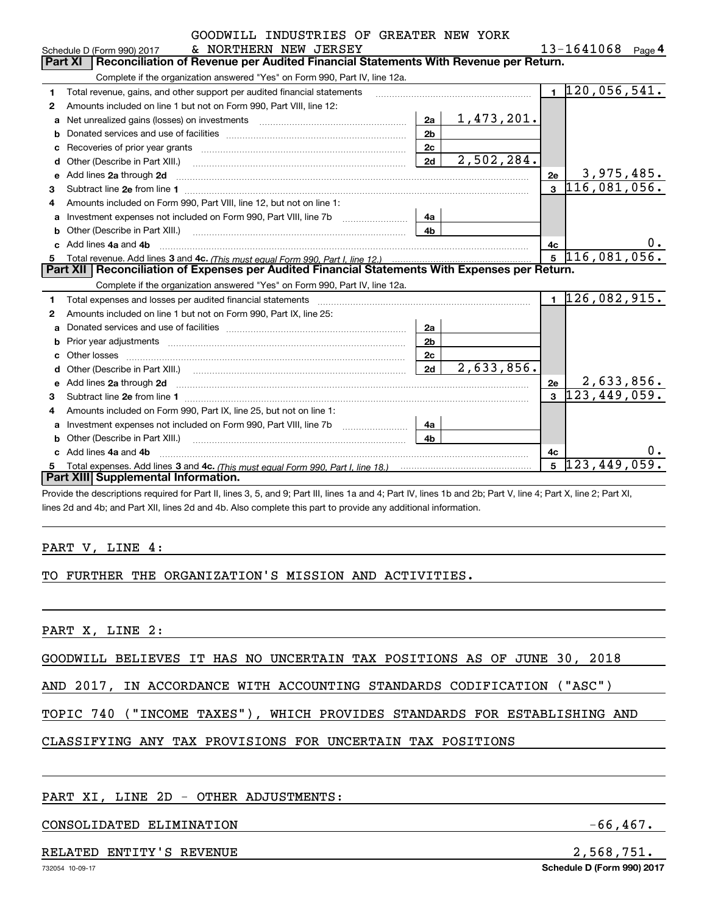|                           |  | GOODWILL INDUSTRIES OF GREATER NEW YORK |  |                |
|---------------------------|--|-----------------------------------------|--|----------------|
| סים שים אים אים משפחתות מ |  |                                         |  | $13 - 1611068$ |

|              | & NORTHERN NEW JERSEY<br>Schedule D (Form 990) 2017                                                                                                                                                                            |                |                   |                         | 13-1641068                    | Page 4 |
|--------------|--------------------------------------------------------------------------------------------------------------------------------------------------------------------------------------------------------------------------------|----------------|-------------------|-------------------------|-------------------------------|--------|
|              | Part XI<br>Reconciliation of Revenue per Audited Financial Statements With Revenue per Return.                                                                                                                                 |                |                   |                         |                               |        |
|              | Complete if the organization answered "Yes" on Form 990, Part IV, line 12a.                                                                                                                                                    |                |                   |                         |                               |        |
| $\mathbf{1}$ | Total revenue, gains, and other support per audited financial statements                                                                                                                                                       |                |                   |                         | $1\vert 120, 056, 541.$       |        |
| 2            | Amounts included on line 1 but not on Form 990, Part VIII, line 12:                                                                                                                                                            |                |                   |                         |                               |        |
| a            | Net unrealized gains (losses) on investments [11] matter contracts and the unrealized gains (losses) on investments                                                                                                            | 2a             | <u>1,473,201.</u> |                         |                               |        |
| b            |                                                                                                                                                                                                                                | 2 <sub>b</sub> |                   |                         |                               |        |
| C            | Recoveries of prior year grants [111] matter contracts and prior year grants [11] matter contracts and prior year grants and an intervention and prior year grants and an intervention and an intervention and an intervention | 2c             |                   |                         |                               |        |
| d            | Other (Describe in Part XIII.) [100] [2010] [2010] [2010] [2010] [2010] [2010] [2010] [2010] [2010] [2010] [20                                                                                                                 | 2d             | 2,502,284.        |                         |                               |        |
| е            | Add lines 2a through 2d                                                                                                                                                                                                        |                |                   | 2e                      | 3,975,485.                    |        |
| 3            |                                                                                                                                                                                                                                |                |                   | $\overline{\mathbf{3}}$ | 116,081,056.                  |        |
| 4            | Amounts included on Form 990, Part VIII, line 12, but not on line 1:                                                                                                                                                           |                |                   |                         |                               |        |
| a            |                                                                                                                                                                                                                                | 4a             |                   |                         |                               |        |
| b            | Other (Describe in Part XIII.) <b>Construction Construction</b> Chern Construction Chern Chern Chern Chern Chern Chern                                                                                                         | 4 <sub>h</sub> |                   |                         |                               |        |
| c.           | Add lines 4a and 4b                                                                                                                                                                                                            |                |                   | 4c                      |                               | 0.     |
|              |                                                                                                                                                                                                                                |                |                   | $\mathbf{5}$            | 116,081,056.                  |        |
|              |                                                                                                                                                                                                                                |                |                   |                         |                               |        |
|              | Part XII   Reconciliation of Expenses per Audited Financial Statements With Expenses per Return.                                                                                                                               |                |                   |                         |                               |        |
|              | Complete if the organization answered "Yes" on Form 990, Part IV, line 12a.                                                                                                                                                    |                |                   |                         |                               |        |
| 1            | Total expenses and losses per audited financial statements [111] [12] contraction control and statements [13] [13] and the statements [13] and the statements [13] and the statements and statements and statements and statem |                |                   |                         | $1\overline{126}$ , 082, 915. |        |
| 2            | Amounts included on line 1 but not on Form 990, Part IX, line 25:                                                                                                                                                              |                |                   |                         |                               |        |
| a            |                                                                                                                                                                                                                                | 2a             |                   |                         |                               |        |
| b            |                                                                                                                                                                                                                                | 2 <sub>b</sub> |                   |                         |                               |        |
| c            | Other losses                                                                                                                                                                                                                   | 2c             |                   |                         |                               |        |
| d            |                                                                                                                                                                                                                                | 2d             | 2,633,856.        |                         |                               |        |
| е            |                                                                                                                                                                                                                                |                |                   | 2e                      | 2,633,856.                    |        |
| З.           |                                                                                                                                                                                                                                |                |                   |                         | $3\; 123,449,059.$            |        |
| 4            | Amounts included on Form 990, Part IX, line 25, but not on line 1:                                                                                                                                                             |                |                   |                         |                               |        |
| a            | Investment expenses not included on Form 990, Part VIII, line 7b [1000000000000000000000000000000000                                                                                                                           | 4a             |                   |                         |                               |        |
| b            |                                                                                                                                                                                                                                | 4 <sub>b</sub> |                   |                         |                               |        |
|              | Add lines 4a and 4b                                                                                                                                                                                                            |                |                   | 4c                      |                               | 0.     |
|              | Part XIII Supplemental Information.                                                                                                                                                                                            |                |                   | 5                       | 123, 449, 059.                |        |

Provide the descriptions required for Part II, lines 3, 5, and 9; Part III, lines 1a and 4; Part IV, lines 1b and 2b; Part V, line 4; Part X, line 2; Part XI, lines 2d and 4b; and Part XII, lines 2d and 4b. Also complete this part to provide any additional information.

#### PART V, LINE 4:

#### TO FURTHER THE ORGANIZATION'S MISSION AND ACTIVITIES.

PART X, LINE 2:

GOODWILL BELIEVES IT HAS NO UNCERTAIN TAX POSITIONS AS OF JUNE 30, 2018

AND 2017, IN ACCORDANCE WITH ACCOUNTING STANDARDS CODIFICATION ("ASC")

TOPIC 740 ("INCOME TAXES"), WHICH PROVIDES STANDARDS FOR ESTABLISHING AND

# CLASSIFYING ANY TAX PROVISIONS FOR UNCERTAIN TAX POSITIONS

#### PART XI, LINE 2D - OTHER ADJUSTMENTS:

### CONSOLIDATED ELIMINATION  $-66,467$ .

#### RELATED ENTITY'S REVENUE 2,568,751.

**Schedule D (Form 990) 2017**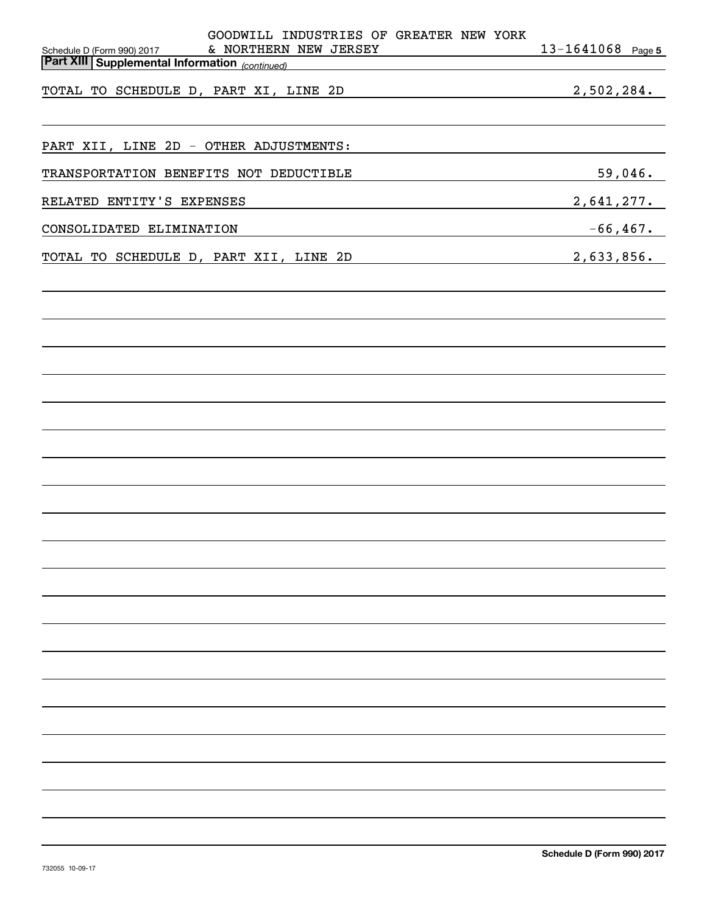| GOODWILL INDUSTRIES OF GREATER NEW YORK<br>& NORTHERN NEW JERSEY                                          | $13 - 1641068$ Page 5 |
|-----------------------------------------------------------------------------------------------------------|-----------------------|
| Schedule D (Form 990) 2017<br><b>Part XIII Supplemental Information</b> (continued)                       |                       |
| TOTAL TO SCHEDULE D, PART XI, LINE 2D                                                                     | 2,502,284.            |
| PART XII, LINE 2D - OTHER ADJUSTMENTS:                                                                    |                       |
| TRANSPORTATION BENEFITS NOT DEDUCTIBLE                                                                    | 59,046.               |
| RELATED ENTITY'S EXPENSES                                                                                 | 2,641,277.            |
| CONSOLIDATED ELIMINATION                                                                                  | $-66$ ,467.           |
| TOTAL TO SCHEDULE D, PART XII, LINE 2D<br><u> 1989 - Johann Barn, fransk politik amerikansk politik (</u> | 2,633,856.            |
|                                                                                                           |                       |
|                                                                                                           |                       |
|                                                                                                           |                       |
|                                                                                                           |                       |
|                                                                                                           |                       |
|                                                                                                           |                       |
|                                                                                                           |                       |
|                                                                                                           |                       |
|                                                                                                           |                       |
|                                                                                                           |                       |
|                                                                                                           |                       |
|                                                                                                           |                       |
|                                                                                                           |                       |
|                                                                                                           |                       |
|                                                                                                           |                       |
|                                                                                                           |                       |
|                                                                                                           |                       |
|                                                                                                           |                       |
|                                                                                                           |                       |
|                                                                                                           |                       |
|                                                                                                           |                       |
|                                                                                                           |                       |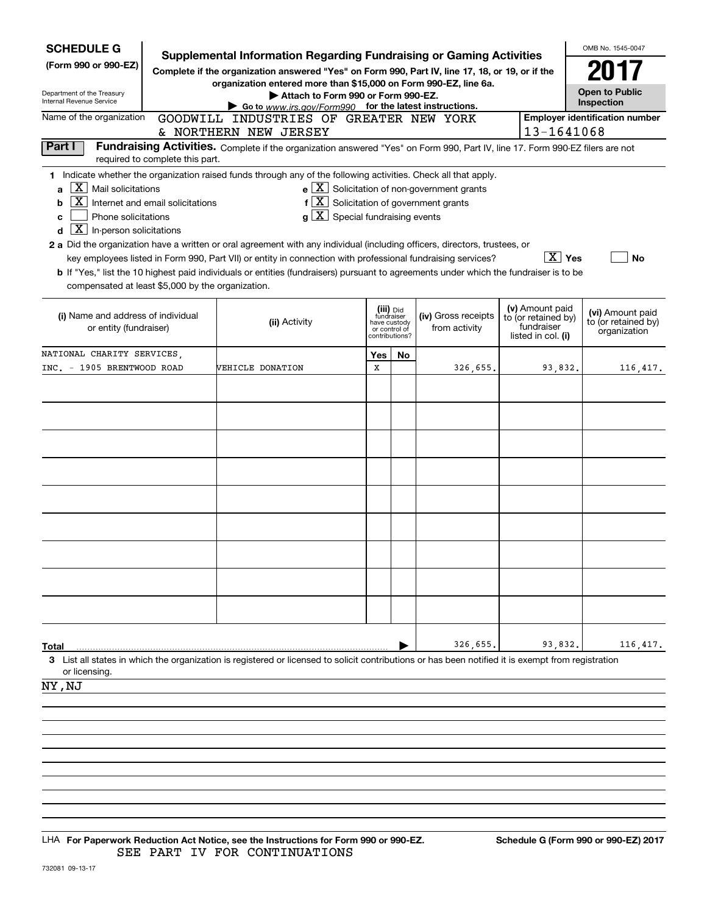| <b>SCHEDULE G</b>                                                                                                 |                                  | Supplemental Information Regarding Fundraising or Gaming Activities                                                                                                                                                                                                                                                                                                                                                                                                    |                                                           |               |                                                       |                                                                            | OMB No. 1545-0047                                       |
|-------------------------------------------------------------------------------------------------------------------|----------------------------------|------------------------------------------------------------------------------------------------------------------------------------------------------------------------------------------------------------------------------------------------------------------------------------------------------------------------------------------------------------------------------------------------------------------------------------------------------------------------|-----------------------------------------------------------|---------------|-------------------------------------------------------|----------------------------------------------------------------------------|---------------------------------------------------------|
| (Form 990 or 990-EZ)<br>Department of the Treasury<br>Internal Revenue Service                                    |                                  | Complete if the organization answered "Yes" on Form 990, Part IV, line 17, 18, or 19, or if the<br>organization entered more than \$15,000 on Form 990-EZ, line 6a.<br>Attach to Form 990 or Form 990-EZ.<br>Go to www.irs.gov/Form990 for the latest instructions.                                                                                                                                                                                                    |                                                           |               |                                                       |                                                                            | <b>Open to Public</b><br>Inspection                     |
| Name of the organization                                                                                          |                                  | GOODWILL INDUSTRIES OF GREATER NEW YORK                                                                                                                                                                                                                                                                                                                                                                                                                                |                                                           |               |                                                       | 13-1641068                                                                 | <b>Employer identification number</b>                   |
| Part I                                                                                                            |                                  | & NORTHERN NEW JERSEY<br>Fundraising Activities. Complete if the organization answered "Yes" on Form 990, Part IV, line 17. Form 990-EZ filers are not                                                                                                                                                                                                                                                                                                                 |                                                           |               |                                                       |                                                                            |                                                         |
|                                                                                                                   | required to complete this part.  |                                                                                                                                                                                                                                                                                                                                                                                                                                                                        |                                                           |               |                                                       |                                                                            |                                                         |
| $X$   Mail solicitations<br>a<br>b<br>Phone solicitations<br>с<br>$\boxed{\text{X}}$ In-person solicitations<br>d | Internet and email solicitations | 1 Indicate whether the organization raised funds through any of the following activities. Check all that apply.<br>$f\left[\overline{X}\right]$ Solicitation of government grants<br>$g\mid X$ Special fundraising events<br>2 a Did the organization have a written or oral agreement with any individual (including officers, directors, trustees, or<br>key employees listed in Form 990, Part VII) or entity in connection with professional fundraising services? |                                                           |               | $e$ $\boxed{X}$ Solicitation of non-government grants | $ \overline{X} $ Yes                                                       | <b>No</b>                                               |
| compensated at least \$5,000 by the organization.                                                                 |                                  | b If "Yes," list the 10 highest paid individuals or entities (fundraisers) pursuant to agreements under which the fundraiser is to be                                                                                                                                                                                                                                                                                                                                  |                                                           |               |                                                       |                                                                            |                                                         |
| (i) Name and address of individual<br>or entity (fundraiser)                                                      |                                  | (ii) Activity                                                                                                                                                                                                                                                                                                                                                                                                                                                          | (iii) Did<br>fundraiser<br>have custody<br>contributions? | or control of | (iv) Gross receipts<br>from activity                  | (v) Amount paid<br>to (or retained by)<br>fundraiser<br>listed in col. (i) | (vi) Amount paid<br>to (or retained by)<br>organization |
| NATIONAL CHARITY SERVICES.                                                                                        |                                  |                                                                                                                                                                                                                                                                                                                                                                                                                                                                        | Yes                                                       | No            |                                                       |                                                                            |                                                         |
| INC. - 1905 BRENTWOOD ROAD                                                                                        |                                  | <b>WEHICLE DONATION</b>                                                                                                                                                                                                                                                                                                                                                                                                                                                | X                                                         |               | 326,655.                                              | 93,832.                                                                    | 116, 417.                                               |
|                                                                                                                   |                                  |                                                                                                                                                                                                                                                                                                                                                                                                                                                                        |                                                           |               |                                                       |                                                                            |                                                         |
|                                                                                                                   |                                  |                                                                                                                                                                                                                                                                                                                                                                                                                                                                        |                                                           |               |                                                       |                                                                            |                                                         |
|                                                                                                                   |                                  |                                                                                                                                                                                                                                                                                                                                                                                                                                                                        |                                                           |               |                                                       |                                                                            |                                                         |
|                                                                                                                   |                                  |                                                                                                                                                                                                                                                                                                                                                                                                                                                                        |                                                           |               |                                                       |                                                                            |                                                         |
|                                                                                                                   |                                  |                                                                                                                                                                                                                                                                                                                                                                                                                                                                        |                                                           |               |                                                       |                                                                            |                                                         |
|                                                                                                                   |                                  |                                                                                                                                                                                                                                                                                                                                                                                                                                                                        |                                                           |               |                                                       |                                                                            |                                                         |
|                                                                                                                   |                                  |                                                                                                                                                                                                                                                                                                                                                                                                                                                                        |                                                           |               |                                                       |                                                                            |                                                         |
|                                                                                                                   |                                  |                                                                                                                                                                                                                                                                                                                                                                                                                                                                        |                                                           |               |                                                       |                                                                            |                                                         |
|                                                                                                                   |                                  |                                                                                                                                                                                                                                                                                                                                                                                                                                                                        |                                                           |               |                                                       |                                                                            |                                                         |
|                                                                                                                   |                                  |                                                                                                                                                                                                                                                                                                                                                                                                                                                                        |                                                           |               |                                                       |                                                                            |                                                         |
|                                                                                                                   |                                  |                                                                                                                                                                                                                                                                                                                                                                                                                                                                        |                                                           |               |                                                       |                                                                            |                                                         |
|                                                                                                                   |                                  |                                                                                                                                                                                                                                                                                                                                                                                                                                                                        |                                                           |               |                                                       |                                                                            |                                                         |
|                                                                                                                   |                                  |                                                                                                                                                                                                                                                                                                                                                                                                                                                                        |                                                           |               |                                                       |                                                                            |                                                         |
| Total                                                                                                             |                                  |                                                                                                                                                                                                                                                                                                                                                                                                                                                                        |                                                           |               | 326,655                                               | 93,832.                                                                    | 116,417.                                                |
| or licensing.                                                                                                     |                                  | 3 List all states in which the organization is registered or licensed to solicit contributions or has been notified it is exempt from registration                                                                                                                                                                                                                                                                                                                     |                                                           |               |                                                       |                                                                            |                                                         |
| NY , NJ                                                                                                           |                                  |                                                                                                                                                                                                                                                                                                                                                                                                                                                                        |                                                           |               |                                                       |                                                                            |                                                         |
|                                                                                                                   |                                  |                                                                                                                                                                                                                                                                                                                                                                                                                                                                        |                                                           |               |                                                       |                                                                            |                                                         |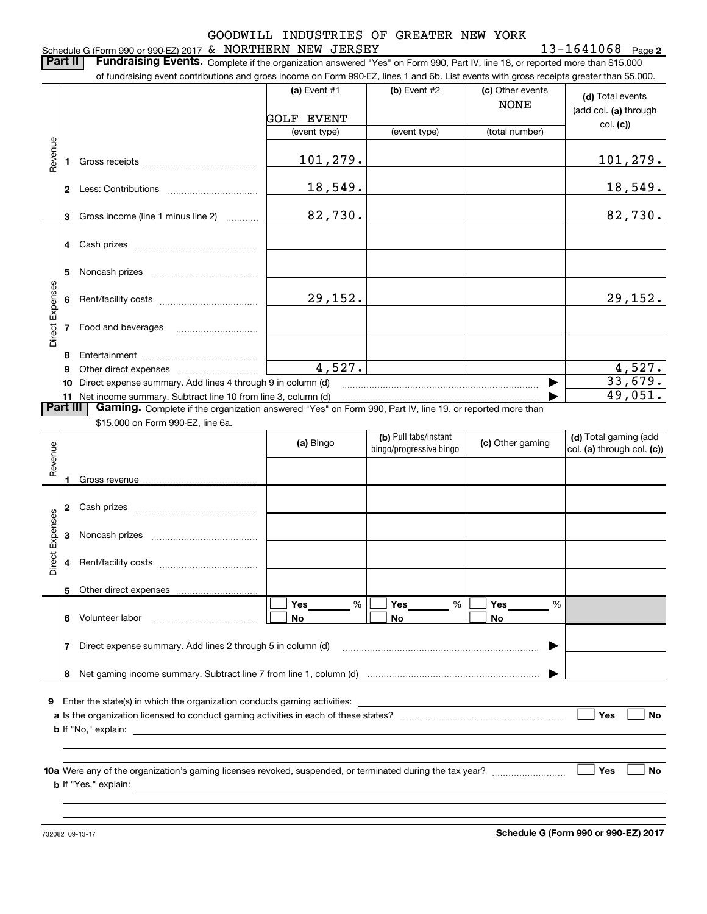#### Schedule G (Form 990 or 990-EZ) 2017 Page & NORTHERN NEW JERSEY 13-1641068 GOODWILL INDUSTRIES OF GREATER NEW YORK

**Part II** | Fundraising Events. Complete if the organization answered "Yes" on Form 990, Part IV, line 18, or reported more than \$15,000

|                 |    | of fundraising event contributions and gross income on Form 990-EZ, lines 1 and 6b. List events with gross receipts greater than \$5,000.     |                       |                                                  |                                 |                                                     |
|-----------------|----|-----------------------------------------------------------------------------------------------------------------------------------------------|-----------------------|--------------------------------------------------|---------------------------------|-----------------------------------------------------|
|                 |    |                                                                                                                                               | (a) Event #1          | $(b)$ Event #2                                   | (c) Other events<br><b>NONE</b> | (d) Total events                                    |
|                 |    |                                                                                                                                               | GOLF EVENT            |                                                  |                                 | (add col. (a) through                               |
|                 |    |                                                                                                                                               | (event type)          | (event type)                                     | (total number)                  | col. (c)                                            |
| Revenue         |    |                                                                                                                                               | 101,279.              |                                                  |                                 | 101, 279.                                           |
|                 |    |                                                                                                                                               | 18,549.               |                                                  |                                 | <u>18,549.</u>                                      |
|                 | 3  | Gross income (line 1 minus line 2)                                                                                                            | 82,730.               |                                                  |                                 | 82,730.                                             |
|                 | 4  |                                                                                                                                               |                       |                                                  |                                 |                                                     |
|                 | 5  |                                                                                                                                               |                       |                                                  |                                 |                                                     |
| Direct Expenses | 6. |                                                                                                                                               | 29,152.               |                                                  |                                 | 29,152.                                             |
|                 |    | <b>7</b> Food and beverages                                                                                                                   |                       |                                                  |                                 |                                                     |
|                 | 8  |                                                                                                                                               |                       |                                                  |                                 |                                                     |
|                 | 9  |                                                                                                                                               | $\overline{4,527}$ .  |                                                  |                                 | 4,527.                                              |
|                 |    | 10 Direct expense summary. Add lines 4 through 9 in column (d)                                                                                |                       |                                                  | ▶                               | 33,679.                                             |
|                 |    | 11 Net income summary. Subtract line 10 from line 3, column (d)                                                                               |                       |                                                  |                                 | 49,051.                                             |
| <b>Part III</b> |    | Gaming. Complete if the organization answered "Yes" on Form 990, Part IV, line 19, or reported more than<br>\$15,000 on Form 990-EZ, line 6a. |                       |                                                  |                                 |                                                     |
|                 |    |                                                                                                                                               | (a) Bingo             | (b) Pull tabs/instant<br>bingo/progressive bingo | (c) Other gaming                | (d) Total gaming (add<br>col. (a) through col. (c)) |
| Revenue         |    |                                                                                                                                               |                       |                                                  |                                 |                                                     |
|                 | 1. |                                                                                                                                               |                       |                                                  |                                 |                                                     |
|                 |    |                                                                                                                                               |                       |                                                  |                                 |                                                     |
| Direct Expenses | 3  |                                                                                                                                               |                       |                                                  |                                 |                                                     |
|                 | 4  |                                                                                                                                               |                       |                                                  |                                 |                                                     |
|                 | 5  |                                                                                                                                               |                       |                                                  |                                 |                                                     |
|                 |    | 6 Volunteer labor                                                                                                                             | Yes<br>%<br><b>No</b> | $Yes$ %<br><b>No</b>                             | Yes<br>%<br><b>No</b>           |                                                     |
|                 | 7  | Direct expense summary. Add lines 2 through 5 in column (d)                                                                                   |                       |                                                  |                                 |                                                     |

**9**Enter the state(s) in which the organization conducts gaming activities:

| a Is the organization licensed to conduct gaming activities in each of these states? |  | Yes | No |
|--------------------------------------------------------------------------------------|--|-----|----|
| <b>b</b> If "No," explain:                                                           |  |     |    |

**10 a Yes No** Were any of the organization's gaming licenses revoked, suspended, or terminated during the tax year? ~~~~~~~~~ **b** If "Yes," explain:

**8**Net gaming income summary. Subtract line 7 from line 1, column (d) |

732082 09-13-17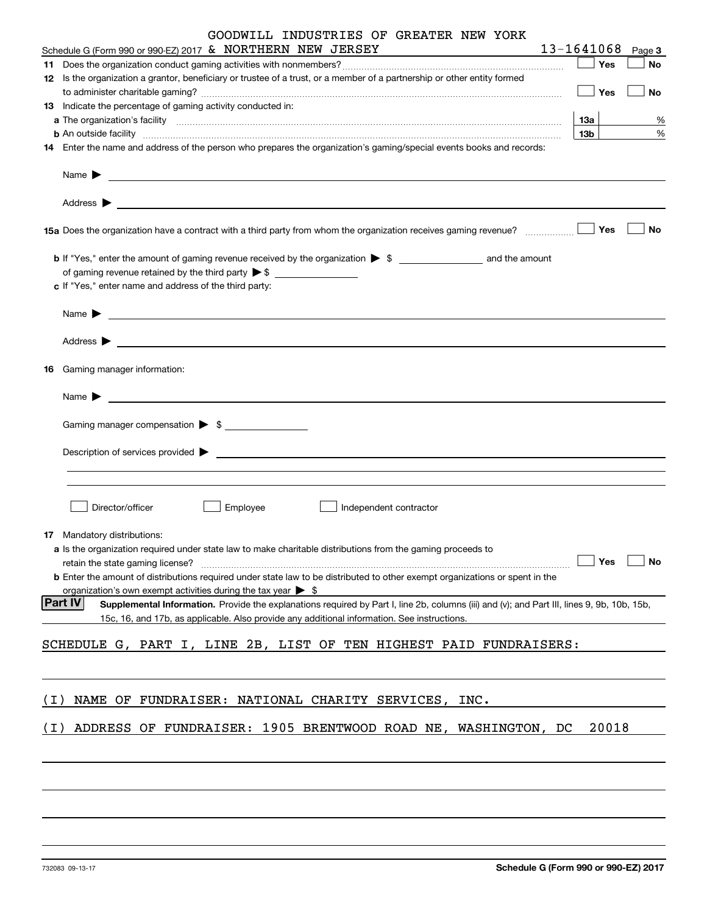|     | GOODWILL INDUSTRIES OF GREATER NEW YORK                                                                                                                       |                 |             |           |
|-----|---------------------------------------------------------------------------------------------------------------------------------------------------------------|-----------------|-------------|-----------|
|     | Schedule G (Form 990 or 990-EZ) 2017 & NORTHERN NEW JERSEY                                                                                                    | 13-1641068      |             | Page 3    |
|     |                                                                                                                                                               |                 | $\Box$ Yes  | No        |
|     | 12 Is the organization a grantor, beneficiary or trustee of a trust, or a member of a partnership or other entity formed                                      |                 |             |           |
|     |                                                                                                                                                               |                 | $\vert$ Yes | No        |
|     | 13 Indicate the percentage of gaming activity conducted in:                                                                                                   | 13а             |             |           |
|     | <b>b</b> An outside facility <i>www.communicality.communicality.communicality www.communicality.communicality.communicality</i>                               | 13 <sub>b</sub> |             | %<br>$\%$ |
|     | 14 Enter the name and address of the person who prepares the organization's gaming/special events books and records:                                          |                 |             |           |
|     |                                                                                                                                                               |                 |             |           |
|     | Name $\triangleright$                                                                                                                                         |                 |             |           |
|     |                                                                                                                                                               |                 |             |           |
|     |                                                                                                                                                               |                 |             |           |
|     |                                                                                                                                                               |                 |             |           |
|     |                                                                                                                                                               |                 |             | No        |
|     |                                                                                                                                                               |                 |             |           |
|     |                                                                                                                                                               |                 |             |           |
|     |                                                                                                                                                               |                 |             |           |
|     | c If "Yes," enter name and address of the third party:                                                                                                        |                 |             |           |
|     |                                                                                                                                                               |                 |             |           |
|     | Name $\blacktriangleright$<br><u> 1980 - Andrea Andrew Maria (h. 1980).</u><br>1901 - Andrew Maria (h. 1902).                                                 |                 |             |           |
|     |                                                                                                                                                               |                 |             |           |
|     |                                                                                                                                                               |                 |             |           |
|     | <b>16</b> Gaming manager information:                                                                                                                         |                 |             |           |
|     |                                                                                                                                                               |                 |             |           |
|     | <u> 1989 - Johann Barbara, martin amerikan basal dan berasal dalam basal dan berasal dalam basal dalam basal dala</u><br>Name $\blacktriangleright$           |                 |             |           |
|     |                                                                                                                                                               |                 |             |           |
|     | Gaming manager compensation > \$                                                                                                                              |                 |             |           |
|     |                                                                                                                                                               |                 |             |           |
|     | $Description of services provided$ $\triangleright$                                                                                                           |                 |             |           |
|     |                                                                                                                                                               |                 |             |           |
|     |                                                                                                                                                               |                 |             |           |
|     | Director/officer<br>Employee<br>Independent contractor                                                                                                        |                 |             |           |
|     |                                                                                                                                                               |                 |             |           |
|     | 17 Mandatory distributions:                                                                                                                                   |                 |             |           |
|     | a Is the organization required under state law to make charitable distributions from the gaming proceeds to                                                   |                 |             |           |
|     | retain the state gaming license?                                                                                                                              |                 | Yes         | No        |
|     | <b>b</b> Enter the amount of distributions required under state law to be distributed to other exempt organizations or spent in the                           |                 |             |           |
|     | organization's own exempt activities during the tax year $\triangleright$ \$                                                                                  |                 |             |           |
|     | <b>Part IV</b><br>Supplemental Information. Provide the explanations required by Part I, line 2b, columns (iii) and (v); and Part III, lines 9, 9b, 10b, 15b, |                 |             |           |
|     | 15c, 16, and 17b, as applicable. Also provide any additional information. See instructions.                                                                   |                 |             |           |
|     |                                                                                                                                                               |                 |             |           |
|     | SCHEDULE G, PART I, LINE 2B, LIST OF TEN HIGHEST PAID FUNDRAISERS:                                                                                            |                 |             |           |
|     |                                                                                                                                                               |                 |             |           |
|     |                                                                                                                                                               |                 |             |           |
| (I) | NAME OF FUNDRAISER: NATIONAL CHARITY SERVICES, INC.                                                                                                           |                 |             |           |
|     |                                                                                                                                                               |                 |             |           |
| (I) | ADDRESS OF FUNDRAISER: 1905 BRENTWOOD ROAD NE, WASHINGTON, DC                                                                                                 |                 | 20018       |           |
|     |                                                                                                                                                               |                 |             |           |
|     |                                                                                                                                                               |                 |             |           |
|     |                                                                                                                                                               |                 |             |           |
|     |                                                                                                                                                               |                 |             |           |
|     |                                                                                                                                                               |                 |             |           |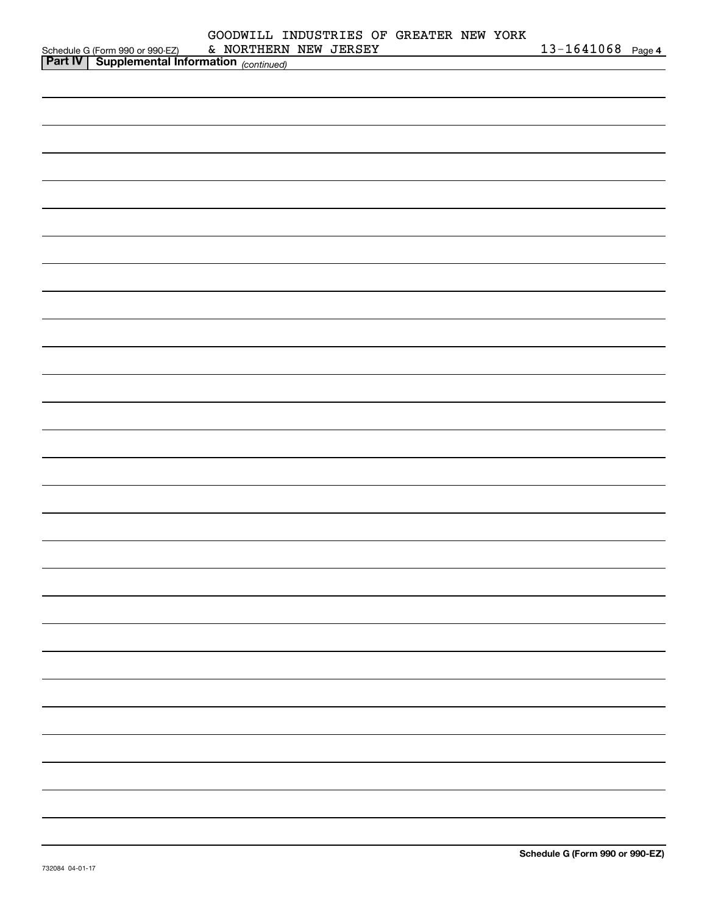|                                                                                            | GOODWILL INDUSTRIES OF GREATER NEW YORK |  |  |                   |  |
|--------------------------------------------------------------------------------------------|-----------------------------------------|--|--|-------------------|--|
| Schedule G (Form 990 or 990-EZ) & NORTHERN<br>Part IV Supplemental Information (continued) | & NORTHERN NEW JERSEY                   |  |  | 13-1641068 Page 4 |  |
|                                                                                            |                                         |  |  |                   |  |
|                                                                                            |                                         |  |  |                   |  |
|                                                                                            |                                         |  |  |                   |  |
|                                                                                            |                                         |  |  |                   |  |
|                                                                                            |                                         |  |  |                   |  |
|                                                                                            |                                         |  |  |                   |  |
|                                                                                            |                                         |  |  |                   |  |
|                                                                                            |                                         |  |  |                   |  |
|                                                                                            |                                         |  |  |                   |  |
|                                                                                            |                                         |  |  |                   |  |
|                                                                                            |                                         |  |  |                   |  |
|                                                                                            |                                         |  |  |                   |  |
|                                                                                            |                                         |  |  |                   |  |
|                                                                                            |                                         |  |  |                   |  |
|                                                                                            |                                         |  |  |                   |  |
|                                                                                            |                                         |  |  |                   |  |
|                                                                                            |                                         |  |  |                   |  |
|                                                                                            |                                         |  |  |                   |  |
|                                                                                            |                                         |  |  |                   |  |
|                                                                                            |                                         |  |  |                   |  |
|                                                                                            |                                         |  |  |                   |  |
|                                                                                            |                                         |  |  |                   |  |
|                                                                                            |                                         |  |  |                   |  |
|                                                                                            |                                         |  |  |                   |  |
|                                                                                            |                                         |  |  |                   |  |
|                                                                                            |                                         |  |  |                   |  |
|                                                                                            |                                         |  |  |                   |  |
|                                                                                            |                                         |  |  |                   |  |
|                                                                                            |                                         |  |  |                   |  |
|                                                                                            |                                         |  |  |                   |  |
|                                                                                            |                                         |  |  |                   |  |
|                                                                                            |                                         |  |  |                   |  |
|                                                                                            |                                         |  |  |                   |  |
|                                                                                            |                                         |  |  |                   |  |
|                                                                                            |                                         |  |  |                   |  |
|                                                                                            |                                         |  |  |                   |  |
|                                                                                            |                                         |  |  |                   |  |
|                                                                                            |                                         |  |  |                   |  |
|                                                                                            |                                         |  |  |                   |  |
|                                                                                            |                                         |  |  |                   |  |
|                                                                                            |                                         |  |  |                   |  |
|                                                                                            |                                         |  |  |                   |  |
|                                                                                            |                                         |  |  |                   |  |
|                                                                                            |                                         |  |  |                   |  |
|                                                                                            |                                         |  |  |                   |  |
|                                                                                            |                                         |  |  |                   |  |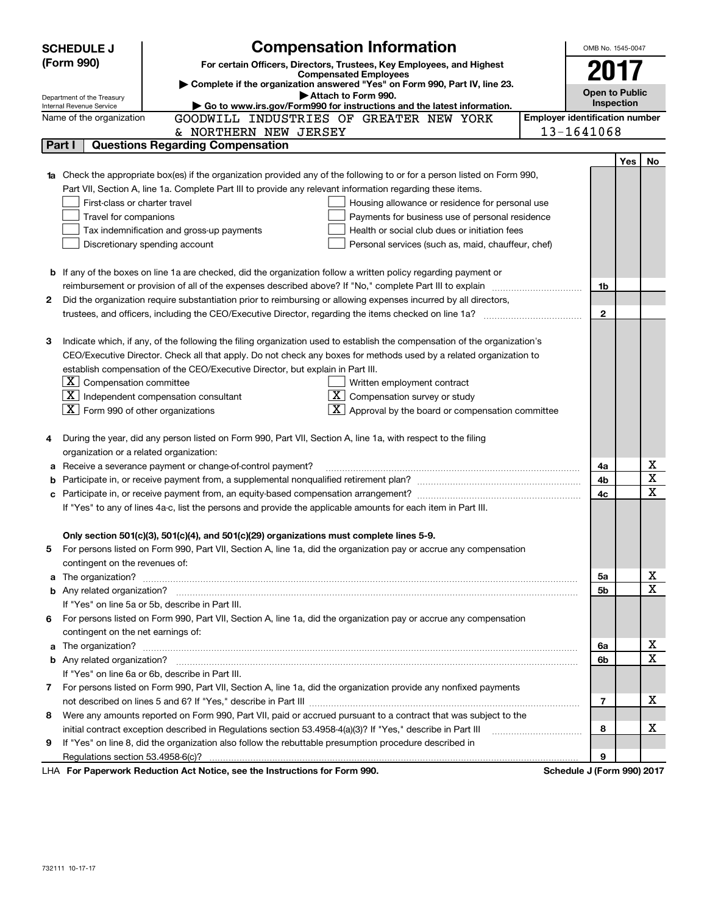|   | <b>SCHEDULE J</b>                  |                                                                                                                                                                                                                                                                                                                                                                                                                                                                                                                                                                                                                                                                                                                                                                                                                                                                                                                                                                                                                                                                                                                                                                                                                                                                                                                                                                                                                                                                                                                                                                                                                                                                                                                                                                                                                                                                                                                                                                                                                                                                                                                                                                                                                                                                                                                                                                                                                                                                                                                                                                                                                                          |                            | OMB No. 1545-0047     |            |    |
|---|------------------------------------|------------------------------------------------------------------------------------------------------------------------------------------------------------------------------------------------------------------------------------------------------------------------------------------------------------------------------------------------------------------------------------------------------------------------------------------------------------------------------------------------------------------------------------------------------------------------------------------------------------------------------------------------------------------------------------------------------------------------------------------------------------------------------------------------------------------------------------------------------------------------------------------------------------------------------------------------------------------------------------------------------------------------------------------------------------------------------------------------------------------------------------------------------------------------------------------------------------------------------------------------------------------------------------------------------------------------------------------------------------------------------------------------------------------------------------------------------------------------------------------------------------------------------------------------------------------------------------------------------------------------------------------------------------------------------------------------------------------------------------------------------------------------------------------------------------------------------------------------------------------------------------------------------------------------------------------------------------------------------------------------------------------------------------------------------------------------------------------------------------------------------------------------------------------------------------------------------------------------------------------------------------------------------------------------------------------------------------------------------------------------------------------------------------------------------------------------------------------------------------------------------------------------------------------------------------------------------------------------------------------------------------------|----------------------------|-----------------------|------------|----|
|   | (Form 990)                         |                                                                                                                                                                                                                                                                                                                                                                                                                                                                                                                                                                                                                                                                                                                                                                                                                                                                                                                                                                                                                                                                                                                                                                                                                                                                                                                                                                                                                                                                                                                                                                                                                                                                                                                                                                                                                                                                                                                                                                                                                                                                                                                                                                                                                                                                                                                                                                                                                                                                                                                                                                                                                                          |                            |                       |            |    |
|   |                                    | <b>Compensated Employees</b>                                                                                                                                                                                                                                                                                                                                                                                                                                                                                                                                                                                                                                                                                                                                                                                                                                                                                                                                                                                                                                                                                                                                                                                                                                                                                                                                                                                                                                                                                                                                                                                                                                                                                                                                                                                                                                                                                                                                                                                                                                                                                                                                                                                                                                                                                                                                                                                                                                                                                                                                                                                                             |                            |                       |            |    |
|   |                                    |                                                                                                                                                                                                                                                                                                                                                                                                                                                                                                                                                                                                                                                                                                                                                                                                                                                                                                                                                                                                                                                                                                                                                                                                                                                                                                                                                                                                                                                                                                                                                                                                                                                                                                                                                                                                                                                                                                                                                                                                                                                                                                                                                                                                                                                                                                                                                                                                                                                                                                                                                                                                                                          |                            | <b>Open to Public</b> |            |    |
|   | Internal Revenue Service           |                                                                                                                                                                                                                                                                                                                                                                                                                                                                                                                                                                                                                                                                                                                                                                                                                                                                                                                                                                                                                                                                                                                                                                                                                                                                                                                                                                                                                                                                                                                                                                                                                                                                                                                                                                                                                                                                                                                                                                                                                                                                                                                                                                                                                                                                                                                                                                                                                                                                                                                                                                                                                                          |                            |                       | Inspection |    |
|   | Name of the organization           | GOODWILL INDUSTRIES OF GREATER NEW YORK                                                                                                                                                                                                                                                                                                                                                                                                                                                                                                                                                                                                                                                                                                                                                                                                                                                                                                                                                                                                                                                                                                                                                                                                                                                                                                                                                                                                                                                                                                                                                                                                                                                                                                                                                                                                                                                                                                                                                                                                                                                                                                                                                                                                                                                                                                                                                                                                                                                                                                                                                                                                  |                            |                       |            |    |
|   |                                    | & NORTHERN NEW JERSEY                                                                                                                                                                                                                                                                                                                                                                                                                                                                                                                                                                                                                                                                                                                                                                                                                                                                                                                                                                                                                                                                                                                                                                                                                                                                                                                                                                                                                                                                                                                                                                                                                                                                                                                                                                                                                                                                                                                                                                                                                                                                                                                                                                                                                                                                                                                                                                                                                                                                                                                                                                                                                    |                            |                       |            |    |
|   | Part I                             |                                                                                                                                                                                                                                                                                                                                                                                                                                                                                                                                                                                                                                                                                                                                                                                                                                                                                                                                                                                                                                                                                                                                                                                                                                                                                                                                                                                                                                                                                                                                                                                                                                                                                                                                                                                                                                                                                                                                                                                                                                                                                                                                                                                                                                                                                                                                                                                                                                                                                                                                                                                                                                          |                            |                       |            |    |
|   |                                    |                                                                                                                                                                                                                                                                                                                                                                                                                                                                                                                                                                                                                                                                                                                                                                                                                                                                                                                                                                                                                                                                                                                                                                                                                                                                                                                                                                                                                                                                                                                                                                                                                                                                                                                                                                                                                                                                                                                                                                                                                                                                                                                                                                                                                                                                                                                                                                                                                                                                                                                                                                                                                                          |                            |                       | Yes        | No |
|   |                                    |                                                                                                                                                                                                                                                                                                                                                                                                                                                                                                                                                                                                                                                                                                                                                                                                                                                                                                                                                                                                                                                                                                                                                                                                                                                                                                                                                                                                                                                                                                                                                                                                                                                                                                                                                                                                                                                                                                                                                                                                                                                                                                                                                                                                                                                                                                                                                                                                                                                                                                                                                                                                                                          |                            |                       |            |    |
|   |                                    |                                                                                                                                                                                                                                                                                                                                                                                                                                                                                                                                                                                                                                                                                                                                                                                                                                                                                                                                                                                                                                                                                                                                                                                                                                                                                                                                                                                                                                                                                                                                                                                                                                                                                                                                                                                                                                                                                                                                                                                                                                                                                                                                                                                                                                                                                                                                                                                                                                                                                                                                                                                                                                          |                            |                       |            |    |
|   |                                    | <b>Compensation Information</b><br>For certain Officers, Directors, Trustees, Key Employees, and Highest<br>2017<br>Complete if the organization answered "Yes" on Form 990, Part IV, line 23.<br>Attach to Form 990.<br>Department of the Treasury<br>Go to www.irs.gov/Form990 for instructions and the latest information.<br><b>Employer identification number</b><br>13-1641068<br><b>Questions Regarding Compensation</b><br>Check the appropriate box(es) if the organization provided any of the following to or for a person listed on Form 990,<br>Part VII, Section A, line 1a. Complete Part III to provide any relevant information regarding these items.<br>First-class or charter travel<br>Housing allowance or residence for personal use<br>Travel for companions<br>Payments for business use of personal residence<br>Tax indemnification and gross-up payments<br>Health or social club dues or initiation fees<br>Discretionary spending account<br>Personal services (such as, maid, chauffeur, chef)<br>If any of the boxes on line 1a are checked, did the organization follow a written policy regarding payment or<br>reimbursement or provision of all of the expenses described above? If "No," complete Part III to explain<br>Did the organization require substantiation prior to reimbursing or allowing expenses incurred by all directors,<br>$\mathbf{2}$<br>Indicate which, if any, of the following the filing organization used to establish the compensation of the organization's<br>CEO/Executive Director. Check all that apply. Do not check any boxes for methods used by a related organization to<br>establish compensation of the CEO/Executive Director, but explain in Part III.<br>$X$ Compensation committee<br>Written employment contract<br>$\boxed{\textbf{X}}$ Independent compensation consultant<br>$X$ Compensation survey or study<br>$\boxed{\textbf{X}}$ Form 990 of other organizations<br>$\boxed{\textbf{X}}$ Approval by the board or compensation committee<br>During the year, did any person listed on Form 990, Part VII, Section A, line 1a, with respect to the filing<br>organization or a related organization:<br>Receive a severance payment or change-of-control payment?<br>If "Yes" to any of lines 4a-c, list the persons and provide the applicable amounts for each item in Part III.<br>Only section 501(c)(3), 501(c)(4), and 501(c)(29) organizations must complete lines 5-9.<br>For persons listed on Form 990, Part VII, Section A, line 1a, did the organization pay or accrue any compensation<br>contingent on the revenues of:<br>5a<br>5b |                            |                       |            |    |
|   |                                    |                                                                                                                                                                                                                                                                                                                                                                                                                                                                                                                                                                                                                                                                                                                                                                                                                                                                                                                                                                                                                                                                                                                                                                                                                                                                                                                                                                                                                                                                                                                                                                                                                                                                                                                                                                                                                                                                                                                                                                                                                                                                                                                                                                                                                                                                                                                                                                                                                                                                                                                                                                                                                                          |                            |                       |            |    |
|   |                                    |                                                                                                                                                                                                                                                                                                                                                                                                                                                                                                                                                                                                                                                                                                                                                                                                                                                                                                                                                                                                                                                                                                                                                                                                                                                                                                                                                                                                                                                                                                                                                                                                                                                                                                                                                                                                                                                                                                                                                                                                                                                                                                                                                                                                                                                                                                                                                                                                                                                                                                                                                                                                                                          |                            |                       |            |    |
|   |                                    |                                                                                                                                                                                                                                                                                                                                                                                                                                                                                                                                                                                                                                                                                                                                                                                                                                                                                                                                                                                                                                                                                                                                                                                                                                                                                                                                                                                                                                                                                                                                                                                                                                                                                                                                                                                                                                                                                                                                                                                                                                                                                                                                                                                                                                                                                                                                                                                                                                                                                                                                                                                                                                          |                            |                       |            |    |
|   |                                    |                                                                                                                                                                                                                                                                                                                                                                                                                                                                                                                                                                                                                                                                                                                                                                                                                                                                                                                                                                                                                                                                                                                                                                                                                                                                                                                                                                                                                                                                                                                                                                                                                                                                                                                                                                                                                                                                                                                                                                                                                                                                                                                                                                                                                                                                                                                                                                                                                                                                                                                                                                                                                                          |                            |                       |            |    |
| b |                                    |                                                                                                                                                                                                                                                                                                                                                                                                                                                                                                                                                                                                                                                                                                                                                                                                                                                                                                                                                                                                                                                                                                                                                                                                                                                                                                                                                                                                                                                                                                                                                                                                                                                                                                                                                                                                                                                                                                                                                                                                                                                                                                                                                                                                                                                                                                                                                                                                                                                                                                                                                                                                                                          |                            |                       |            |    |
|   |                                    |                                                                                                                                                                                                                                                                                                                                                                                                                                                                                                                                                                                                                                                                                                                                                                                                                                                                                                                                                                                                                                                                                                                                                                                                                                                                                                                                                                                                                                                                                                                                                                                                                                                                                                                                                                                                                                                                                                                                                                                                                                                                                                                                                                                                                                                                                                                                                                                                                                                                                                                                                                                                                                          |                            | 1b                    |            |    |
| 2 |                                    |                                                                                                                                                                                                                                                                                                                                                                                                                                                                                                                                                                                                                                                                                                                                                                                                                                                                                                                                                                                                                                                                                                                                                                                                                                                                                                                                                                                                                                                                                                                                                                                                                                                                                                                                                                                                                                                                                                                                                                                                                                                                                                                                                                                                                                                                                                                                                                                                                                                                                                                                                                                                                                          |                            |                       |            |    |
|   |                                    |                                                                                                                                                                                                                                                                                                                                                                                                                                                                                                                                                                                                                                                                                                                                                                                                                                                                                                                                                                                                                                                                                                                                                                                                                                                                                                                                                                                                                                                                                                                                                                                                                                                                                                                                                                                                                                                                                                                                                                                                                                                                                                                                                                                                                                                                                                                                                                                                                                                                                                                                                                                                                                          |                            |                       |            |    |
|   |                                    |                                                                                                                                                                                                                                                                                                                                                                                                                                                                                                                                                                                                                                                                                                                                                                                                                                                                                                                                                                                                                                                                                                                                                                                                                                                                                                                                                                                                                                                                                                                                                                                                                                                                                                                                                                                                                                                                                                                                                                                                                                                                                                                                                                                                                                                                                                                                                                                                                                                                                                                                                                                                                                          |                            |                       |            |    |
| 3 |                                    |                                                                                                                                                                                                                                                                                                                                                                                                                                                                                                                                                                                                                                                                                                                                                                                                                                                                                                                                                                                                                                                                                                                                                                                                                                                                                                                                                                                                                                                                                                                                                                                                                                                                                                                                                                                                                                                                                                                                                                                                                                                                                                                                                                                                                                                                                                                                                                                                                                                                                                                                                                                                                                          |                            |                       |            |    |
|   |                                    |                                                                                                                                                                                                                                                                                                                                                                                                                                                                                                                                                                                                                                                                                                                                                                                                                                                                                                                                                                                                                                                                                                                                                                                                                                                                                                                                                                                                                                                                                                                                                                                                                                                                                                                                                                                                                                                                                                                                                                                                                                                                                                                                                                                                                                                                                                                                                                                                                                                                                                                                                                                                                                          |                            |                       |            |    |
|   |                                    |                                                                                                                                                                                                                                                                                                                                                                                                                                                                                                                                                                                                                                                                                                                                                                                                                                                                                                                                                                                                                                                                                                                                                                                                                                                                                                                                                                                                                                                                                                                                                                                                                                                                                                                                                                                                                                                                                                                                                                                                                                                                                                                                                                                                                                                                                                                                                                                                                                                                                                                                                                                                                                          |                            |                       |            |    |
|   |                                    |                                                                                                                                                                                                                                                                                                                                                                                                                                                                                                                                                                                                                                                                                                                                                                                                                                                                                                                                                                                                                                                                                                                                                                                                                                                                                                                                                                                                                                                                                                                                                                                                                                                                                                                                                                                                                                                                                                                                                                                                                                                                                                                                                                                                                                                                                                                                                                                                                                                                                                                                                                                                                                          |                            |                       |            |    |
|   |                                    |                                                                                                                                                                                                                                                                                                                                                                                                                                                                                                                                                                                                                                                                                                                                                                                                                                                                                                                                                                                                                                                                                                                                                                                                                                                                                                                                                                                                                                                                                                                                                                                                                                                                                                                                                                                                                                                                                                                                                                                                                                                                                                                                                                                                                                                                                                                                                                                                                                                                                                                                                                                                                                          |                            |                       |            |    |
|   |                                    |                                                                                                                                                                                                                                                                                                                                                                                                                                                                                                                                                                                                                                                                                                                                                                                                                                                                                                                                                                                                                                                                                                                                                                                                                                                                                                                                                                                                                                                                                                                                                                                                                                                                                                                                                                                                                                                                                                                                                                                                                                                                                                                                                                                                                                                                                                                                                                                                                                                                                                                                                                                                                                          |                            |                       |            |    |
|   |                                    |                                                                                                                                                                                                                                                                                                                                                                                                                                                                                                                                                                                                                                                                                                                                                                                                                                                                                                                                                                                                                                                                                                                                                                                                                                                                                                                                                                                                                                                                                                                                                                                                                                                                                                                                                                                                                                                                                                                                                                                                                                                                                                                                                                                                                                                                                                                                                                                                                                                                                                                                                                                                                                          |                            |                       |            |    |
| 4 |                                    |                                                                                                                                                                                                                                                                                                                                                                                                                                                                                                                                                                                                                                                                                                                                                                                                                                                                                                                                                                                                                                                                                                                                                                                                                                                                                                                                                                                                                                                                                                                                                                                                                                                                                                                                                                                                                                                                                                                                                                                                                                                                                                                                                                                                                                                                                                                                                                                                                                                                                                                                                                                                                                          |                            |                       |            |    |
|   |                                    |                                                                                                                                                                                                                                                                                                                                                                                                                                                                                                                                                                                                                                                                                                                                                                                                                                                                                                                                                                                                                                                                                                                                                                                                                                                                                                                                                                                                                                                                                                                                                                                                                                                                                                                                                                                                                                                                                                                                                                                                                                                                                                                                                                                                                                                                                                                                                                                                                                                                                                                                                                                                                                          |                            |                       |            |    |
| а |                                    |                                                                                                                                                                                                                                                                                                                                                                                                                                                                                                                                                                                                                                                                                                                                                                                                                                                                                                                                                                                                                                                                                                                                                                                                                                                                                                                                                                                                                                                                                                                                                                                                                                                                                                                                                                                                                                                                                                                                                                                                                                                                                                                                                                                                                                                                                                                                                                                                                                                                                                                                                                                                                                          |                            | 4a                    |            | х  |
| b |                                    |                                                                                                                                                                                                                                                                                                                                                                                                                                                                                                                                                                                                                                                                                                                                                                                                                                                                                                                                                                                                                                                                                                                                                                                                                                                                                                                                                                                                                                                                                                                                                                                                                                                                                                                                                                                                                                                                                                                                                                                                                                                                                                                                                                                                                                                                                                                                                                                                                                                                                                                                                                                                                                          |                            | 4b                    |            | х  |
| с |                                    |                                                                                                                                                                                                                                                                                                                                                                                                                                                                                                                                                                                                                                                                                                                                                                                                                                                                                                                                                                                                                                                                                                                                                                                                                                                                                                                                                                                                                                                                                                                                                                                                                                                                                                                                                                                                                                                                                                                                                                                                                                                                                                                                                                                                                                                                                                                                                                                                                                                                                                                                                                                                                                          |                            | 4c                    |            | X  |
|   |                                    |                                                                                                                                                                                                                                                                                                                                                                                                                                                                                                                                                                                                                                                                                                                                                                                                                                                                                                                                                                                                                                                                                                                                                                                                                                                                                                                                                                                                                                                                                                                                                                                                                                                                                                                                                                                                                                                                                                                                                                                                                                                                                                                                                                                                                                                                                                                                                                                                                                                                                                                                                                                                                                          |                            |                       |            |    |
|   |                                    |                                                                                                                                                                                                                                                                                                                                                                                                                                                                                                                                                                                                                                                                                                                                                                                                                                                                                                                                                                                                                                                                                                                                                                                                                                                                                                                                                                                                                                                                                                                                                                                                                                                                                                                                                                                                                                                                                                                                                                                                                                                                                                                                                                                                                                                                                                                                                                                                                                                                                                                                                                                                                                          |                            |                       |            |    |
|   |                                    |                                                                                                                                                                                                                                                                                                                                                                                                                                                                                                                                                                                                                                                                                                                                                                                                                                                                                                                                                                                                                                                                                                                                                                                                                                                                                                                                                                                                                                                                                                                                                                                                                                                                                                                                                                                                                                                                                                                                                                                                                                                                                                                                                                                                                                                                                                                                                                                                                                                                                                                                                                                                                                          |                            |                       |            |    |
| 5 |                                    |                                                                                                                                                                                                                                                                                                                                                                                                                                                                                                                                                                                                                                                                                                                                                                                                                                                                                                                                                                                                                                                                                                                                                                                                                                                                                                                                                                                                                                                                                                                                                                                                                                                                                                                                                                                                                                                                                                                                                                                                                                                                                                                                                                                                                                                                                                                                                                                                                                                                                                                                                                                                                                          |                            |                       |            |    |
|   |                                    |                                                                                                                                                                                                                                                                                                                                                                                                                                                                                                                                                                                                                                                                                                                                                                                                                                                                                                                                                                                                                                                                                                                                                                                                                                                                                                                                                                                                                                                                                                                                                                                                                                                                                                                                                                                                                                                                                                                                                                                                                                                                                                                                                                                                                                                                                                                                                                                                                                                                                                                                                                                                                                          |                            |                       |            | х  |
| a |                                    |                                                                                                                                                                                                                                                                                                                                                                                                                                                                                                                                                                                                                                                                                                                                                                                                                                                                                                                                                                                                                                                                                                                                                                                                                                                                                                                                                                                                                                                                                                                                                                                                                                                                                                                                                                                                                                                                                                                                                                                                                                                                                                                                                                                                                                                                                                                                                                                                                                                                                                                                                                                                                                          |                            |                       |            | X  |
|   |                                    |                                                                                                                                                                                                                                                                                                                                                                                                                                                                                                                                                                                                                                                                                                                                                                                                                                                                                                                                                                                                                                                                                                                                                                                                                                                                                                                                                                                                                                                                                                                                                                                                                                                                                                                                                                                                                                                                                                                                                                                                                                                                                                                                                                                                                                                                                                                                                                                                                                                                                                                                                                                                                                          |                            |                       |            |    |
|   |                                    | If "Yes" on line 5a or 5b, describe in Part III.                                                                                                                                                                                                                                                                                                                                                                                                                                                                                                                                                                                                                                                                                                                                                                                                                                                                                                                                                                                                                                                                                                                                                                                                                                                                                                                                                                                                                                                                                                                                                                                                                                                                                                                                                                                                                                                                                                                                                                                                                                                                                                                                                                                                                                                                                                                                                                                                                                                                                                                                                                                         |                            |                       |            |    |
|   |                                    | 6 For persons listed on Form 990, Part VII, Section A, line 1a, did the organization pay or accrue any compensation                                                                                                                                                                                                                                                                                                                                                                                                                                                                                                                                                                                                                                                                                                                                                                                                                                                                                                                                                                                                                                                                                                                                                                                                                                                                                                                                                                                                                                                                                                                                                                                                                                                                                                                                                                                                                                                                                                                                                                                                                                                                                                                                                                                                                                                                                                                                                                                                                                                                                                                      |                            |                       |            |    |
|   | contingent on the net earnings of: |                                                                                                                                                                                                                                                                                                                                                                                                                                                                                                                                                                                                                                                                                                                                                                                                                                                                                                                                                                                                                                                                                                                                                                                                                                                                                                                                                                                                                                                                                                                                                                                                                                                                                                                                                                                                                                                                                                                                                                                                                                                                                                                                                                                                                                                                                                                                                                                                                                                                                                                                                                                                                                          |                            |                       |            | x  |
| a |                                    |                                                                                                                                                                                                                                                                                                                                                                                                                                                                                                                                                                                                                                                                                                                                                                                                                                                                                                                                                                                                                                                                                                                                                                                                                                                                                                                                                                                                                                                                                                                                                                                                                                                                                                                                                                                                                                                                                                                                                                                                                                                                                                                                                                                                                                                                                                                                                                                                                                                                                                                                                                                                                                          |                            | 6a                    |            | X  |
|   |                                    |                                                                                                                                                                                                                                                                                                                                                                                                                                                                                                                                                                                                                                                                                                                                                                                                                                                                                                                                                                                                                                                                                                                                                                                                                                                                                                                                                                                                                                                                                                                                                                                                                                                                                                                                                                                                                                                                                                                                                                                                                                                                                                                                                                                                                                                                                                                                                                                                                                                                                                                                                                                                                                          |                            | 6b                    |            |    |
|   |                                    | If "Yes" on line 6a or 6b, describe in Part III.                                                                                                                                                                                                                                                                                                                                                                                                                                                                                                                                                                                                                                                                                                                                                                                                                                                                                                                                                                                                                                                                                                                                                                                                                                                                                                                                                                                                                                                                                                                                                                                                                                                                                                                                                                                                                                                                                                                                                                                                                                                                                                                                                                                                                                                                                                                                                                                                                                                                                                                                                                                         |                            |                       |            |    |
|   |                                    | 7 For persons listed on Form 990, Part VII, Section A, line 1a, did the organization provide any nonfixed payments                                                                                                                                                                                                                                                                                                                                                                                                                                                                                                                                                                                                                                                                                                                                                                                                                                                                                                                                                                                                                                                                                                                                                                                                                                                                                                                                                                                                                                                                                                                                                                                                                                                                                                                                                                                                                                                                                                                                                                                                                                                                                                                                                                                                                                                                                                                                                                                                                                                                                                                       |                            |                       |            | x. |
|   |                                    | Were any amounts reported on Form 990, Part VII, paid or accrued pursuant to a contract that was subject to the                                                                                                                                                                                                                                                                                                                                                                                                                                                                                                                                                                                                                                                                                                                                                                                                                                                                                                                                                                                                                                                                                                                                                                                                                                                                                                                                                                                                                                                                                                                                                                                                                                                                                                                                                                                                                                                                                                                                                                                                                                                                                                                                                                                                                                                                                                                                                                                                                                                                                                                          |                            | 7                     |            |    |
| 8 |                                    |                                                                                                                                                                                                                                                                                                                                                                                                                                                                                                                                                                                                                                                                                                                                                                                                                                                                                                                                                                                                                                                                                                                                                                                                                                                                                                                                                                                                                                                                                                                                                                                                                                                                                                                                                                                                                                                                                                                                                                                                                                                                                                                                                                                                                                                                                                                                                                                                                                                                                                                                                                                                                                          |                            | 8                     |            | x. |
| 9 |                                    | initial contract exception described in Regulations section 53.4958-4(a)(3)? If "Yes," describe in Part III                                                                                                                                                                                                                                                                                                                                                                                                                                                                                                                                                                                                                                                                                                                                                                                                                                                                                                                                                                                                                                                                                                                                                                                                                                                                                                                                                                                                                                                                                                                                                                                                                                                                                                                                                                                                                                                                                                                                                                                                                                                                                                                                                                                                                                                                                                                                                                                                                                                                                                                              |                            |                       |            |    |
|   |                                    | If "Yes" on line 8, did the organization also follow the rebuttable presumption procedure described in                                                                                                                                                                                                                                                                                                                                                                                                                                                                                                                                                                                                                                                                                                                                                                                                                                                                                                                                                                                                                                                                                                                                                                                                                                                                                                                                                                                                                                                                                                                                                                                                                                                                                                                                                                                                                                                                                                                                                                                                                                                                                                                                                                                                                                                                                                                                                                                                                                                                                                                                   |                            | 9                     |            |    |
|   | Regulations section 53.4958-6(c)?  | <b>LHA, For Panerwork Reduction Act Notice, see the Instructions for Form 000</b>                                                                                                                                                                                                                                                                                                                                                                                                                                                                                                                                                                                                                                                                                                                                                                                                                                                                                                                                                                                                                                                                                                                                                                                                                                                                                                                                                                                                                                                                                                                                                                                                                                                                                                                                                                                                                                                                                                                                                                                                                                                                                                                                                                                                                                                                                                                                                                                                                                                                                                                                                        | Schedule 1 (Form 000) 2017 |                       |            |    |

LHA For Paperwork Reduction Act Notice, see the Instructions for Form 990. Schedule J (Form 990) 2017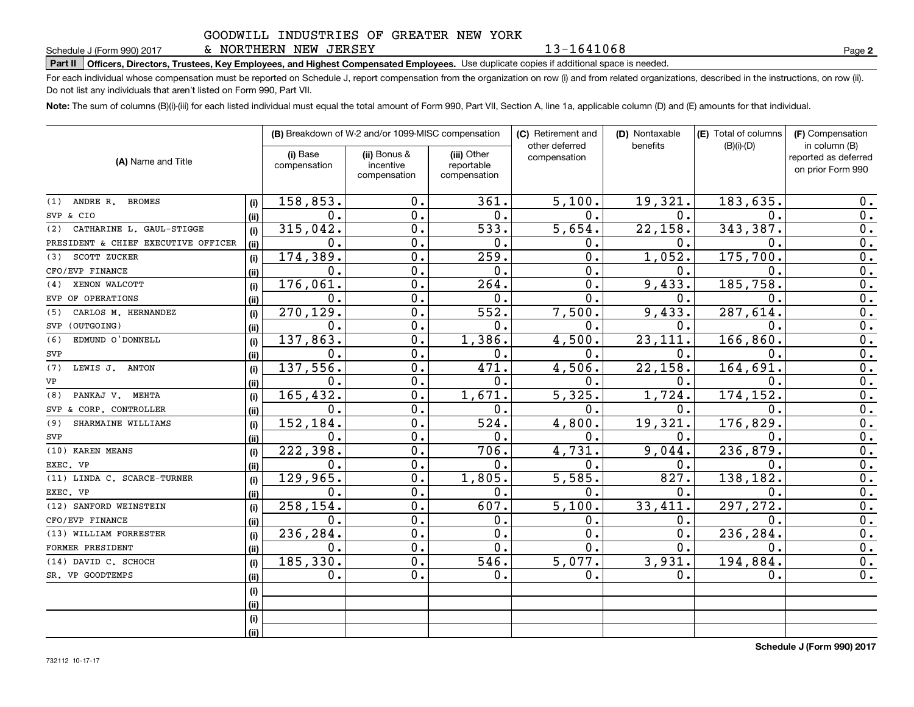# **Part II Officers, Directors, Trustees, Key Employees, and Highest Compensated Employees.**  Schedule J (Form 990) 2017 Page Use duplicate copies if additional space is needed.

For each individual whose compensation must be reported on Schedule J, report compensation from the organization on row (i) and from related organizations, described in the instructions, on row (ii). Do not list any individuals that aren't listed on Form 990, Part VII.

**Note:**  The sum of columns (B)(i)-(iii) for each listed individual must equal the total amount of Form 990, Part VII, Section A, line 1a, applicable column (D) and (E) amounts for that individual.

|                                     |      |                          | (B) Breakdown of W-2 and/or 1099-MISC compensation |                                           | (C) Retirement and             | (D) Nontaxable | (E) Total of columns | (F) Compensation                                           |
|-------------------------------------|------|--------------------------|----------------------------------------------------|-------------------------------------------|--------------------------------|----------------|----------------------|------------------------------------------------------------|
| (A) Name and Title                  |      | (i) Base<br>compensation | (ii) Bonus &<br>incentive<br>compensation          | (iii) Other<br>reportable<br>compensation | other deferred<br>compensation | benefits       | $(B)(i)-(D)$         | in column (B)<br>reported as deferred<br>on prior Form 990 |
| ANDRE R. BROMES<br>(1)              | (i)  | 158, 853.                | 0.                                                 | 361.                                      | 5,100.                         | 19,321.        | 183,635.             | 0.                                                         |
| SVP & CIO                           | (ii) | $\mathbf 0$ .            | 0.                                                 | 0.                                        | $\mathbf{0}$ .                 | 0.             | $\Omega$ .           | 0.                                                         |
| CATHARINE L. GAUL-STIGGE<br>(2)     | (i)  | 315,042.                 | 0.                                                 | 533.                                      | 5,654.                         | 22,158.        | 343, 387.            | 0.                                                         |
| PRESIDENT & CHIEF EXECUTIVE OFFICER | (ii) | $\mathbf 0$ .            | 0.                                                 | 0.                                        | Ο.                             | 0.             | $\mathbf 0$ .        | 0.                                                         |
| SCOTT ZUCKER<br>(3)                 | (i)  | 174,389.                 | 0.                                                 | 259.                                      | $\overline{0}$ .               | 1,052.         | 175,700              | $\overline{0}$ .                                           |
| CFO/EVP FINANCE                     | (i)  | $\mathbf 0$ .            | 0.                                                 | 0.                                        | 0.                             | $\mathbf{0}$ . | $\mathbf 0$ .        | $\overline{0}$ .                                           |
| XENON WALCOTT<br>(4)                | (i)  | 176,061.                 | 0.                                                 | 264.                                      | 0.                             | 9,433.         | 185,758              | $\overline{0}$ .                                           |
| EVP OF OPERATIONS                   | (ii) | $\mathbf 0$ .            | 0.                                                 | 0.                                        | Ω.                             | $\mathbf 0$ .  | $\mathbf{0}$ .       | $\overline{0}$ .                                           |
| CARLOS M. HERNANDEZ<br>(5)          | (i)  | 270,129.                 | 0.                                                 | 552.                                      | 7,500.                         | 9,433.         | 287,614              | $\overline{0}$ .                                           |
| SVP (OUTGOING)                      | (ii) | $\mathbf 0$ .            | $\mathbf 0$ .                                      | 0.                                        | О.                             | $\mathbf 0$ .  | 0                    | $\overline{0}$ .                                           |
| EDMUND O'DONNELL<br>(6)             | (i)  | 137,863.                 | $\mathbf 0$ .                                      | 1,386.                                    | 4,500                          | 23, 111.       | 166,860              | $\overline{0}$ .                                           |
| SVP                                 | (ii) | $\mathbf 0$ .            | $\mathbf 0$ .                                      | 0.                                        | 0.                             | 0.             | $\mathbf 0$ .        | 0.                                                         |
| (7)<br>LEWIS J. ANTON               | (i)  | 137,556.                 | $\mathbf 0$ .                                      | 471.                                      | 4,506.                         | 22,158.        | 164,691              | 0.                                                         |
| VP                                  | (ii) | $\mathbf 0$ .            | 0.                                                 | 0.                                        | $\mathbf 0$ .                  | 0.             | $\mathbf 0$ .        | 0.                                                         |
| PANKAJ V. MEHTA<br>(8)              | (i)  | 165,432.                 | $\overline{0}$ .                                   | 1,671.                                    | 5,325.                         | 1,724.         | 174, 152             | $\overline{0}$ .                                           |
| SVP & CORP. CONTROLLER              | (ii) | $\mathbf 0$ .            | $\overline{0}$ .                                   | 0.                                        | 0.                             | 0.             | $\mathbf{0}$         | $\overline{0}$ .                                           |
| SHARMAINE WILLIAMS<br>(9)           | (i)  | 152,184.                 | $\overline{0}$ .                                   | 524.                                      | 4,800.                         | 19,321.        | 176, 829             | $\overline{0}$ .                                           |
| SVP                                 | (ii) | $\mathbf 0$ .            | 0.                                                 | 0.                                        | 0.                             | 0.             | $\mathbf 0$ .        | $\overline{0}$ .                                           |
| (10) KAREN MEANS                    | (i)  | 222,398.                 | 0.                                                 | 706.                                      | 4,731.                         | 9,044.         | 236, 879.            | $\overline{0}$ .                                           |
| EXEC. VP                            | (ii) | $\mathbf 0$ .            | 0.                                                 | 0.                                        | 0.                             | 0.             | $\mathbf 0$ .        | $\overline{0}$ .                                           |
| (11) LINDA C. SCARCE-TURNER         | (i)  | 129,965.                 | 0.                                                 | 1,805.                                    | 5,585.                         | 827.           | 138, 182.            | $\overline{0}$ .                                           |
| EXEC. VP                            | (ii) | $\mathbf 0$ .            | 0.                                                 | 0.                                        | 0.                             | 0.             | $\mathbf 0$ .        | 0.                                                         |
| (12) SANFORD WEINSTEIN              | (i)  | 258,154.                 | 0.                                                 | 607.                                      | 5,100.                         | 33,411.        | 297, 272.            | 0.                                                         |
| CFO/EVP FINANCE                     | (ii) | 0.                       | 0.                                                 | 0.                                        | 0.                             | 0.             | $\mathbf 0$ .        | $\overline{0}$ .                                           |
| (13) WILLIAM FORRESTER              | (i)  | 236,284.                 | 0.                                                 | 0.                                        | 0.                             | 0.             | 236,284              | $\overline{0}$ .                                           |
| FORMER PRESIDENT                    | (ii) | 0.                       | 0.                                                 | 0.                                        | $0$ .                          | 0.             | 0.                   | 0.                                                         |
| (14) DAVID C. SCHOCH                | (i)  | 185,330.                 | 0.                                                 | 546.                                      | 5,077.                         | 3,931.         | 194,884.             | 0.                                                         |
| SR. VP GOODTEMPS                    | (ii) | 0.                       | 0.                                                 | 0.                                        | 0.                             | 0.             | 0.                   | 0.                                                         |
|                                     | (i)  |                          |                                                    |                                           |                                |                |                      |                                                            |
|                                     | (ii) |                          |                                                    |                                           |                                |                |                      |                                                            |
|                                     | (i)  |                          |                                                    |                                           |                                |                |                      |                                                            |
|                                     | (ii) |                          |                                                    |                                           |                                |                |                      |                                                            |

**Schedule J (Form 990) 2017**

**2**

13-1641068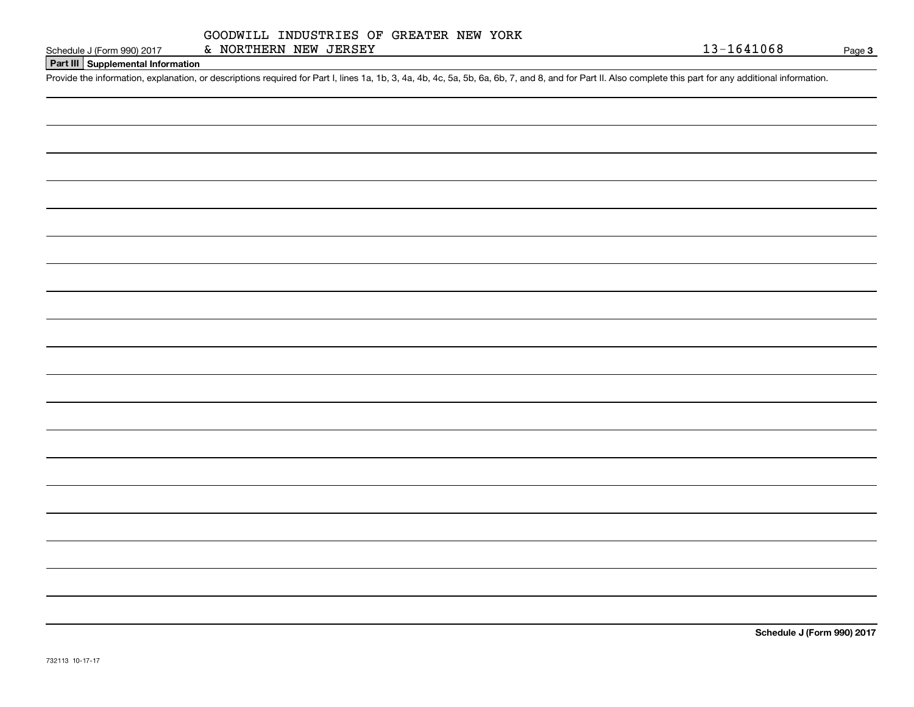## **Part III Supplemental Information**

Schedule J (Form 990) 2017 & NORTHERN NEW JERSEY<br>Part III Supplemental Information<br>Provide the information, explanation, or descriptions required for Part I, lines 1a, 1b, 3, 4a, 4b, 4c, 5a, 5b, 6a, 6b, 7, and 8, and for

**Schedule J (Form 990) 2017**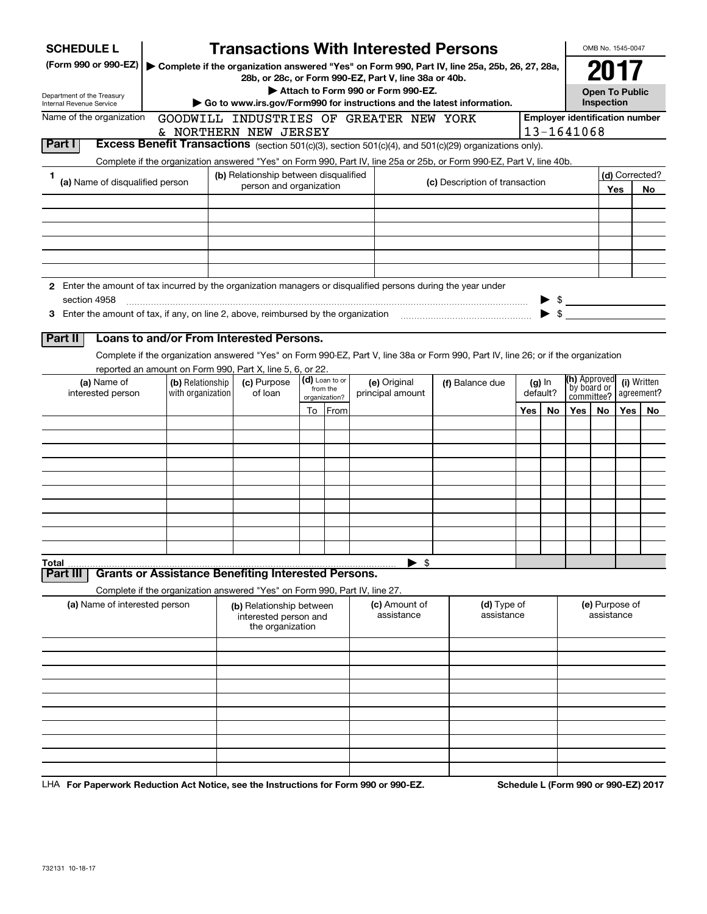| <b>SCHEDULE L</b>                                                                                                             |                                                                                                                                    | <b>Transactions With Interested Persons</b>                            |                          |                                    |         |                                |          |                          |                                       | OMB No. 1545-0047                   |     |                           |
|-------------------------------------------------------------------------------------------------------------------------------|------------------------------------------------------------------------------------------------------------------------------------|------------------------------------------------------------------------|--------------------------|------------------------------------|---------|--------------------------------|----------|--------------------------|---------------------------------------|-------------------------------------|-----|---------------------------|
| (Form 990 or 990-EZ)   Complete if the organization answered "Yes" on Form 990, Part IV, line 25a, 25b, 26, 27, 28a,          |                                                                                                                                    |                                                                        |                          |                                    |         |                                |          |                          |                                       | 201                                 |     |                           |
|                                                                                                                               |                                                                                                                                    | 28b, or 28c, or Form 990-EZ, Part V, line 38a or 40b.                  |                          |                                    |         |                                |          |                          |                                       |                                     |     |                           |
| Department of the Treasury<br><b>Internal Revenue Service</b>                                                                 |                                                                                                                                    | Go to www.irs.gov/Form990 for instructions and the latest information. |                          | Attach to Form 990 or Form 990-EZ. |         |                                |          |                          |                                       | <b>Open To Public</b><br>Inspection |     |                           |
| Name of the organization                                                                                                      |                                                                                                                                    | GOODWILL INDUSTRIES OF GREATER NEW YORK                                |                          |                                    |         |                                |          |                          | <b>Employer identification number</b> |                                     |     |                           |
|                                                                                                                               |                                                                                                                                    | & NORTHERN NEW JERSEY                                                  |                          |                                    |         |                                |          |                          | 13-1641068                            |                                     |     |                           |
| Part I                                                                                                                        | Excess Benefit Transactions (section 501(c)(3), section 501(c)(4), and 501(c)(29) organizations only).                             |                                                                        |                          |                                    |         |                                |          |                          |                                       |                                     |     |                           |
|                                                                                                                               | Complete if the organization answered "Yes" on Form 990, Part IV, line 25a or 25b, or Form 990-EZ, Part V, line 40b.               |                                                                        |                          |                                    |         |                                |          |                          |                                       |                                     |     |                           |
| 1<br>(a) Name of disqualified person                                                                                          |                                                                                                                                    | (b) Relationship between disqualified<br>person and organization       |                          |                                    |         | (c) Description of transaction |          |                          |                                       |                                     |     | (d) Corrected?            |
|                                                                                                                               |                                                                                                                                    |                                                                        |                          |                                    |         |                                |          |                          |                                       |                                     | Yes | No                        |
|                                                                                                                               |                                                                                                                                    |                                                                        |                          |                                    |         |                                |          |                          |                                       |                                     |     |                           |
|                                                                                                                               |                                                                                                                                    |                                                                        |                          |                                    |         |                                |          |                          |                                       |                                     |     |                           |
|                                                                                                                               |                                                                                                                                    |                                                                        |                          |                                    |         |                                |          |                          |                                       |                                     |     |                           |
|                                                                                                                               |                                                                                                                                    |                                                                        |                          |                                    |         |                                |          |                          |                                       |                                     |     |                           |
|                                                                                                                               |                                                                                                                                    |                                                                        |                          |                                    |         |                                |          |                          |                                       |                                     |     |                           |
| 2 Enter the amount of tax incurred by the organization managers or disqualified persons during the year under<br>section 4958 |                                                                                                                                    |                                                                        |                          |                                    |         |                                |          |                          | $\triangleright$ \$                   |                                     |     |                           |
|                                                                                                                               |                                                                                                                                    |                                                                        |                          |                                    |         |                                |          | $\blacktriangleright$ \$ |                                       |                                     |     |                           |
|                                                                                                                               |                                                                                                                                    |                                                                        |                          |                                    |         |                                |          |                          |                                       |                                     |     |                           |
| Part II                                                                                                                       | Loans to and/or From Interested Persons.                                                                                           |                                                                        |                          |                                    |         |                                |          |                          |                                       |                                     |     |                           |
|                                                                                                                               | Complete if the organization answered "Yes" on Form 990-EZ, Part V, line 38a or Form 990, Part IV, line 26; or if the organization |                                                                        |                          |                                    |         |                                |          |                          |                                       |                                     |     |                           |
|                                                                                                                               | reported an amount on Form 990, Part X, line 5, 6, or 22.                                                                          |                                                                        | (d) Loan to or           |                                    |         |                                |          |                          | (h) Approved                          |                                     |     |                           |
| (a) Name of<br>(b) Relationship<br>with organization<br>interested person                                                     |                                                                                                                                    | (c) Purpose<br>of loan                                                 | from the                 | (e) Original<br>principal amount   |         | (f) Balance due                | default? | $(g)$ In                 | by board or<br>committee?             |                                     |     | (i) Written<br>agreement? |
|                                                                                                                               |                                                                                                                                    |                                                                        | organization?<br>To From |                                    |         |                                | Yes      | No                       | Yes                                   | No.                                 | Yes | No.                       |
|                                                                                                                               |                                                                                                                                    |                                                                        |                          |                                    |         |                                |          |                          |                                       |                                     |     |                           |
|                                                                                                                               |                                                                                                                                    |                                                                        |                          |                                    |         |                                |          |                          |                                       |                                     |     |                           |
|                                                                                                                               |                                                                                                                                    |                                                                        |                          |                                    |         |                                |          |                          |                                       |                                     |     |                           |
|                                                                                                                               |                                                                                                                                    |                                                                        |                          |                                    |         |                                |          |                          |                                       |                                     |     |                           |
|                                                                                                                               |                                                                                                                                    |                                                                        |                          |                                    |         |                                |          |                          |                                       |                                     |     |                           |
|                                                                                                                               |                                                                                                                                    |                                                                        |                          |                                    |         |                                |          |                          |                                       |                                     |     |                           |
|                                                                                                                               |                                                                                                                                    |                                                                        |                          |                                    |         |                                |          |                          |                                       |                                     |     |                           |
|                                                                                                                               |                                                                                                                                    |                                                                        |                          |                                    |         |                                |          |                          |                                       |                                     |     |                           |
|                                                                                                                               |                                                                                                                                    |                                                                        |                          |                                    |         |                                |          |                          |                                       |                                     |     |                           |
| Total                                                                                                                         |                                                                                                                                    |                                                                        |                          |                                    | \$<br>▸ |                                |          |                          |                                       |                                     |     |                           |
| Part III                                                                                                                      | <b>Grants or Assistance Benefiting Interested Persons.</b>                                                                         |                                                                        |                          |                                    |         |                                |          |                          |                                       |                                     |     |                           |
|                                                                                                                               | Complete if the organization answered "Yes" on Form 990, Part IV, line 27.<br>(a) Name of interested person                        |                                                                        |                          |                                    |         |                                |          |                          |                                       |                                     |     |                           |
|                                                                                                                               |                                                                                                                                    | (b) Relationship between<br>interested person and<br>the organization  |                          | (c) Amount of<br>assistance        |         | (d) Type of<br>assistance      |          |                          |                                       | (e) Purpose of<br>assistance        |     |                           |
|                                                                                                                               |                                                                                                                                    |                                                                        |                          |                                    |         |                                |          |                          |                                       |                                     |     |                           |
|                                                                                                                               |                                                                                                                                    |                                                                        |                          |                                    |         |                                |          |                          |                                       |                                     |     |                           |
|                                                                                                                               |                                                                                                                                    |                                                                        |                          |                                    |         |                                |          |                          |                                       |                                     |     |                           |
|                                                                                                                               |                                                                                                                                    |                                                                        |                          |                                    |         |                                |          |                          |                                       |                                     |     |                           |
|                                                                                                                               |                                                                                                                                    |                                                                        |                          |                                    |         |                                |          |                          |                                       |                                     |     |                           |
|                                                                                                                               |                                                                                                                                    |                                                                        |                          |                                    |         |                                |          |                          |                                       |                                     |     |                           |
|                                                                                                                               |                                                                                                                                    |                                                                        |                          |                                    |         |                                |          |                          |                                       |                                     |     |                           |
|                                                                                                                               |                                                                                                                                    |                                                                        |                          |                                    |         |                                |          |                          |                                       |                                     |     |                           |
|                                                                                                                               |                                                                                                                                    |                                                                        |                          |                                    |         |                                |          |                          |                                       |                                     |     |                           |
|                                                                                                                               |                                                                                                                                    |                                                                        |                          |                                    |         |                                |          |                          |                                       |                                     |     |                           |

LHA For Paperwork Reduction Act Notice, see the Instructions for Form 990 or 990-EZ. Schedule L (Form 990 or 990-EZ) 2017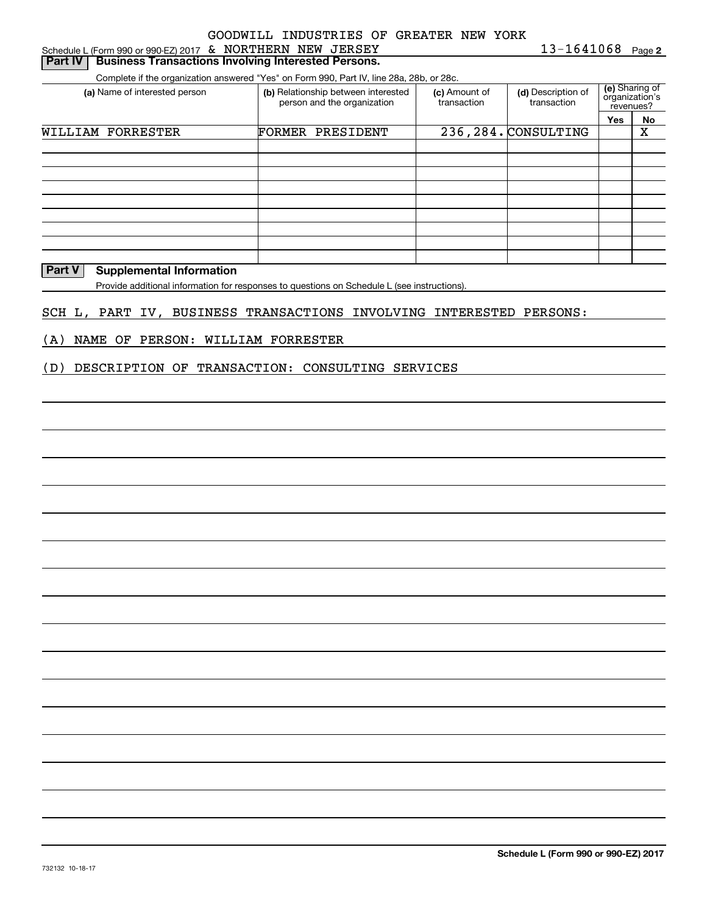|  | Schedule L (Form 990 or 990-EZ) 2017 & NORTHERN NEW JERSEY         | 13-1641068 Pa |  |
|--|--------------------------------------------------------------------|---------------|--|
|  | <b>Part IV Business Transactions Involving Interested Persons.</b> |               |  |

Complete if the organization answered "Yes" on Form 990, Part IV, line 28a, 28b, or 28c.

| (a) Name of interested person | (b) Relationship between interested<br>person and the organization | (c) Amount of<br>transaction | (d) Description of<br>transaction | (e) Sharing of<br>organization's<br>revenues? |    |  |
|-------------------------------|--------------------------------------------------------------------|------------------------------|-----------------------------------|-----------------------------------------------|----|--|
|                               |                                                                    |                              |                                   | Yes                                           | No |  |
| WILLIAM FORRESTER             | <b>FORMER PRESIDENT</b>                                            |                              | 236, 284. CONSULTING              |                                               | X  |  |
|                               |                                                                    |                              |                                   |                                               |    |  |
|                               |                                                                    |                              |                                   |                                               |    |  |
|                               |                                                                    |                              |                                   |                                               |    |  |
|                               |                                                                    |                              |                                   |                                               |    |  |
|                               |                                                                    |                              |                                   |                                               |    |  |
|                               |                                                                    |                              |                                   |                                               |    |  |
|                               |                                                                    |                              |                                   |                                               |    |  |
|                               |                                                                    |                              |                                   |                                               |    |  |
|                               |                                                                    |                              |                                   |                                               |    |  |

## **Part V** Supplemental Information

Provide additional information for responses to questions on Schedule L (see instructions).

#### SCH L, PART IV, BUSINESS TRANSACTIONS INVOLVING INTERESTED PERSONS:

#### (A) NAME OF PERSON: WILLIAM FORRESTER

#### (D) DESCRIPTION OF TRANSACTION: CONSULTING SERVICES

**2**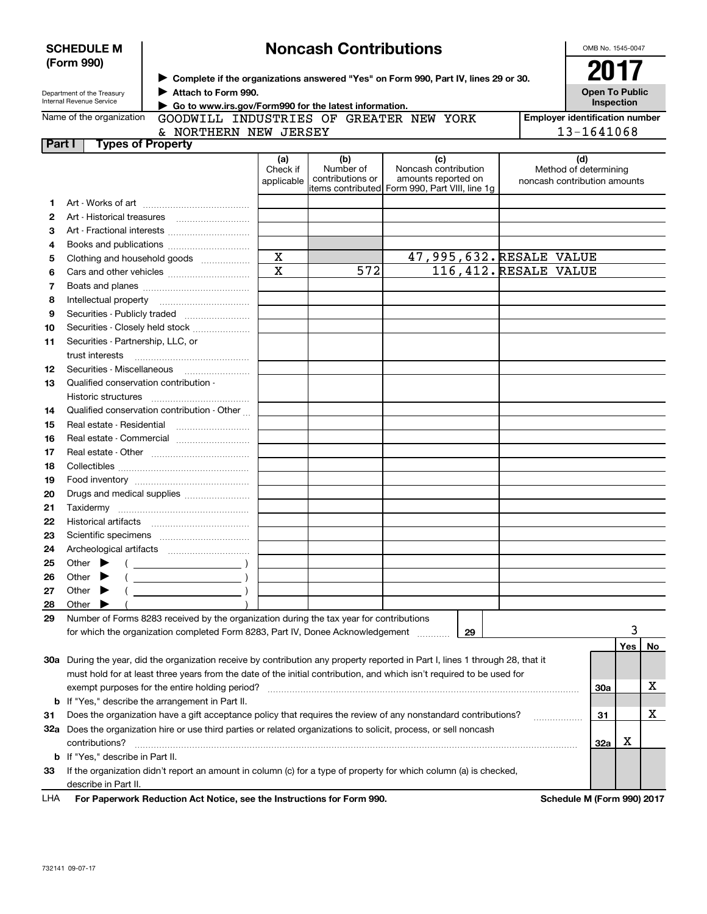|              | <b>SCHEDULE M</b>                                                    |                                                                                                      |                        | <b>Noncash Contributions</b>  |                                                                                                                                |  | OMB No. 1545-0047                                     |    |
|--------------|----------------------------------------------------------------------|------------------------------------------------------------------------------------------------------|------------------------|-------------------------------|--------------------------------------------------------------------------------------------------------------------------------|--|-------------------------------------------------------|----|
|              | (Form 990)<br>Department of the Treasury<br>Internal Revenue Service | Attach to Form 990.<br>Go to www.irs.gov/Form990 for the latest information.                         |                        |                               | > Complete if the organizations answered "Yes" on Form 990, Part IV, lines 29 or 30.                                           |  | 2017<br><b>Open To Public</b><br>Inspection           |    |
|              | Name of the organization                                             | GOODWILL INDUSTRIES OF GREATER NEW YORK                                                              |                        |                               |                                                                                                                                |  | <b>Employer identification number</b>                 |    |
|              |                                                                      | & NORTHERN NEW JERSEY                                                                                |                        | 13-1641068                    |                                                                                                                                |  |                                                       |    |
| Part I       | <b>Types of Property</b>                                             |                                                                                                      |                        |                               |                                                                                                                                |  |                                                       |    |
|              |                                                                      |                                                                                                      | (a)                    | (b)                           | (c)                                                                                                                            |  | (d)                                                   |    |
|              |                                                                      |                                                                                                      | Check if<br>applicable | Number of<br>contributions or | Noncash contribution<br>amounts reported on<br>items contributed Form 990, Part VIII, line 1g                                  |  | Method of determining<br>noncash contribution amounts |    |
| 1            |                                                                      |                                                                                                      |                        |                               |                                                                                                                                |  |                                                       |    |
| $\mathbf{2}$ |                                                                      |                                                                                                      |                        |                               |                                                                                                                                |  |                                                       |    |
| з            |                                                                      |                                                                                                      |                        |                               |                                                                                                                                |  |                                                       |    |
| 4            |                                                                      |                                                                                                      |                        |                               |                                                                                                                                |  |                                                       |    |
| 5            |                                                                      | Clothing and household goods                                                                         | $\mathbf X$            |                               | 47,995,632. RESALE VALUE                                                                                                       |  |                                                       |    |
| 6            | $\overline{\text{x}}$<br>116, 412. RESALE VALUE<br>572               |                                                                                                      |                        |                               |                                                                                                                                |  |                                                       |    |
| 7            |                                                                      |                                                                                                      |                        |                               |                                                                                                                                |  |                                                       |    |
| 8            |                                                                      |                                                                                                      |                        |                               |                                                                                                                                |  |                                                       |    |
| 9            |                                                                      |                                                                                                      |                        |                               |                                                                                                                                |  |                                                       |    |
| 10           |                                                                      | Securities - Closely held stock                                                                      |                        |                               |                                                                                                                                |  |                                                       |    |
| 11           | Securities - Partnership, LLC, or                                    |                                                                                                      |                        |                               |                                                                                                                                |  |                                                       |    |
|              | trust interests                                                      |                                                                                                      |                        |                               |                                                                                                                                |  |                                                       |    |
| 12           |                                                                      |                                                                                                      |                        |                               |                                                                                                                                |  |                                                       |    |
| 13           | Qualified conservation contribution -                                |                                                                                                      |                        |                               |                                                                                                                                |  |                                                       |    |
|              |                                                                      |                                                                                                      |                        |                               |                                                                                                                                |  |                                                       |    |
|              | Historic structures                                                  | Qualified conservation contribution - Other                                                          |                        |                               |                                                                                                                                |  |                                                       |    |
| 14           |                                                                      |                                                                                                      |                        |                               |                                                                                                                                |  |                                                       |    |
| 15           | Real estate - Residential                                            |                                                                                                      |                        |                               |                                                                                                                                |  |                                                       |    |
| 16           |                                                                      | Real estate - Commercial                                                                             |                        |                               |                                                                                                                                |  |                                                       |    |
| 17           |                                                                      |                                                                                                      |                        |                               |                                                                                                                                |  |                                                       |    |
| 18           |                                                                      |                                                                                                      |                        |                               |                                                                                                                                |  |                                                       |    |
| 19           |                                                                      |                                                                                                      |                        |                               |                                                                                                                                |  |                                                       |    |
| 20           |                                                                      | Drugs and medical supplies                                                                           |                        |                               |                                                                                                                                |  |                                                       |    |
| 21           |                                                                      |                                                                                                      |                        |                               |                                                                                                                                |  |                                                       |    |
| 22           |                                                                      |                                                                                                      |                        |                               |                                                                                                                                |  |                                                       |    |
| 23           |                                                                      |                                                                                                      |                        |                               |                                                                                                                                |  |                                                       |    |
| 24           |                                                                      |                                                                                                      |                        |                               |                                                                                                                                |  |                                                       |    |
| 25           | Other                                                                |                                                                                                      |                        |                               |                                                                                                                                |  |                                                       |    |
| 26           | Other                                                                |                                                                                                      |                        |                               |                                                                                                                                |  |                                                       |    |
| 27           | Other                                                                |                                                                                                      |                        |                               |                                                                                                                                |  |                                                       |    |
| 28           | Other                                                                |                                                                                                      |                        |                               |                                                                                                                                |  |                                                       |    |
| 29           |                                                                      | Number of Forms 8283 received by the organization during the tax year for contributions              |                        |                               |                                                                                                                                |  |                                                       |    |
|              |                                                                      | for which the organization completed Form 8283, Part IV, Donee Acknowledgement                       |                        |                               | 29                                                                                                                             |  |                                                       | 3  |
|              |                                                                      |                                                                                                      |                        |                               |                                                                                                                                |  | Yes                                                   | No |
|              |                                                                      |                                                                                                      |                        |                               | 30a During the year, did the organization receive by contribution any property reported in Part I, lines 1 through 28, that it |  |                                                       |    |
|              |                                                                      |                                                                                                      |                        |                               | must hold for at least three years from the date of the initial contribution, and which isn't required to be used for          |  |                                                       |    |
|              |                                                                      | exempt purposes for the entire holding period?                                                       |                        |                               |                                                                                                                                |  | <b>30a</b>                                            | x  |
|              |                                                                      | <b>b</b> If "Yes," describe the arrangement in Part II.                                              |                        |                               |                                                                                                                                |  |                                                       |    |
| 31           |                                                                      |                                                                                                      |                        |                               | Does the organization have a gift acceptance policy that requires the review of any nonstandard contributions?                 |  | 31                                                    | х  |
|              |                                                                      |                                                                                                      |                        |                               | 32a Does the organization hire or use third parties or related organizations to solicit, process, or sell noncash              |  |                                                       |    |
|              | contributions?                                                       |                                                                                                      |                        |                               |                                                                                                                                |  | х<br>32a                                              |    |
|              | <b>b</b> If "Yes," describe in Part II.                              |                                                                                                      |                        |                               |                                                                                                                                |  |                                                       |    |
| 33           |                                                                      |                                                                                                      |                        |                               | If the organization didn't report an amount in column (c) for a type of property for which column (a) is checked,              |  |                                                       |    |
|              | describe in Part II.                                                 |                                                                                                      |                        |                               |                                                                                                                                |  |                                                       |    |
| LHA          |                                                                      | For Paperwork Reduction Act Notice, see the Instructions for Form 990.<br>Schedule M (Form 990) 2017 |                        |                               |                                                                                                                                |  |                                                       |    |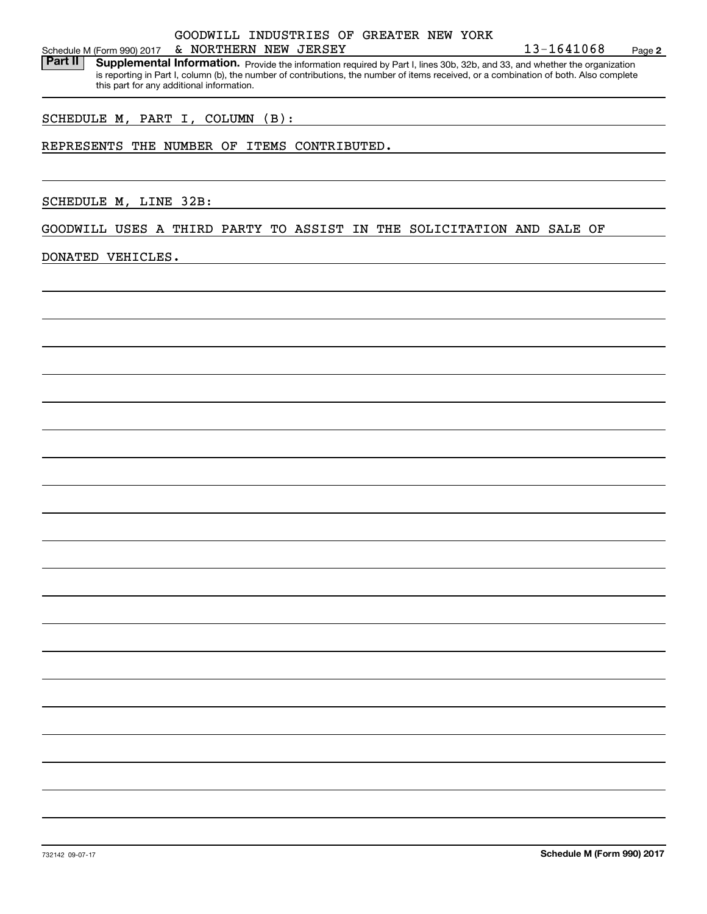### Schedule M (Form 990) 2017 Page & NORTHERN NEW JERSEY 13-1641068GOODWILL INDUSTRIES OF GREATER NEW YORK

Part II | Supplemental Information. Provide the information required by Part I, lines 30b, 32b, and 33, and whether the organization is reporting in Part I, column (b), the number of contributions, the number of items received, or a combination of both. Also complete this part for any additional information.

#### SCHEDULE M, PART I, COLUMN (B):

#### REPRESENTS THE NUMBER OF ITEMS CONTRIBUTED.

SCHEDULE M, LINE 32B:

GOODWILL USES A THIRD PARTY TO ASSIST IN THE SOLICITATION AND SALE OF

#### DONATED VEHICLES.

**2**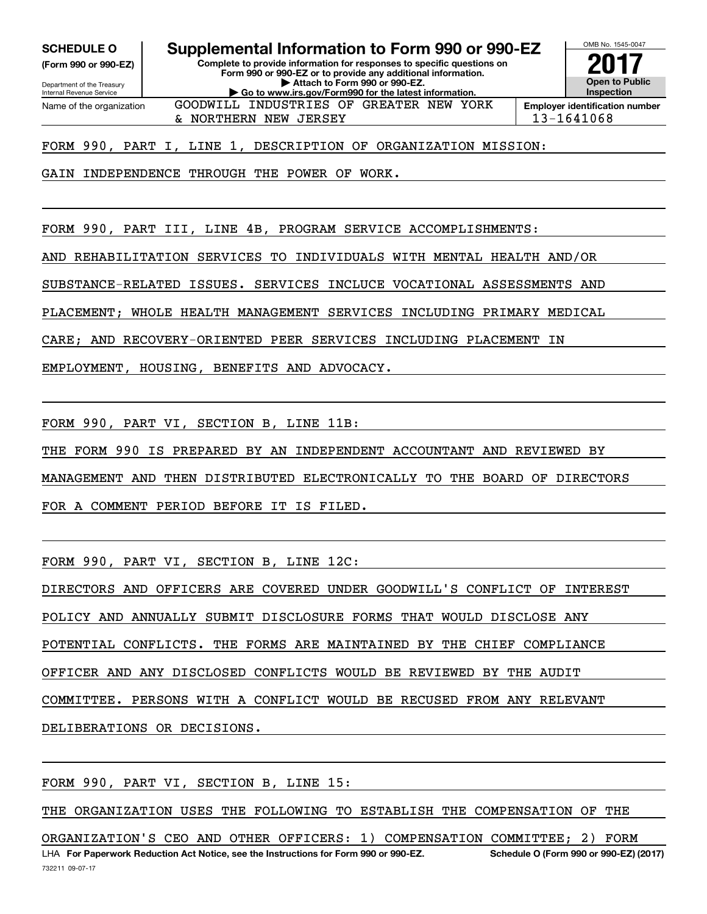**(Form 990 or 990-EZ)**

Department of the Treasury Internal Revenue Service Name of the organization

**SCHEDULE O Supplemental Information to Form 990 or 990-EZ**

**Complete to provide information for responses to specific questions on Form 990 or 990-EZ or to provide any additional information. | Attach to Form 990 or 990-EZ. | Go to www.irs.gov/Form990 for the latest information.**

GOODWILL INDUSTRIES OF GREATER NEW YORK



& NORTHERN NEW JERSEY 13-1641068

FORM 990, PART I, LINE 1, DESCRIPTION OF ORGANIZATION MISSION:

GAIN INDEPENDENCE THROUGH THE POWER OF WORK.

FORM 990, PART III, LINE 4B, PROGRAM SERVICE ACCOMPLISHMENTS:

AND REHABILITATION SERVICES TO INDIVIDUALS WITH MENTAL HEALTH AND/OR

SUBSTANCE-RELATED ISSUES. SERVICES INCLUCE VOCATIONAL ASSESSMENTS AND

PLACEMENT; WHOLE HEALTH MANAGEMENT SERVICES INCLUDING PRIMARY MEDICAL

CARE; AND RECOVERY-ORIENTED PEER SERVICES INCLUDING PLACEMENT IN

EMPLOYMENT, HOUSING, BENEFITS AND ADVOCACY.

FORM 990, PART VI, SECTION B, LINE 11B:

THE FORM 990 IS PREPARED BY AN INDEPENDENT ACCOUNTANT AND REVIEWED BY

MANAGEMENT AND THEN DISTRIBUTED ELECTRONICALLY TO THE BOARD OF DIRECTORS

FOR A COMMENT PERIOD BEFORE IT IS FILED.

FORM 990, PART VI, SECTION B, LINE 12C:

DIRECTORS AND OFFICERS ARE COVERED UNDER GOODWILL'S CONFLICT OF INTEREST

POLICY AND ANNUALLY SUBMIT DISCLOSURE FORMS THAT WOULD DISCLOSE ANY

POTENTIAL CONFLICTS. THE FORMS ARE MAINTAINED BY THE CHIEF COMPLIANCE

OFFICER AND ANY DISCLOSED CONFLICTS WOULD BE REVIEWED BY THE AUDIT

COMMITTEE. PERSONS WITH A CONFLICT WOULD BE RECUSED FROM ANY RELEVANT

DELIBERATIONS OR DECISIONS.

FORM 990, PART VI, SECTION B, LINE 15:

THE ORGANIZATION USES THE FOLLOWING TO ESTABLISH THE COMPENSATION OF THE

LHA For Paperwork Reduction Act Notice, see the Instructions for Form 990 or 990-EZ. Schedule O (Form 990 or 990-EZ) (2017) ORGANIZATION'S CEO AND OTHER OFFICERS: 1) COMPENSATION COMMITTEE; 2) FORM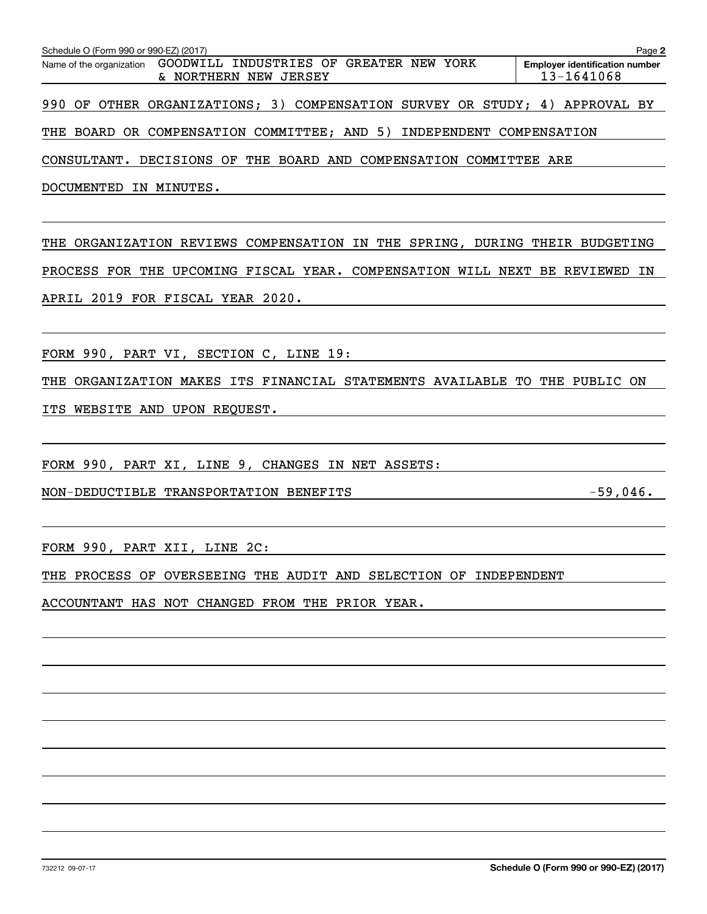| Schedule O (Form 990 or 990-EZ) (2017)                                                    | Page 2                                              |
|-------------------------------------------------------------------------------------------|-----------------------------------------------------|
| Name of the organization GOODWILL INDUSTRIES OF GREATER NEW YORK<br>& NORTHERN NEW JERSEY | <b>Employer identification number</b><br>13-1641068 |
| 990 OF OTHER ORGANIZATIONS; 3) COMPENSATION SURVEY OR STUDY; 4) APPROVAL BY               |                                                     |
| THE BOARD OR COMPENSATION COMMITTEE; AND 5) INDEPENDENT COMPENSATION                      |                                                     |
| CONSULTANT. DECISIONS OF THE BOARD AND COMPENSATION COMMITTEE ARE                         |                                                     |
| DOCUMENTED IN MINUTES.                                                                    |                                                     |
| THE<br>ORGANIZATION REVIEWS COMPENSATION IN THE SPRING, DURING THEIR BUDGETING            |                                                     |
| PROCESS FOR THE UPCOMING FISCAL YEAR. COMPENSATION WILL NEXT BE REVIEWED                  | IN                                                  |
| APRIL 2019 FOR FISCAL YEAR 2020.                                                          |                                                     |
|                                                                                           |                                                     |
| FORM 990, PART VI, SECTION C, LINE 19:                                                    |                                                     |
| ORGANIZATION MAKES ITS FINANCIAL STATEMENTS AVAILABLE TO THE PUBLIC ON<br>THE             |                                                     |
| ITS WEBSITE AND UPON REQUEST.                                                             |                                                     |
|                                                                                           |                                                     |
| FORM 990, PART XI, LINE 9, CHANGES IN NET ASSETS:                                         |                                                     |
| NON-DEDUCTIBLE TRANSPORTATION BENEFITS                                                    | $-59,046$ .                                         |
| FORM 990, PART XII, LINE 2C:                                                              |                                                     |
| THE PROCESS OF OVERSEEING THE AUDIT AND SELECTION OF INDEPENDENT                          |                                                     |
| ACCOUNTANT HAS NOT CHANGED FROM THE PRIOR YEAR.                                           |                                                     |
|                                                                                           |                                                     |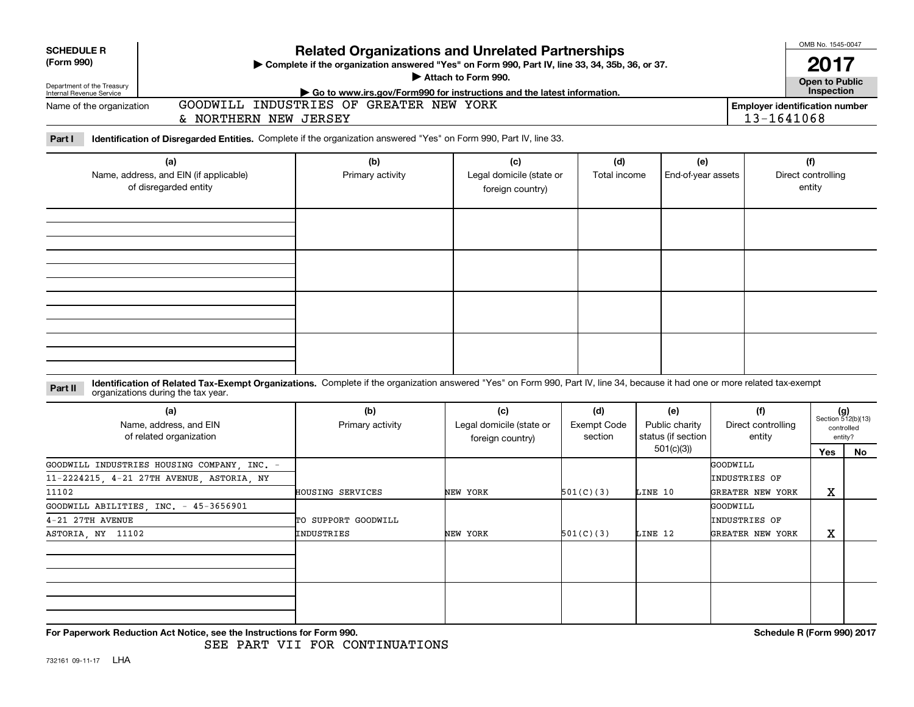| <b>SCHEDULE R</b><br>(Form 990)                        |                                                                                                                                                                                                                    | <b>Related Organizations and Unrelated Partnerships</b><br>Complete if the organization answered "Yes" on Form 990, Part IV, line 33, 34, 35b, 36, or 37.<br>Attach to Form 990. |                                                     | OMB No. 1545-0047<br><b>Open to Public</b>          |                                                          |                                               |                                        |            |
|--------------------------------------------------------|--------------------------------------------------------------------------------------------------------------------------------------------------------------------------------------------------------------------|----------------------------------------------------------------------------------------------------------------------------------------------------------------------------------|-----------------------------------------------------|-----------------------------------------------------|----------------------------------------------------------|-----------------------------------------------|----------------------------------------|------------|
| Department of the Treasury<br>Internal Revenue Service |                                                                                                                                                                                                                    | Go to www.irs.gov/Form990 for instructions and the latest information.                                                                                                           |                                                     |                                                     |                                                          |                                               | Inspection                             |            |
| Name of the organization                               | & NORTHERN NEW JERSEY                                                                                                                                                                                              | GOODWILL INDUSTRIES OF GREATER NEW YORK                                                                                                                                          |                                                     | <b>Employer identification number</b><br>13-1641068 |                                                          |                                               |                                        |            |
| Part I                                                 | Identification of Disregarded Entities. Complete if the organization answered "Yes" on Form 990, Part IV, line 33.                                                                                                 |                                                                                                                                                                                  |                                                     |                                                     |                                                          |                                               |                                        |            |
|                                                        | (a)<br>Name, address, and EIN (if applicable)<br>of disregarded entity                                                                                                                                             | (b)<br>Primary activity                                                                                                                                                          | (c)<br>Legal domicile (state or<br>foreign country) | (d)<br>Total income                                 | (e)<br>End-of-year assets                                |                                               | (f)<br>Direct controlling<br>entity    |            |
|                                                        |                                                                                                                                                                                                                    |                                                                                                                                                                                  |                                                     |                                                     |                                                          |                                               |                                        |            |
| Part II                                                | Identification of Related Tax-Exempt Organizations. Complete if the organization answered "Yes" on Form 990, Part IV, line 34, because it had one or more related tax-exempt<br>organizations during the tax year. |                                                                                                                                                                                  |                                                     |                                                     |                                                          |                                               |                                        |            |
|                                                        | (a)<br>Name, address, and EIN<br>of related organization                                                                                                                                                           | (b)<br>Primary activity                                                                                                                                                          | (c)<br>Legal domicile (state or<br>foreign country) | (d)<br><b>Exempt Code</b><br>section                | (e)<br>Public charity<br>status (if section<br>501(c)(3) | (f)<br>Direct controlling<br>entity           | $(g)$<br>Section 512(b)(13)<br>entity? | controlled |
| 11102                                                  | GOODWILL INDUSTRIES HOUSING COMPANY INC. -<br>11-2224215, 4-21 27TH AVENUE, ASTORIA, NY                                                                                                                            | HOUSING SERVICES                                                                                                                                                                 | NEW YORK                                            | 501(C)(3)                                           | LINE 10                                                  | GOODWILL<br>INDUSTRIES OF<br>GREATER NEW YORK | Yes<br>X                               | No         |
| 4-21 27TH AVENUE                                       | GOODWILL ABILITIES, INC. - 45-3656901                                                                                                                                                                              | TO SUPPORT GOODWILL                                                                                                                                                              |                                                     |                                                     |                                                          | GOODWILL<br>INDUSTRIES OF                     |                                        |            |
| ASTORIA, NY 11102                                      |                                                                                                                                                                                                                    | INDUSTRIES                                                                                                                                                                       | NEW YORK                                            | 501(C)(3)                                           | LINE 12                                                  | GREATER NEW YORK                              | X                                      |            |
|                                                        |                                                                                                                                                                                                                    |                                                                                                                                                                                  |                                                     |                                                     |                                                          |                                               |                                        |            |

**For Paperwork Reduction Act Notice, see the Instructions for Form 990.** *Schedule R* **(Form 990) 2017 <b>***Schedule R (Form 990) 2017*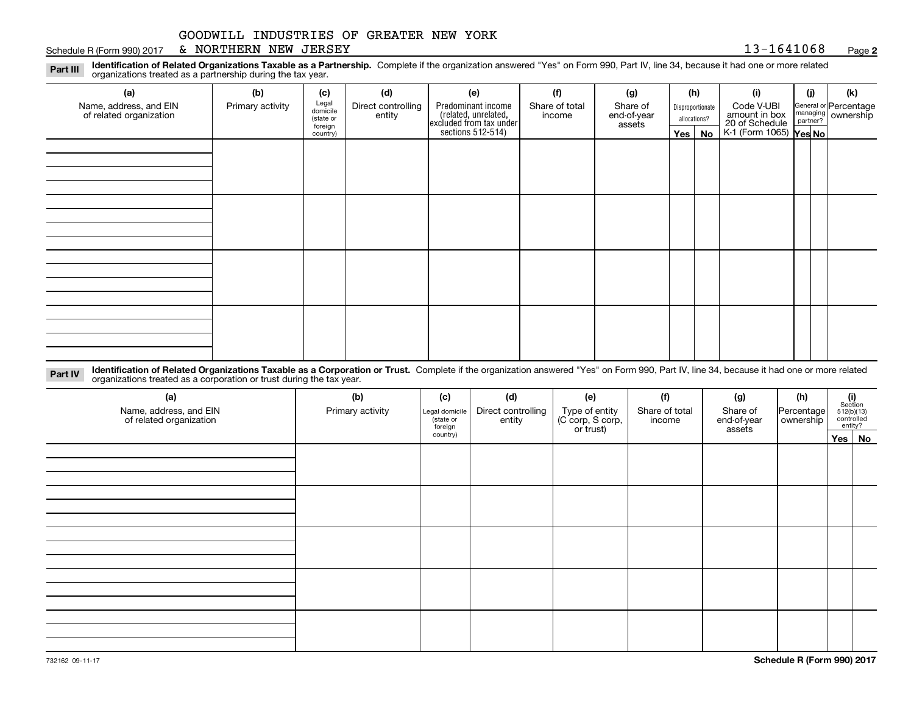#### Schedule R (Form 990) 2017 Page & NORTHERN NEW JERSEY 13-1641068

**2**

**Identification of Related Organizations Taxable as a Partnership.** Complete if the organization answered "Yes" on Form 990, Part IV, line 34, because it had one or more related **Part III** organizations treated as a partnership during the tax year.

| (a)                                               | (b)              | (c)                  | (d)                          | (e)                                                                                        | (f)                      | (g)                     |         | (h)              | (i)                                                          | (i) | (k)                                           |
|---------------------------------------------------|------------------|----------------------|------------------------------|--------------------------------------------------------------------------------------------|--------------------------|-------------------------|---------|------------------|--------------------------------------------------------------|-----|-----------------------------------------------|
| Name, address, and EIN<br>of related organization | Primary activity | Legal<br>domicile    | Direct controlling<br>entity | Predominant income<br>(related, unrelated,<br>excluded from tax under<br>sections 512-514) | Share of total<br>income | Share of<br>end-of-year |         | Disproportionate | Code V-UBI                                                   |     | General or Percentage<br>managing<br>partner? |
|                                                   |                  | (state or<br>foreign |                              |                                                                                            |                          | assets                  |         | allocations?     |                                                              |     |                                               |
|                                                   |                  | country)             |                              |                                                                                            |                          |                         | Yes $ $ | No               | amount in box<br>20 of Schedule<br>K-1 (Form 1065)<br>Yes No |     |                                               |
|                                                   |                  |                      |                              |                                                                                            |                          |                         |         |                  |                                                              |     |                                               |
|                                                   |                  |                      |                              |                                                                                            |                          |                         |         |                  |                                                              |     |                                               |
|                                                   |                  |                      |                              |                                                                                            |                          |                         |         |                  |                                                              |     |                                               |
|                                                   |                  |                      |                              |                                                                                            |                          |                         |         |                  |                                                              |     |                                               |
|                                                   |                  |                      |                              |                                                                                            |                          |                         |         |                  |                                                              |     |                                               |
|                                                   |                  |                      |                              |                                                                                            |                          |                         |         |                  |                                                              |     |                                               |
|                                                   |                  |                      |                              |                                                                                            |                          |                         |         |                  |                                                              |     |                                               |
|                                                   |                  |                      |                              |                                                                                            |                          |                         |         |                  |                                                              |     |                                               |
|                                                   |                  |                      |                              |                                                                                            |                          |                         |         |                  |                                                              |     |                                               |
|                                                   |                  |                      |                              |                                                                                            |                          |                         |         |                  |                                                              |     |                                               |
|                                                   |                  |                      |                              |                                                                                            |                          |                         |         |                  |                                                              |     |                                               |
|                                                   |                  |                      |                              |                                                                                            |                          |                         |         |                  |                                                              |     |                                               |
|                                                   |                  |                      |                              |                                                                                            |                          |                         |         |                  |                                                              |     |                                               |
|                                                   |                  |                      |                              |                                                                                            |                          |                         |         |                  |                                                              |     |                                               |
|                                                   |                  |                      |                              |                                                                                            |                          |                         |         |                  |                                                              |     |                                               |
|                                                   |                  |                      |                              |                                                                                            |                          |                         |         |                  |                                                              |     |                                               |
|                                                   |                  |                      |                              |                                                                                            |                          |                         |         |                  |                                                              |     |                                               |

**Identification of Related Organizations Taxable as a Corporation or Trust.** Complete if the organization answered "Yes" on Form 990, Part IV, line 34, because it had one or more related **Part IV** organizations treated as a corporation or trust during the tax year.

| (a)<br>Name, address, and EIN<br>of related organization | (b)<br>Primary activity | (c)<br>Legal domicile<br>(state or<br>foreign | (d)<br>Direct controlling<br>entity | (e)<br>Type of entity<br>(C corp, S corp,<br>or trust) | (f)<br>Share of total<br>income | (g)<br>Share of<br>end-of-year<br>assets | (h)<br> Percentage <br>ownership | $\begin{array}{c} \textbf{(i)}\\ \text{Section}\\ 512 \text{(b)} \text{(13)}\\ \text{controlled}\\ \text{entity?} \end{array}$ |
|----------------------------------------------------------|-------------------------|-----------------------------------------------|-------------------------------------|--------------------------------------------------------|---------------------------------|------------------------------------------|----------------------------------|--------------------------------------------------------------------------------------------------------------------------------|
|                                                          |                         | country)                                      |                                     |                                                        |                                 |                                          |                                  | Yes No                                                                                                                         |
|                                                          |                         |                                               |                                     |                                                        |                                 |                                          |                                  |                                                                                                                                |
|                                                          |                         |                                               |                                     |                                                        |                                 |                                          |                                  |                                                                                                                                |
|                                                          |                         |                                               |                                     |                                                        |                                 |                                          |                                  |                                                                                                                                |
|                                                          |                         |                                               |                                     |                                                        |                                 |                                          |                                  |                                                                                                                                |
|                                                          |                         |                                               |                                     |                                                        |                                 |                                          |                                  |                                                                                                                                |
|                                                          |                         |                                               |                                     |                                                        |                                 |                                          |                                  |                                                                                                                                |
|                                                          |                         |                                               |                                     |                                                        |                                 |                                          |                                  |                                                                                                                                |
|                                                          |                         |                                               |                                     |                                                        |                                 |                                          |                                  |                                                                                                                                |
|                                                          |                         |                                               |                                     |                                                        |                                 |                                          |                                  |                                                                                                                                |
|                                                          |                         |                                               |                                     |                                                        |                                 |                                          |                                  |                                                                                                                                |
|                                                          |                         |                                               |                                     |                                                        |                                 |                                          |                                  |                                                                                                                                |
|                                                          |                         |                                               |                                     |                                                        |                                 |                                          |                                  |                                                                                                                                |
|                                                          |                         |                                               |                                     |                                                        |                                 |                                          |                                  |                                                                                                                                |
|                                                          |                         |                                               |                                     |                                                        |                                 |                                          |                                  |                                                                                                                                |
|                                                          |                         |                                               |                                     |                                                        |                                 |                                          |                                  |                                                                                                                                |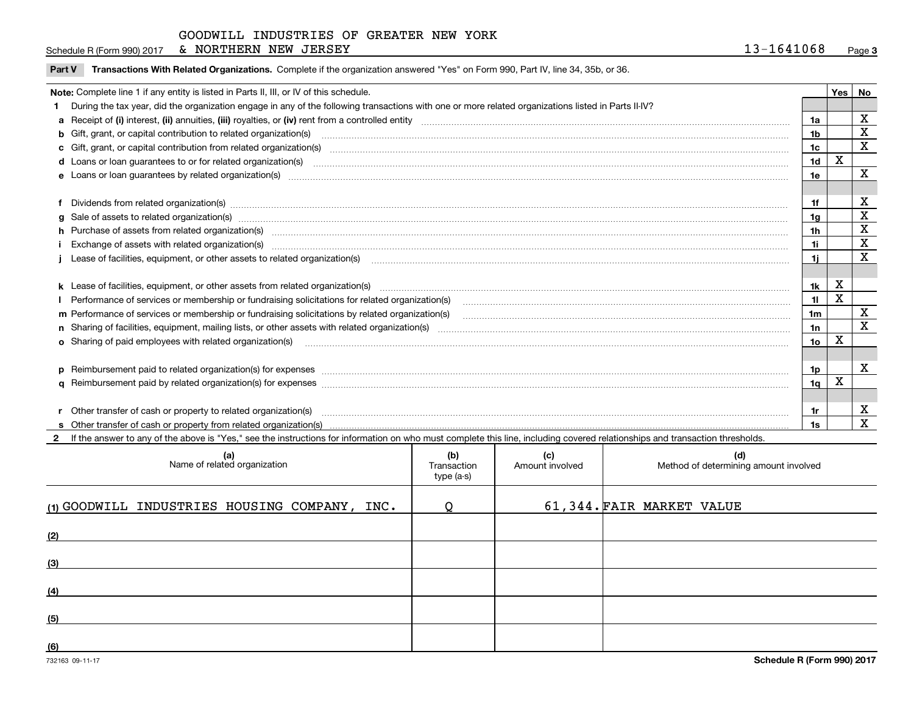| NORTHERN NEW<br>JERSEY<br>Schedule R (Form 990) 2017<br>$\alpha$ | 13-1641068 | Page |
|------------------------------------------------------------------|------------|------|
|------------------------------------------------------------------|------------|------|

**Part V** T**ransactions With Related Organizations.** Complete if the organization answered "Yes" on Form 990, Part IV, line 34, 35b, or 36.

| Note: Complete line 1 if any entity is listed in Parts II, III, or IV of this schedule. |                                                                                                                                                                                                                                |                |   |                         |  |  |
|-----------------------------------------------------------------------------------------|--------------------------------------------------------------------------------------------------------------------------------------------------------------------------------------------------------------------------------|----------------|---|-------------------------|--|--|
|                                                                                         | During the tax year, did the organization engage in any of the following transactions with one or more related organizations listed in Parts II-IV?                                                                            |                |   |                         |  |  |
|                                                                                         |                                                                                                                                                                                                                                | 1a             |   | $\mathbf X$             |  |  |
|                                                                                         | b Gift, grant, or capital contribution to related organization(s) encourance contained and contribution to related organization(s)                                                                                             | 1b             |   | $\mathbf X$             |  |  |
|                                                                                         | c Gift, grant, or capital contribution from related organization(s) manufaction(s) and contribution from related organization(s) manufaction contribution from related organization(s) manufaction contribution contribution c | 1c             |   | $\overline{\mathbf{x}}$ |  |  |
|                                                                                         | d Loans or loan guarantees to or for related organization(s) mature material content to construct the content of the content of the content of the content of the content of the content of the content of the content of the  | 1 <sub>d</sub> | X |                         |  |  |
|                                                                                         |                                                                                                                                                                                                                                | 1e             |   | $\mathbf X$             |  |  |
|                                                                                         |                                                                                                                                                                                                                                |                |   |                         |  |  |
|                                                                                         | Dividends from related organization(s) www.communicallycommunicallycommunicallycommunicallycommunicallycommunicallycommunicallycommunicallycommunicallycommunicallycommunicallycommunicallycommunicallycommunicallycommunicall | 1f             |   | х                       |  |  |
|                                                                                         | g Sale of assets to related organization(s) www.assettion.com/www.assettion.com/www.assettion.com/www.assettion.com/www.assettion.com/www.assettion.com/www.assettion.com/www.assettion.com/www.assettion.com/www.assettion.co | 1a             |   | X                       |  |  |
|                                                                                         | h Purchase of assets from related organization(s) manufactured content to content the content of the content of the content of the content of the content of the content of the content of the content of the content of the c |                |   | X                       |  |  |
|                                                                                         | Exchange of assets with related organization(s) www.wallen.com/www.wallen.com/www.wallen.com/www.wallen.com/www.wallen.com/www.wallen.com/www.wallen.com/www.wallen.com/www.wallen.com/www.wallen.com/www.wallen.com/www.walle | 1i -           |   | X                       |  |  |
|                                                                                         | Lease of facilities, equipment, or other assets to related organization(s) contraction contraction control and the set of facilities, equipment, or other assets to related organization(s) contraction control and the set of | 11             |   | X                       |  |  |
|                                                                                         |                                                                                                                                                                                                                                |                |   |                         |  |  |
|                                                                                         |                                                                                                                                                                                                                                | 1k             | x |                         |  |  |
|                                                                                         | Performance of services or membership or fundraising solicitations for related organization(s) manufaction manufactured manufactured manufactured manufactured manufactured manufactured manufactured manufactured manufacture | 11             | X |                         |  |  |
|                                                                                         | m Performance of services or membership or fundraising solicitations by related organization(s)                                                                                                                                | 1m             |   | X                       |  |  |
|                                                                                         |                                                                                                                                                                                                                                | 1n             |   | $\mathbf x$             |  |  |
|                                                                                         | <b>o</b> Sharing of paid employees with related organization(s)                                                                                                                                                                | 1о             | X |                         |  |  |
|                                                                                         |                                                                                                                                                                                                                                |                |   |                         |  |  |
|                                                                                         | p Reimbursement paid to related organization(s) for expenses [1111] and the content of the content of the content of the content of the content of the content of the content of the content of the content of the content of  | 1p.            |   | x                       |  |  |
|                                                                                         |                                                                                                                                                                                                                                | 1q             | х |                         |  |  |
|                                                                                         |                                                                                                                                                                                                                                |                |   |                         |  |  |
|                                                                                         | r Other transfer of cash or property to related organization(s)                                                                                                                                                                | 1r             |   | х                       |  |  |
|                                                                                         |                                                                                                                                                                                                                                | 1s             |   | X                       |  |  |
|                                                                                         | 2 If the answer to any of the above is "Yes." see the instructions for information on who must complete this line, including covered relationships and transaction thresholds.                                                 |                |   |                         |  |  |

| (b)<br>Transaction<br>type (a-s) | (c)<br>Amount involved | (d)<br>Method of determining amount involved |
|----------------------------------|------------------------|----------------------------------------------|
| O                                |                        | 61,344. FAIR MARKET VALUE                    |
|                                  |                        |                                              |
|                                  |                        |                                              |
|                                  |                        |                                              |
|                                  |                        |                                              |
|                                  |                        |                                              |
|                                  |                        |                                              |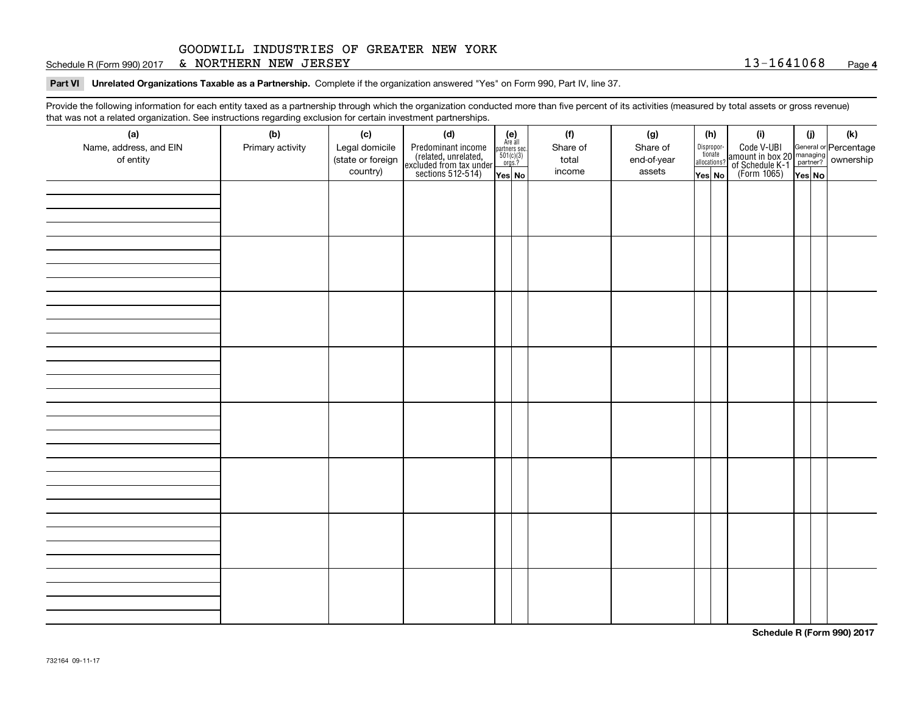Schedule R (Form 990) 2017 Page & NORTHERN NEW JERSEY 13-1641068

**Part VI Unrelated Organizations Taxable as a Partnership. Complete if the organization answered "Yes" on Form 990, Part IV, line 37.** 

Provide the following information for each entity taxed as a partnership through which the organization conducted more than five percent of its activities (measured by total assets or gross revenue) that was not a related organization. See instructions regarding exclusion for certain investment partnerships.

| (h)<br>$\begin{array}{c} \textbf{(e)}\\ \text{Are all} \\ \text{partners sec.}\\ 501(c)(3)\\ \text{orgs.?} \end{array}$<br>Code V-UBI<br>  amount in box 20 managing<br>  of Schedule K-1 partner? ownership<br>  of Schedule K-1 partner? ownership<br>  Yes No<br>Name, address, and EIN<br>Legal domicile<br>Share of<br>Primary activity<br>Predominant income<br>(related, unrelated,<br>excluded from tax under<br>sections 512-514)<br>Share of<br>Dispropor-<br>tionate<br>(state or foreign<br>of entity<br>end-of-year<br>total<br>allocations?<br>country)<br>income<br>assets<br>Yes No<br>Yes No | (a) | . הסיפורי היי הסי<br>(b) | (c) | .<br><br>(d) |  | (f) | (g) |  |  | (i) | (i) | (k) |  |  |  |  |  |
|---------------------------------------------------------------------------------------------------------------------------------------------------------------------------------------------------------------------------------------------------------------------------------------------------------------------------------------------------------------------------------------------------------------------------------------------------------------------------------------------------------------------------------------------------------------------------------------------------------------|-----|--------------------------|-----|--------------|--|-----|-----|--|--|-----|-----|-----|--|--|--|--|--|
|                                                                                                                                                                                                                                                                                                                                                                                                                                                                                                                                                                                                               |     |                          |     |              |  |     |     |  |  |     |     |     |  |  |  |  |  |
|                                                                                                                                                                                                                                                                                                                                                                                                                                                                                                                                                                                                               |     |                          |     |              |  |     |     |  |  |     |     |     |  |  |  |  |  |
|                                                                                                                                                                                                                                                                                                                                                                                                                                                                                                                                                                                                               |     |                          |     |              |  |     |     |  |  |     |     |     |  |  |  |  |  |
|                                                                                                                                                                                                                                                                                                                                                                                                                                                                                                                                                                                                               |     |                          |     |              |  |     |     |  |  |     |     |     |  |  |  |  |  |
|                                                                                                                                                                                                                                                                                                                                                                                                                                                                                                                                                                                                               |     |                          |     |              |  |     |     |  |  |     |     |     |  |  |  |  |  |
|                                                                                                                                                                                                                                                                                                                                                                                                                                                                                                                                                                                                               |     |                          |     |              |  |     |     |  |  |     |     |     |  |  |  |  |  |
|                                                                                                                                                                                                                                                                                                                                                                                                                                                                                                                                                                                                               |     |                          |     |              |  |     |     |  |  |     |     |     |  |  |  |  |  |
|                                                                                                                                                                                                                                                                                                                                                                                                                                                                                                                                                                                                               |     |                          |     |              |  |     |     |  |  |     |     |     |  |  |  |  |  |
|                                                                                                                                                                                                                                                                                                                                                                                                                                                                                                                                                                                                               |     |                          |     |              |  |     |     |  |  |     |     |     |  |  |  |  |  |
|                                                                                                                                                                                                                                                                                                                                                                                                                                                                                                                                                                                                               |     |                          |     |              |  |     |     |  |  |     |     |     |  |  |  |  |  |
|                                                                                                                                                                                                                                                                                                                                                                                                                                                                                                                                                                                                               |     |                          |     |              |  |     |     |  |  |     |     |     |  |  |  |  |  |
|                                                                                                                                                                                                                                                                                                                                                                                                                                                                                                                                                                                                               |     |                          |     |              |  |     |     |  |  |     |     |     |  |  |  |  |  |
|                                                                                                                                                                                                                                                                                                                                                                                                                                                                                                                                                                                                               |     |                          |     |              |  |     |     |  |  |     |     |     |  |  |  |  |  |
|                                                                                                                                                                                                                                                                                                                                                                                                                                                                                                                                                                                                               |     |                          |     |              |  |     |     |  |  |     |     |     |  |  |  |  |  |
|                                                                                                                                                                                                                                                                                                                                                                                                                                                                                                                                                                                                               |     |                          |     |              |  |     |     |  |  |     |     |     |  |  |  |  |  |
|                                                                                                                                                                                                                                                                                                                                                                                                                                                                                                                                                                                                               |     |                          |     |              |  |     |     |  |  |     |     |     |  |  |  |  |  |
|                                                                                                                                                                                                                                                                                                                                                                                                                                                                                                                                                                                                               |     |                          |     |              |  |     |     |  |  |     |     |     |  |  |  |  |  |
|                                                                                                                                                                                                                                                                                                                                                                                                                                                                                                                                                                                                               |     |                          |     |              |  |     |     |  |  |     |     |     |  |  |  |  |  |
|                                                                                                                                                                                                                                                                                                                                                                                                                                                                                                                                                                                                               |     |                          |     |              |  |     |     |  |  |     |     |     |  |  |  |  |  |
|                                                                                                                                                                                                                                                                                                                                                                                                                                                                                                                                                                                                               |     |                          |     |              |  |     |     |  |  |     |     |     |  |  |  |  |  |
|                                                                                                                                                                                                                                                                                                                                                                                                                                                                                                                                                                                                               |     |                          |     |              |  |     |     |  |  |     |     |     |  |  |  |  |  |
|                                                                                                                                                                                                                                                                                                                                                                                                                                                                                                                                                                                                               |     |                          |     |              |  |     |     |  |  |     |     |     |  |  |  |  |  |
|                                                                                                                                                                                                                                                                                                                                                                                                                                                                                                                                                                                                               |     |                          |     |              |  |     |     |  |  |     |     |     |  |  |  |  |  |
|                                                                                                                                                                                                                                                                                                                                                                                                                                                                                                                                                                                                               |     |                          |     |              |  |     |     |  |  |     |     |     |  |  |  |  |  |
|                                                                                                                                                                                                                                                                                                                                                                                                                                                                                                                                                                                                               |     |                          |     |              |  |     |     |  |  |     |     |     |  |  |  |  |  |
|                                                                                                                                                                                                                                                                                                                                                                                                                                                                                                                                                                                                               |     |                          |     |              |  |     |     |  |  |     |     |     |  |  |  |  |  |
|                                                                                                                                                                                                                                                                                                                                                                                                                                                                                                                                                                                                               |     |                          |     |              |  |     |     |  |  |     |     |     |  |  |  |  |  |
|                                                                                                                                                                                                                                                                                                                                                                                                                                                                                                                                                                                                               |     |                          |     |              |  |     |     |  |  |     |     |     |  |  |  |  |  |
|                                                                                                                                                                                                                                                                                                                                                                                                                                                                                                                                                                                                               |     |                          |     |              |  |     |     |  |  |     |     |     |  |  |  |  |  |
|                                                                                                                                                                                                                                                                                                                                                                                                                                                                                                                                                                                                               |     |                          |     |              |  |     |     |  |  |     |     |     |  |  |  |  |  |
|                                                                                                                                                                                                                                                                                                                                                                                                                                                                                                                                                                                                               |     |                          |     |              |  |     |     |  |  |     |     |     |  |  |  |  |  |
|                                                                                                                                                                                                                                                                                                                                                                                                                                                                                                                                                                                                               |     |                          |     |              |  |     |     |  |  |     |     |     |  |  |  |  |  |
|                                                                                                                                                                                                                                                                                                                                                                                                                                                                                                                                                                                                               |     |                          |     |              |  |     |     |  |  |     |     |     |  |  |  |  |  |
|                                                                                                                                                                                                                                                                                                                                                                                                                                                                                                                                                                                                               |     |                          |     |              |  |     |     |  |  |     |     |     |  |  |  |  |  |
|                                                                                                                                                                                                                                                                                                                                                                                                                                                                                                                                                                                                               |     |                          |     |              |  |     |     |  |  |     |     |     |  |  |  |  |  |
|                                                                                                                                                                                                                                                                                                                                                                                                                                                                                                                                                                                                               |     |                          |     |              |  |     |     |  |  |     |     |     |  |  |  |  |  |

**Schedule R (Form 990) 2017**